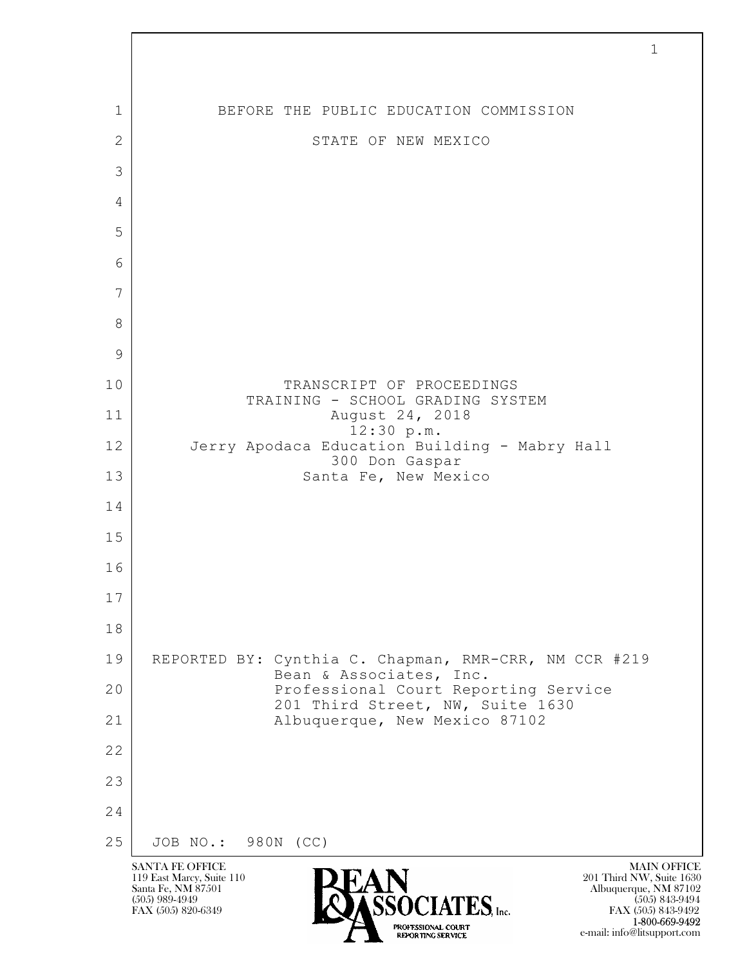

FAX (505) 843-9492 1-800-669-9492

e-mail: info@litsupport.com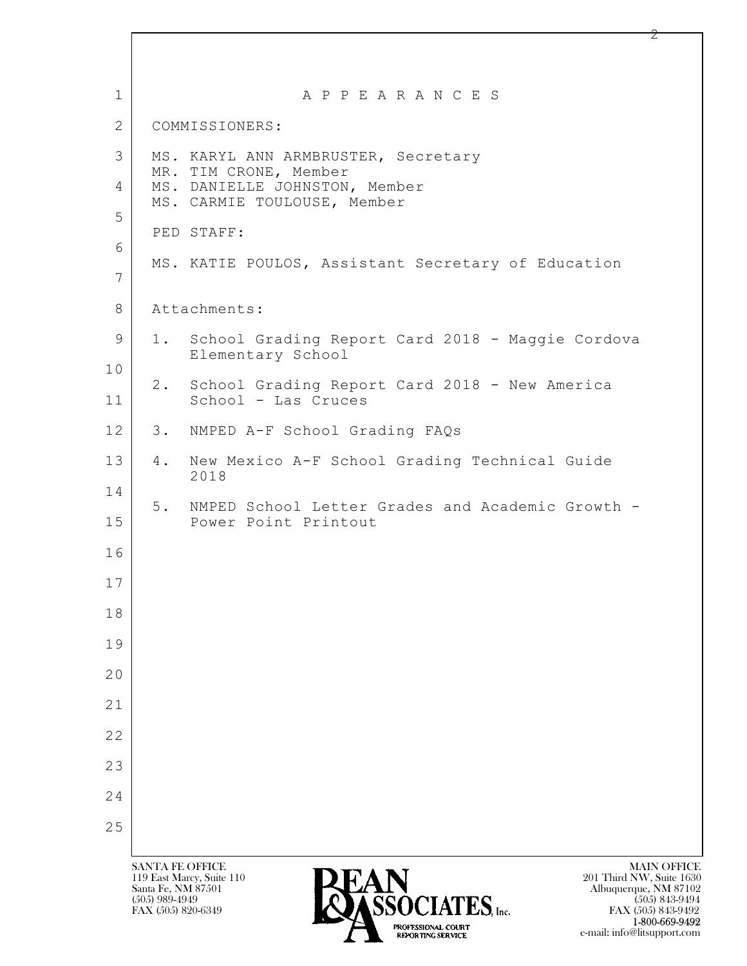| $\mathbf{1}$ |                                              | A P P E A R A N C E S                                                                                               |
|--------------|----------------------------------------------|---------------------------------------------------------------------------------------------------------------------|
| 2            |                                              | COMMISSIONERS:                                                                                                      |
| 3            |                                              | MS. KARYL ANN ARMBRUSTER, Secretary<br>MR. TIM CRONE, Member                                                        |
| 4<br>5       |                                              | MS. DANIELLE JOHNSTON, Member<br>MS. CARMIE TOULOUSE, Member                                                        |
| 6            |                                              | PED STAFF:                                                                                                          |
| 7            |                                              | MS. KATIE POULOS, Assistant Secretary of Education                                                                  |
| 8            |                                              | Attachments:                                                                                                        |
| 9            |                                              | 1. School Grading Report Card 2018 - Maggie Cordova<br>Elementary School                                            |
| 10<br>11     |                                              | 2. School Grading Report Card 2018 - New America<br>School - Las Cruces                                             |
| 12           | 3.                                           | NMPED A-F School Grading FAQs                                                                                       |
| 13           | 4.                                           | New Mexico A-F School Grading Technical Guide<br>2018                                                               |
| 14<br>15     | 5.                                           | NMPED School Letter Grades and Academic Growth -<br>Power Point Printout                                            |
| 16           |                                              |                                                                                                                     |
| 17<br>18     |                                              |                                                                                                                     |
| 19           |                                              |                                                                                                                     |
| 20           |                                              |                                                                                                                     |
| 21           |                                              |                                                                                                                     |
| 22           |                                              |                                                                                                                     |
| 23           |                                              |                                                                                                                     |
| 24           |                                              |                                                                                                                     |
| 25           |                                              |                                                                                                                     |
|              | <b>SANTA FE OFFICE</b><br>Santa Fe, NM 87501 | <b>MAIN OFFICE</b><br><b>PEAN</b><br>119 East Marcy, Suite 110<br>201 Third NW, Suite 1630<br>Albuquerque, NM 87102 |

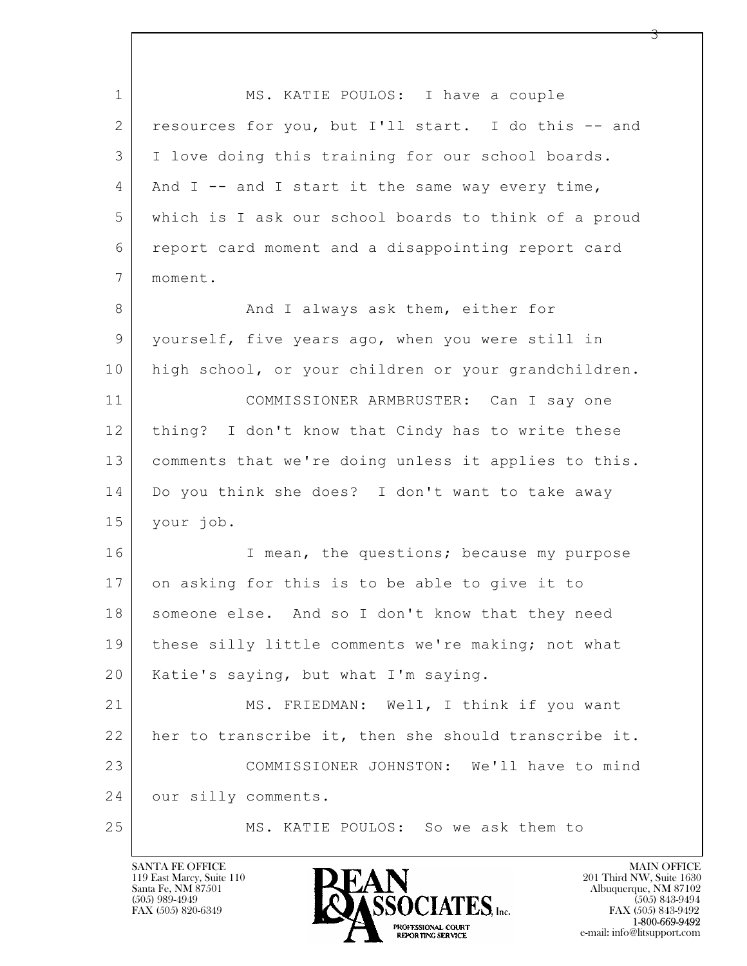$\mathbf{L}$  1 MS. KATIE POULOS: I have a couple 2 resources for you, but I'll start. I do this -- and 3 I love doing this training for our school boards.  $4$  And I -- and I start it the same way every time, 5 which is I ask our school boards to think of a proud 6 report card moment and a disappointing report card 7 moment. 8 And I always ask them, either for 9 yourself, five years ago, when you were still in 10 high school, or your children or your grandchildren. 11 COMMISSIONER ARMBRUSTER: Can I say one 12 | thing? I don't know that Cindy has to write these 13 comments that we're doing unless it applies to this. 14 Do you think she does? I don't want to take away 15 your job. 16 I mean, the questions; because my purpose 17 on asking for this is to be able to give it to 18 | someone else. And so I don't know that they need 19 these silly little comments we're making; not what 20 Katie's saying, but what I'm saying. 21 MS. FRIEDMAN: Well, I think if you want 22 her to transcribe it, then she should transcribe it. 23 COMMISSIONER JOHNSTON: We'll have to mind 24 our silly comments. 25 MS. KATIE POULOS: So we ask them to

119 East Marcy, Suite 110<br>Santa Fe, NM 87501

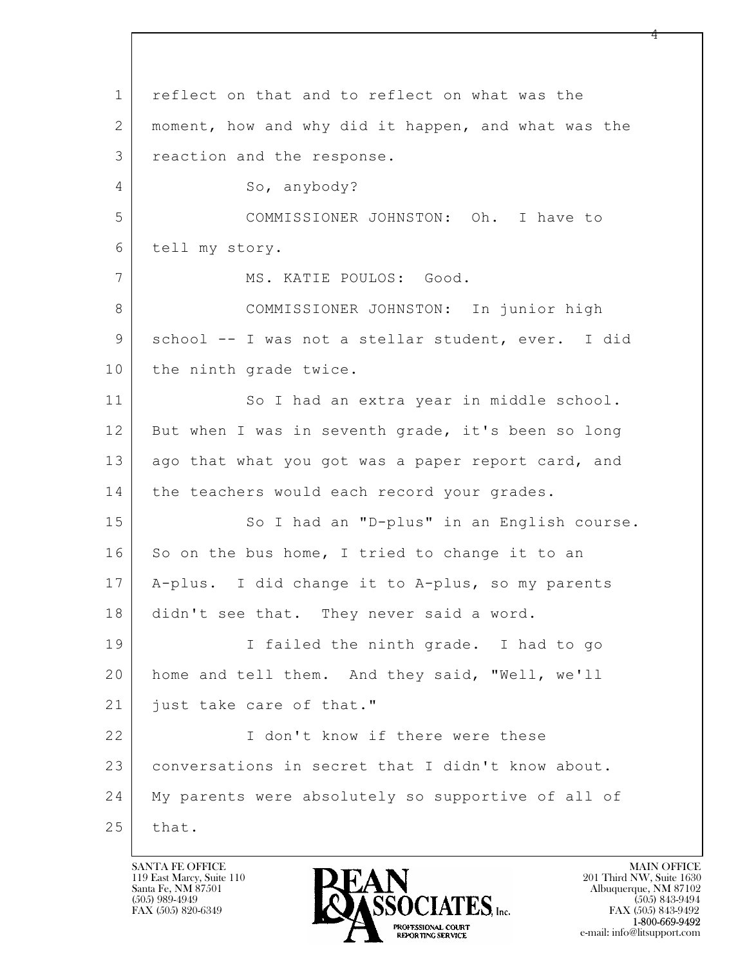$\mathbf{L}$  1 reflect on that and to reflect on what was the 2 moment, how and why did it happen, and what was the 3 reaction and the response. 4 So, anybody? 5 COMMISSIONER JOHNSTON: Oh. I have to 6 tell my story. 7 | MS. KATIE POULOS: Good. 8 COMMISSIONER JOHNSTON: In junior high 9 school -- I was not a stellar student, ever. I did 10 the ninth grade twice. 11 So I had an extra year in middle school. 12 But when I was in seventh grade, it's been so long 13 ago that what you got was a paper report card, and 14 | the teachers would each record your grades. 15 | So I had an "D-plus" in an English course.  $16$  So on the bus home, I tried to change it to an 17 A-plus. I did change it to A-plus, so my parents 18 didn't see that. They never said a word. 19 I failed the ninth grade. I had to go 20 home and tell them. And they said, "Well, we'll 21 | just take care of that." 22 I don't know if there were these 23 conversations in secret that I didn't know about. 24 My parents were absolutely so supportive of all of  $25$  that.

119 East Marcy, Suite 110<br>Santa Fe, NM 87501

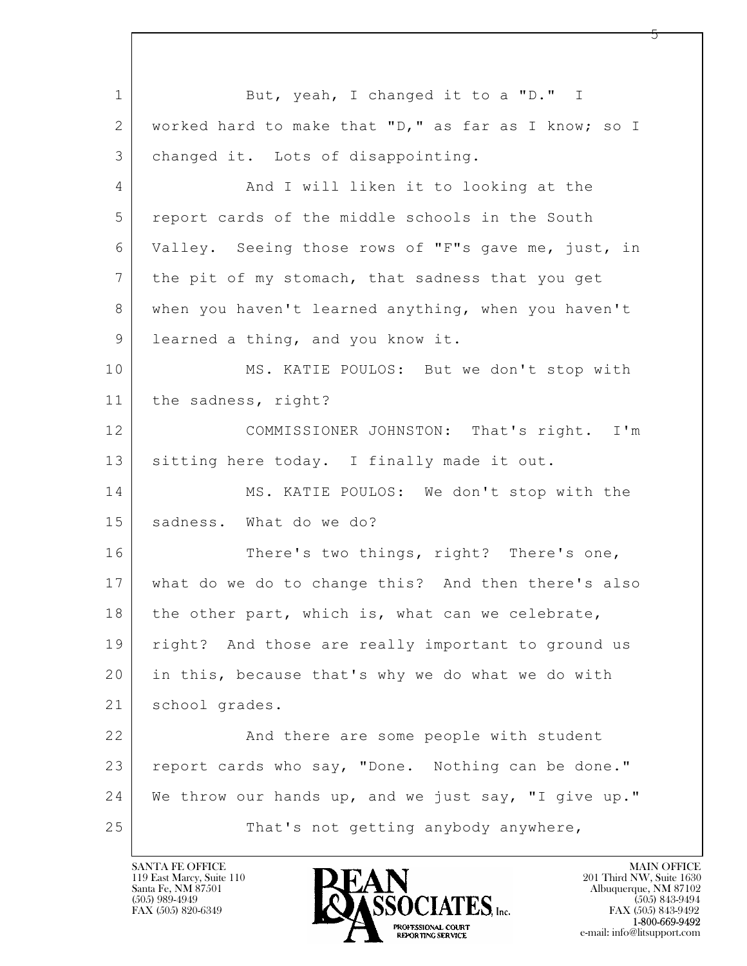$\mathbf{L}$  1 But, yeah, I changed it to a "D." I 2 worked hard to make that "D," as far as I know; so I 3 changed it. Lots of disappointing. 4 | And I will liken it to looking at the 5 report cards of the middle schools in the South 6 Valley. Seeing those rows of "F"s gave me, just, in 7 the pit of my stomach, that sadness that you get 8 when you haven't learned anything, when you haven't 9 learned a thing, and you know it. 10 MS. KATIE POULOS: But we don't stop with 11 the sadness, right? 12 COMMISSIONER JOHNSTON: That's right. I'm 13 sitting here today. I finally made it out. 14 MS. KATIE POULOS: We don't stop with the 15 sadness. What do we do? 16 There's two things, right? There's one, 17 what do we do to change this? And then there's also 18 | the other part, which is, what can we celebrate, 19 | right? And those are really important to ground us 20 in this, because that's why we do what we do with 21 school grades. 22 And there are some people with student 23 report cards who say, "Done. Nothing can be done." 24 We throw our hands up, and we just say, "I give up." 25 | That's not getting anybody anywhere,

119 East Marcy, Suite 110<br>Santa Fe, NM 87501

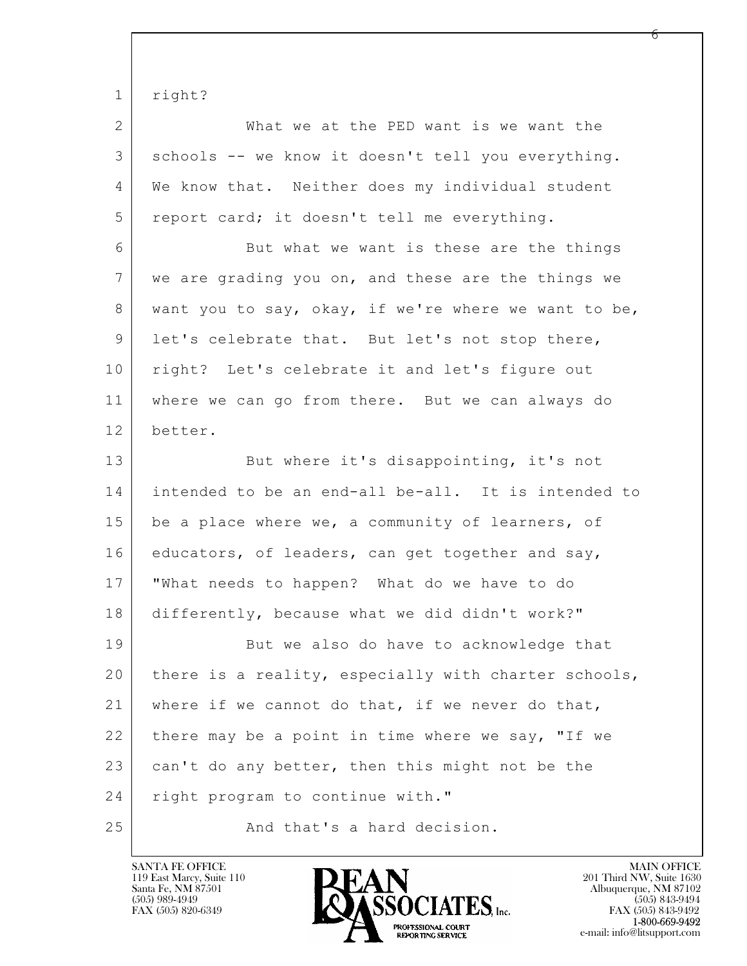1 | right?

| 2 | What we at the PED want is we want the             |
|---|----------------------------------------------------|
| 3 | schools -- we know it doesn't tell you everything. |
| 4 | We know that. Neither does my individual student   |
| 5 | report card; it doesn't tell me everything.        |
| 6 | But what we want is these are the things           |
|   |                                                    |

7 we are grading you on, and these are the things we 8 want you to say, okay, if we're where we want to be, 9 let's celebrate that. But let's not stop there, 10 | right? Let's celebrate it and let's figure out 11 where we can go from there. But we can always do 12 better.

 $\mathbf{L}$  13 But where it's disappointing, it's not 14 intended to be an end-all be-all. It is intended to 15 be a place where we, a community of learners, of 16 educators, of leaders, can get together and say, 17 "What needs to happen? What do we have to do 18 differently, because what we did didn't work?" 19 But we also do have to acknowledge that 20 there is a reality, especially with charter schools, 21 where if we cannot do that, if we never do that, 22 there may be a point in time where we say, "If we  $23$  can't do any better, then this might not be the 24 | right program to continue with." 25 And that's a hard decision.

119 East Marcy, Suite 110<br>Santa Fe, NM 87501



FAX (505) 843-9492 e-mail: info@litsupport.com

რ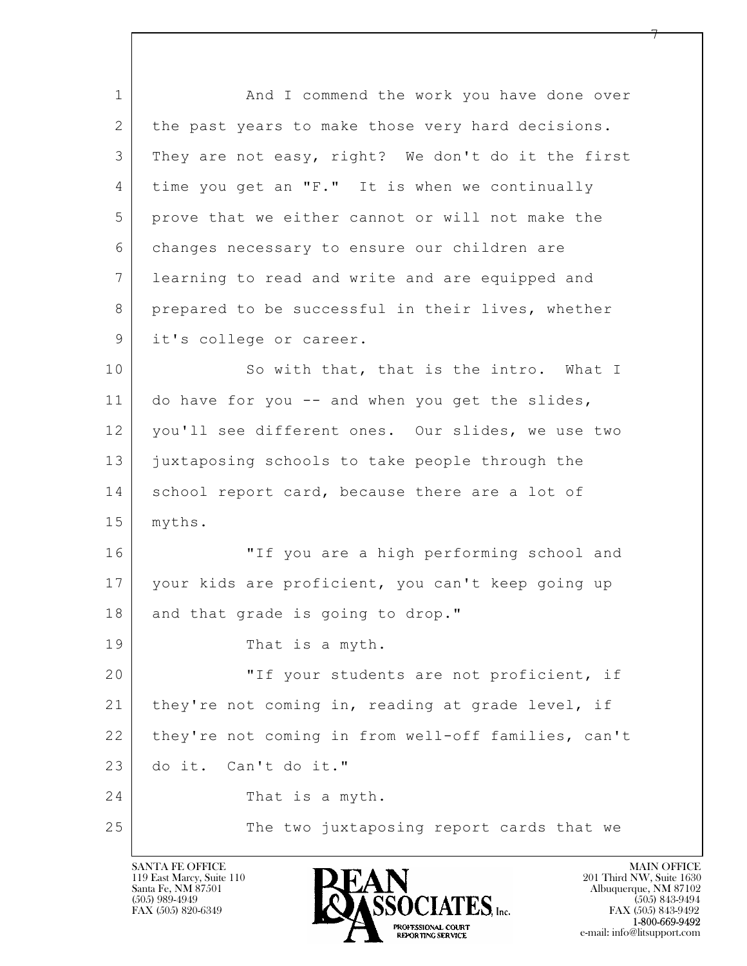$\mathbf{L}$  1 1 And I commend the work you have done over 2 | the past years to make those very hard decisions. 3 They are not easy, right? We don't do it the first 4 time you get an "F." It is when we continually 5 prove that we either cannot or will not make the 6 changes necessary to ensure our children are 7 learning to read and write and are equipped and 8 prepared to be successful in their lives, whether 9 | it's college or career. 10 So with that, that is the intro. What I 11 do have for you -- and when you get the slides, 12 you'll see different ones. Our slides, we use two 13 juxtaposing schools to take people through the 14 school report card, because there are a lot of 15 myths. 16 "If you are a high performing school and 17 your kids are proficient, you can't keep going up 18 and that grade is going to drop." 19 That is a myth. 20 | TIF your students are not proficient, if 21 | they're not coming in, reading at grade level, if 22 they're not coming in from well-off families, can't 23 do it. Can't do it." 24 That is a myth. 25 | The two juxtaposing report cards that we

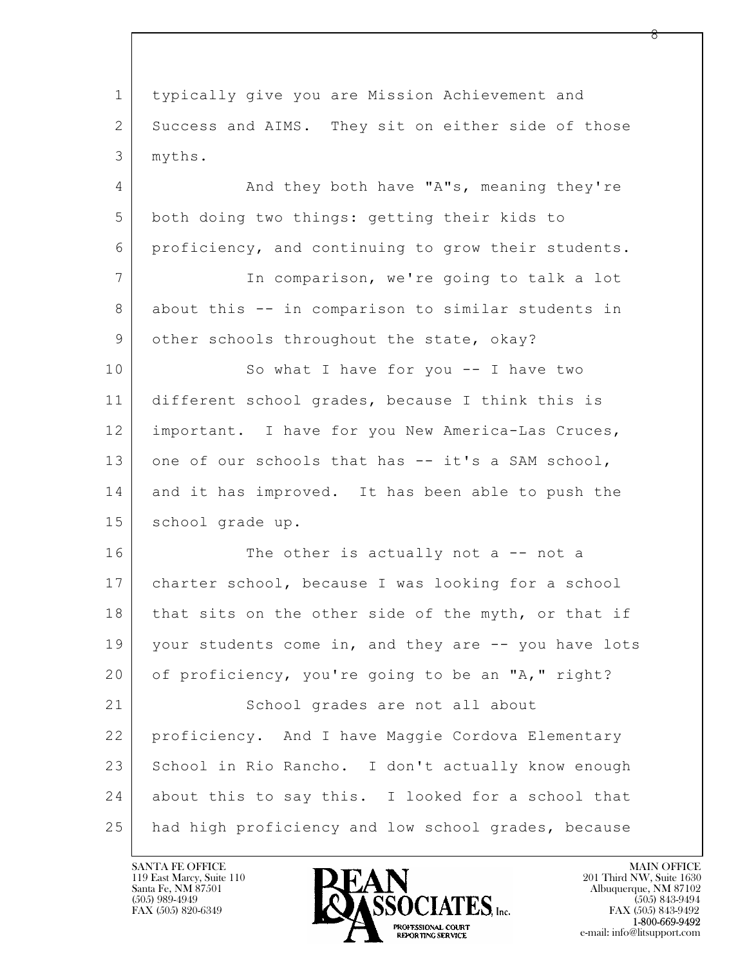$\mathbf{L}$  1 typically give you are Mission Achievement and 2 Success and AIMS. They sit on either side of those 3 myths. 4 | And they both have "A"s, meaning they're 5 both doing two things: getting their kids to 6 proficiency, and continuing to grow their students. 7 In comparison, we're going to talk a lot 8 about this -- in comparison to similar students in 9 other schools throughout the state, okay? 10 So what I have for you -- I have two 11 different school grades, because I think this is 12 important. I have for you New America-Las Cruces, 13 one of our schools that has -- it's a SAM school, 14 and it has improved. It has been able to push the 15 | school grade up. 16 The other is actually not a -- not a 17 charter school, because I was looking for a school 18 that sits on the other side of the myth, or that if 19 your students come in, and they are -- you have lots 20 of proficiency, you're going to be an "A," right? 21 School grades are not all about 22 proficiency. And I have Maggie Cordova Elementary 23 School in Rio Rancho. I don't actually know enough 24 | about this to say this. I looked for a school that 25 had high proficiency and low school grades, because

119 East Marcy, Suite 110<br>Santa Fe, NM 87501

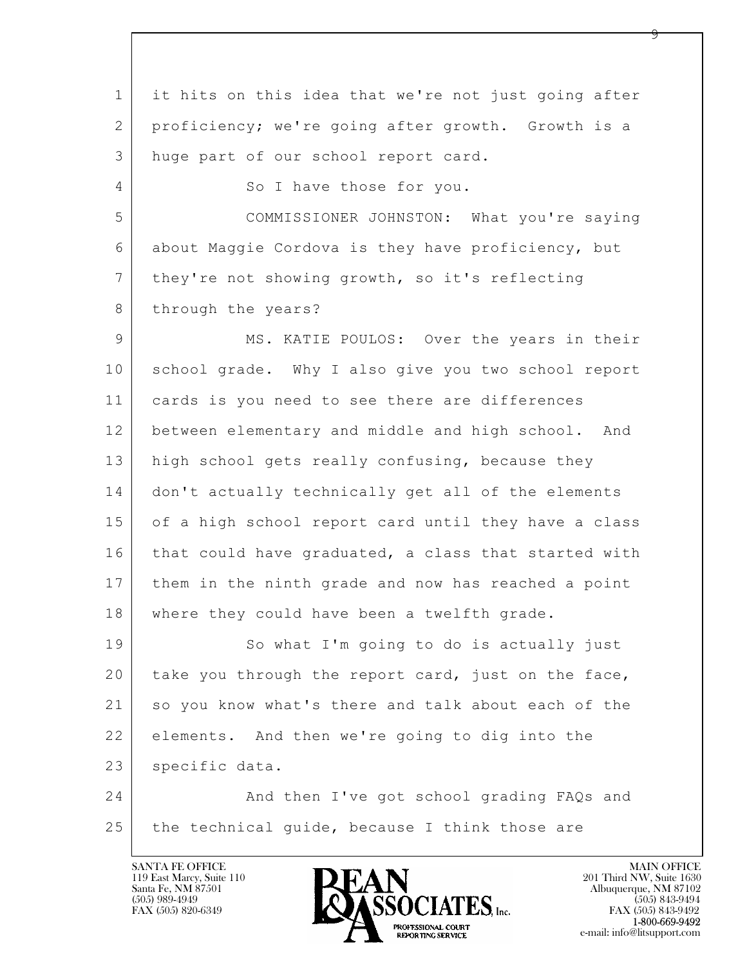$\mathbf{L}$  1 it hits on this idea that we're not just going after 2 proficiency; we're going after growth. Growth is a 3 huge part of our school report card. 4 So I have those for you. 5 COMMISSIONER JOHNSTON: What you're saying 6 about Maggie Cordova is they have proficiency, but 7 they're not showing growth, so it's reflecting 8 through the years? 9 MS. KATIE POULOS: Over the years in their 10 school grade. Why I also give you two school report 11 cards is you need to see there are differences 12 between elementary and middle and high school. And 13 high school gets really confusing, because they 14 don't actually technically get all of the elements 15 of a high school report card until they have a class 16 that could have graduated, a class that started with 17 them in the ninth grade and now has reached a point 18 | where they could have been a twelfth grade. 19 So what I'm going to do is actually just 20 take you through the report card, just on the face, 21 so you know what's there and talk about each of the 22 elements. And then we're going to dig into the 23 | specific data. 24 And then I've got school grading FAQs and 25 the technical quide, because I think those are

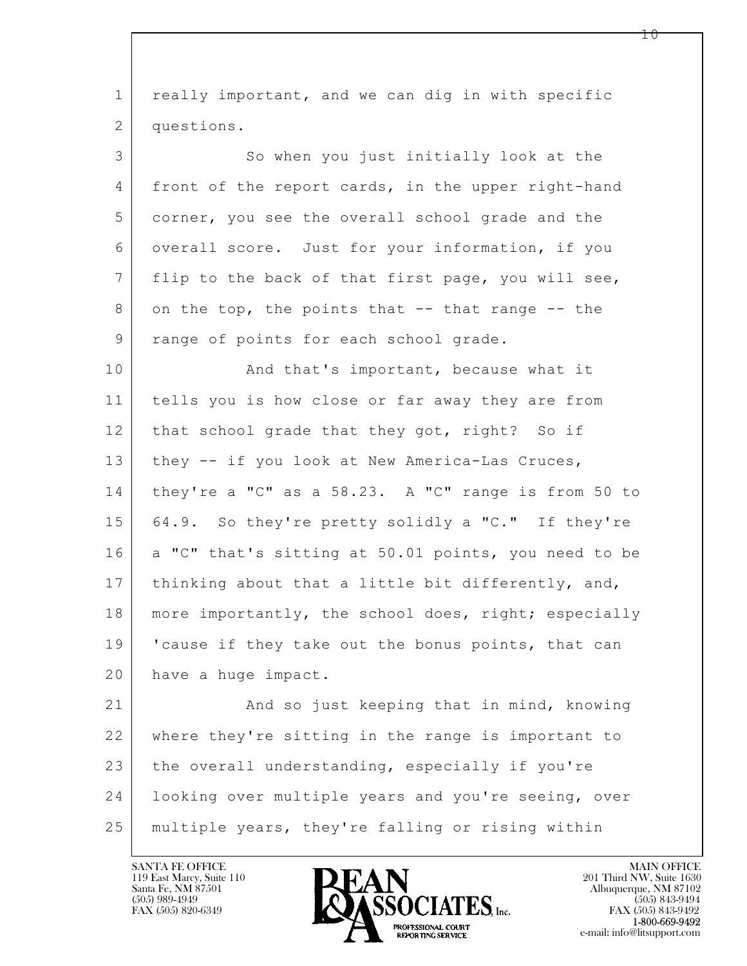| $\mathbf 1$     | really important, and we can dig in with specific    |
|-----------------|------------------------------------------------------|
| 2               | questions.                                           |
| 3               | So when you just initially look at the               |
| 4               | front of the report cards, in the upper right-hand   |
| 5               | corner, you see the overall school grade and the     |
| 6               | overall score. Just for your information, if you     |
| $7\phantom{.0}$ | flip to the back of that first page, you will see,   |
| 8               | on the top, the points that -- that range -- the     |
| 9               | range of points for each school grade.               |
| 10              | And that's important, because what it                |
| 11              | tells you is how close or far away they are from     |
| 12              | that school grade that they got, right? So if        |
| 13              | they -- if you look at New America-Las Cruces,       |
| 14              | they're a "C" as a 58.23. A "C" range is from 50 to  |
| 15              | 64.9. So they're pretty solidly a "C." If they're    |
| 16              | a "C" that's sitting at 50.01 points, you need to be |
| 17              | thinking about that a little bit differently, and,   |
| 18              | more importantly, the school does, right; especially |
| 19              | 'cause if they take out the bonus points, that can   |
| 20              | have a huge impact.                                  |
| 21              | And so just keeping that in mind, knowing            |
| 22              | where they're sitting in the range is important to   |
| 23              | the overall understanding, especially if you're      |
| 24              | looking over multiple years and you're seeing, over  |
| 25              | multiple years, they're falling or rising within     |

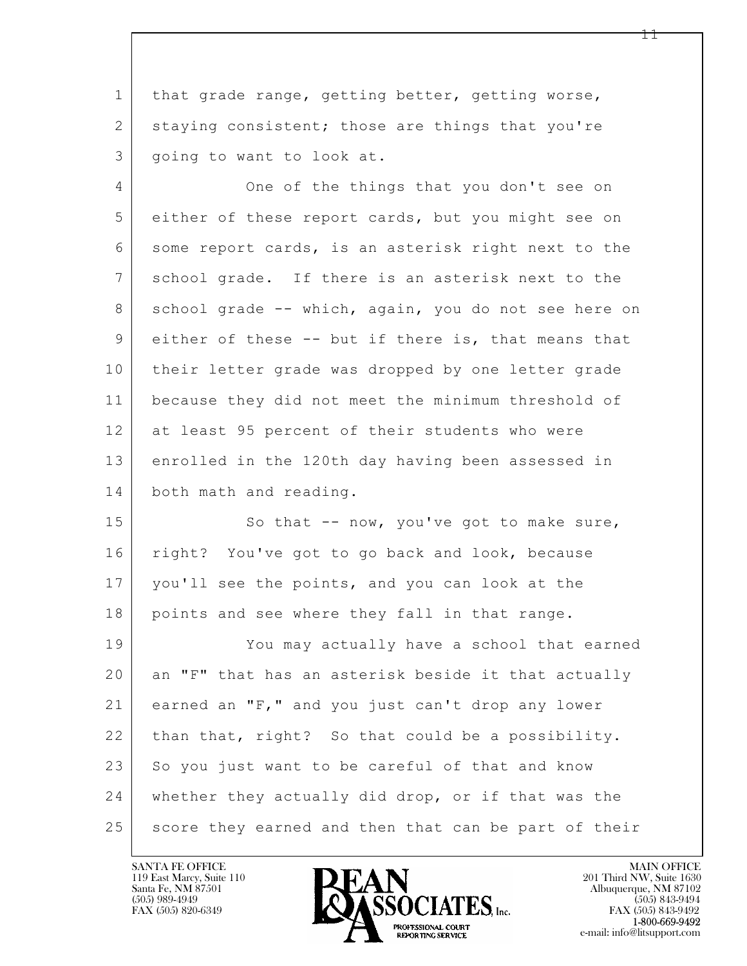1 that grade range, getting better, getting worse, 2 staying consistent; those are things that you're 3 | going to want to look at.

4 One of the things that you don't see on 5 either of these report cards, but you might see on 6 some report cards, is an asterisk right next to the 7 school grade. If there is an asterisk next to the 8 school grade -- which, again, you do not see here on 9 either of these -- but if there is, that means that 10 their letter grade was dropped by one letter grade 11 because they did not meet the minimum threshold of 12 at least 95 percent of their students who were 13 enrolled in the 120th day having been assessed in 14 both math and reading.

15 So that -- now, you've got to make sure, 16 right? You've got to go back and look, because 17 you'll see the points, and you can look at the 18 points and see where they fall in that range. 19 You may actually have a school that earned

 $\mathbf{L}$  20 an "F" that has an asterisk beside it that actually 21 earned an "F," and you just can't drop any lower 22 | than that, right? So that could be a possibility. 23 So you just want to be careful of that and know 24 whether they actually did drop, or if that was the 25 score they earned and then that can be part of their

119 East Marcy, Suite 110<br>Santa Fe, NM 87501



FAX (505) 843-9492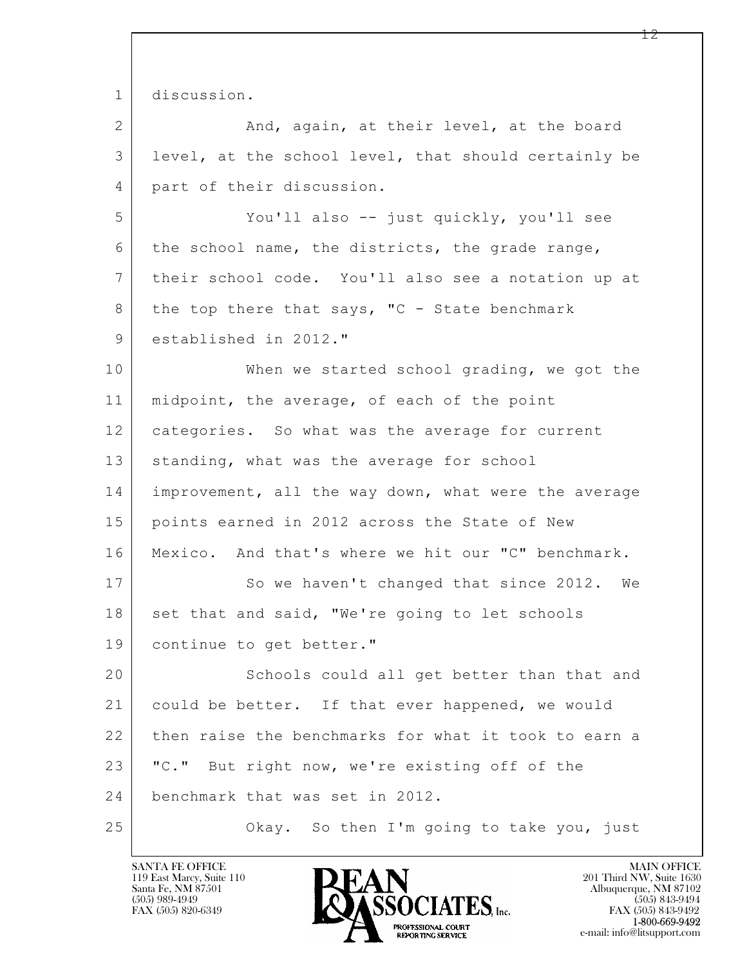$\mathbf{L}$  1 discussion. 2 And, again, at their level, at the board 3 level, at the school level, that should certainly be 4 part of their discussion. 5 You'll also -- just quickly, you'll see 6 the school name, the districts, the grade range, 7 their school code. You'll also see a notation up at 8 the top there that says, "C - State benchmark 9 | established in 2012." 10 When we started school grading, we got the 11 | midpoint, the average, of each of the point 12 categories. So what was the average for current 13 | standing, what was the average for school 14 improvement, all the way down, what were the average 15 points earned in 2012 across the State of New 16 Mexico. And that's where we hit our "C" benchmark. 17 So we haven't changed that since 2012. We 18 set that and said, "We're going to let schools 19 continue to get better." 20 Schools could all get better than that and 21 could be better. If that ever happened, we would 22 then raise the benchmarks for what it took to earn a 23 | "C." But right now, we're existing off of the 24 benchmark that was set in 2012. 25 | Chay. So then I'm going to take you, just

119 East Marcy, Suite 110<br>Santa Fe, NM 87501

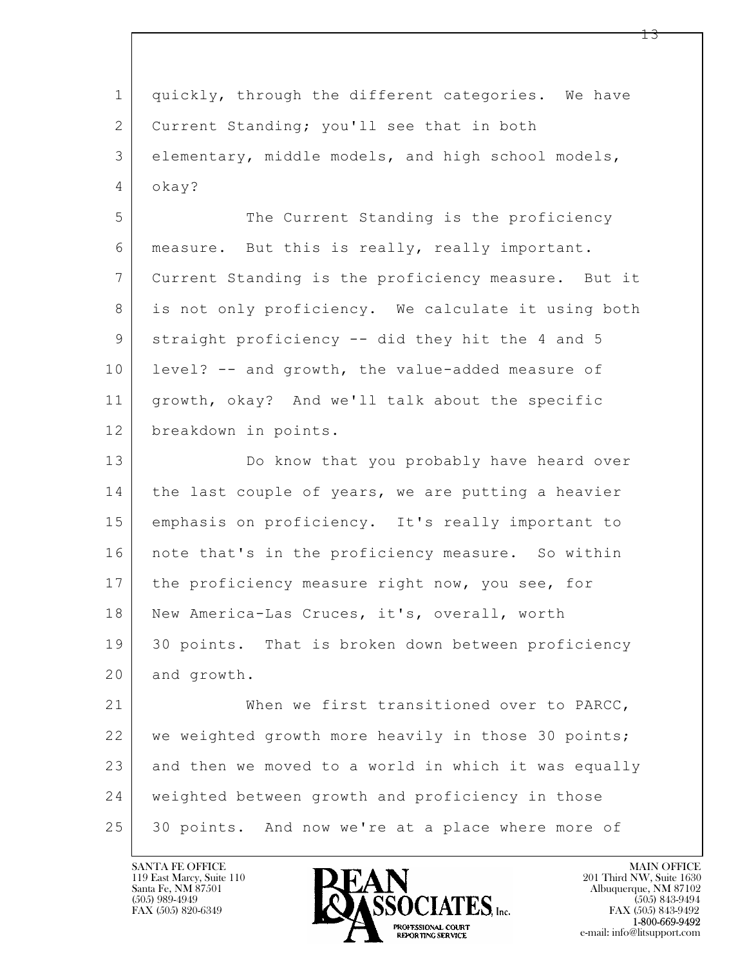| $\mathbf{1}$   | quickly, through the different categories. We have   |
|----------------|------------------------------------------------------|
| $\mathbf{2}$   | Current Standing; you'll see that in both            |
| 3              | elementary, middle models, and high school models,   |
| $\overline{4}$ | okay?                                                |
| 5              | The Current Standing is the proficiency              |
| 6              | measure. But this is really, really important.       |
| $7\phantom{.}$ | Current Standing is the proficiency measure. But it  |
| 8              | is not only proficiency. We calculate it using both  |
| 9              | straight proficiency -- did they hit the 4 and 5     |
| 10             | level? -- and growth, the value-added measure of     |
| 11             | growth, okay? And we'll talk about the specific      |
| 12             | breakdown in points.                                 |
| 13             | Do know that you probably have heard over            |
| 14             | the last couple of years, we are putting a heavier   |
| 15             | emphasis on proficiency. It's really important to    |
| 16             | note that's in the proficiency measure. So within    |
| 17             | the proficiency measure right now, you see, for      |
| 18             | New America-Las Cruces, it's, overall, worth         |
| 19             | 30 points. That is broken down between proficiency   |
| 20             | and growth.                                          |
| 21             | When we first transitioned over to PARCC,            |
| 22             | we weighted growth more heavily in those 30 points;  |
| 23             | and then we moved to a world in which it was equally |
| 24             | weighted between growth and proficiency in those     |
| 25             | 30 points. And now we're at a place where more of    |

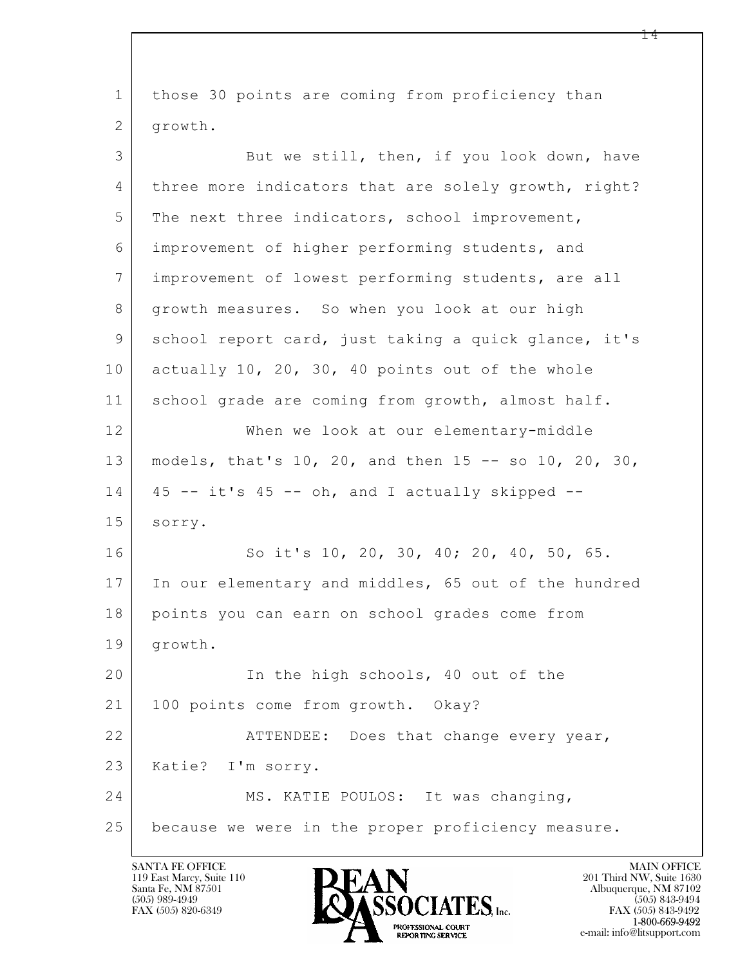$\mathbf{L}$  1 those 30 points are coming from proficiency than 2 growth. 3 But we still, then, if you look down, have 4 three more indicators that are solely growth, right? 5 The next three indicators, school improvement, 6 improvement of higher performing students, and 7 improvement of lowest performing students, are all 8 growth measures. So when you look at our high 9 school report card, just taking a quick glance, it's 10 actually 10, 20, 30, 40 points out of the whole 11 | school grade are coming from growth, almost half. 12 When we look at our elementary-middle 13 models, that's 10, 20, and then 15 -- so 10, 20, 30,  $14$  | 45 -- it's 45 -- oh, and I actually skipped --15 sorry. 16 So it's 10, 20, 30, 40; 20, 40, 50, 65. 17 In our elementary and middles, 65 out of the hundred 18 points you can earn on school grades come from 19 growth. 20 In the high schools, 40 out of the 21 | 100 points come from growth. Okay? 22 ATTENDEE: Does that change every year, 23 | Katie? I'm sorry. 24 MS. KATIE POULOS: It was changing, 25 because we were in the proper proficiency measure.

119 East Marcy, Suite 110<br>Santa Fe, NM 87501

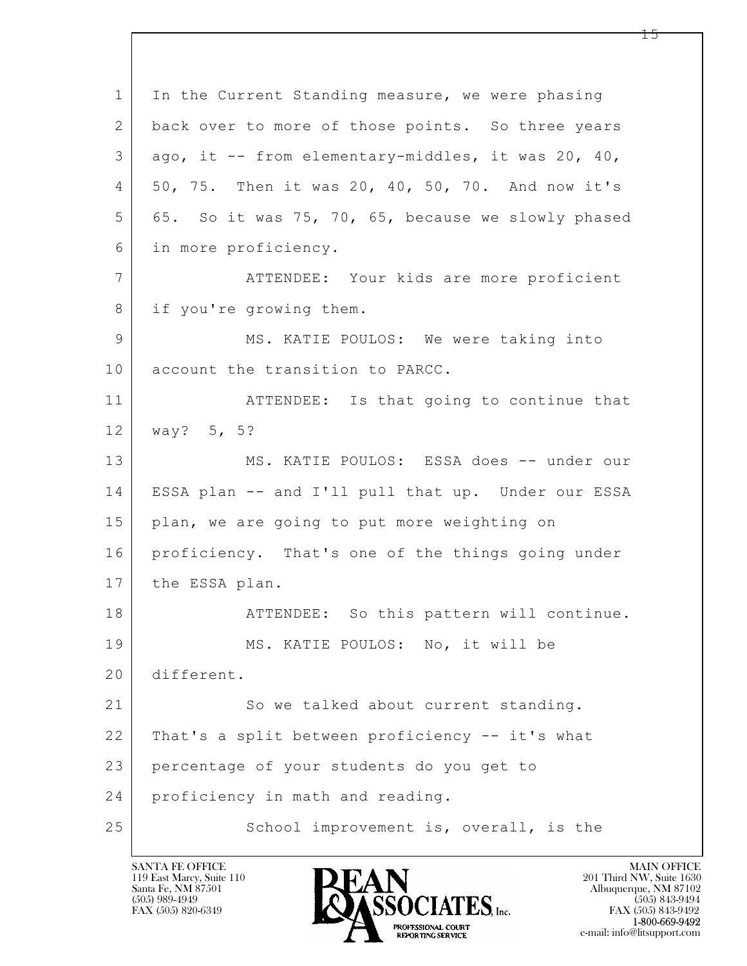$\mathbf{L}$  1 In the Current Standing measure, we were phasing 2 back over to more of those points. So three years  $3$  ago, it  $-$  from elementary-middles, it was 20, 40, 4 50, 75. Then it was 20, 40, 50, 70. And now it's  $5$  65. So it was 75, 70, 65, because we slowly phased 6 in more proficiency. 7 ATTENDEE: Your kids are more proficient 8 if you're growing them. 9 | MS. KATIE POULOS: We were taking into 10 account the transition to PARCC. 11 | ATTENDEE: Is that going to continue that 12 way? 5, 5? 13 MS. KATIE POULOS: ESSA does -- under our 14 ESSA plan -- and I'll pull that up. Under our ESSA 15 | plan, we are going to put more weighting on 16 proficiency. That's one of the things going under 17 the ESSA plan. 18 ATTENDEE: So this pattern will continue. 19 MS. KATIE POULOS: No, it will be 20 different. 21 So we talked about current standing. 22 That's a split between proficiency -- it's what 23 percentage of your students do you get to 24 proficiency in math and reading. 25 School improvement is, overall, is the

119 East Marcy, Suite 110<br>Santa Fe, NM 87501

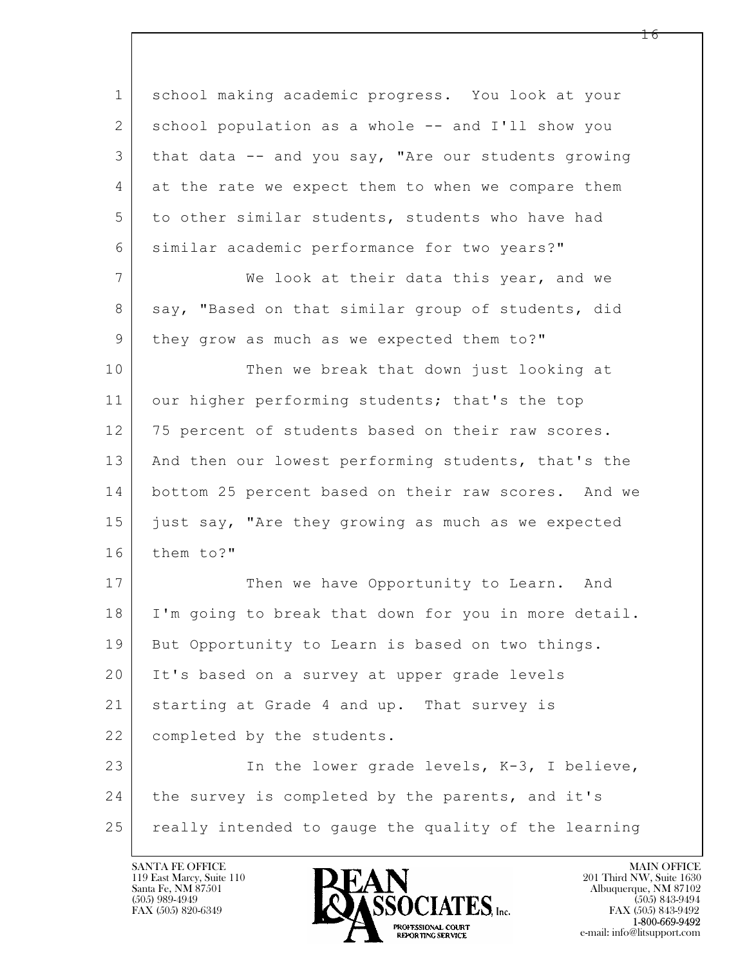$\mathbf{L}$  1 school making academic progress. You look at your 2 school population as a whole -- and I'll show you 3 that data -- and you say, "Are our students growing 4 at the rate we expect them to when we compare them 5 to other similar students, students who have had 6 similar academic performance for two years?" 7 We look at their data this year, and we 8 say, "Based on that similar group of students, did 9 | they grow as much as we expected them to?" 10 Then we break that down just looking at 11 our higher performing students; that's the top 12 | 75 percent of students based on their raw scores. 13 | And then our lowest performing students, that's the 14 bottom 25 percent based on their raw scores. And we 15 just say, "Are they growing as much as we expected 16 them to?" 17 Then we have Opportunity to Learn. And 18 I'm going to break that down for you in more detail. 19 But Opportunity to Learn is based on two things. 20 It's based on a survey at upper grade levels 21 starting at Grade 4 and up. That survey is 22 completed by the students. 23 | The lower grade levels, K-3, I believe, 24 the survey is completed by the parents, and it's 25 really intended to gauge the quality of the learning

119 East Marcy, Suite 110<br>Santa Fe, NM 87501



FAX (505) 843-9492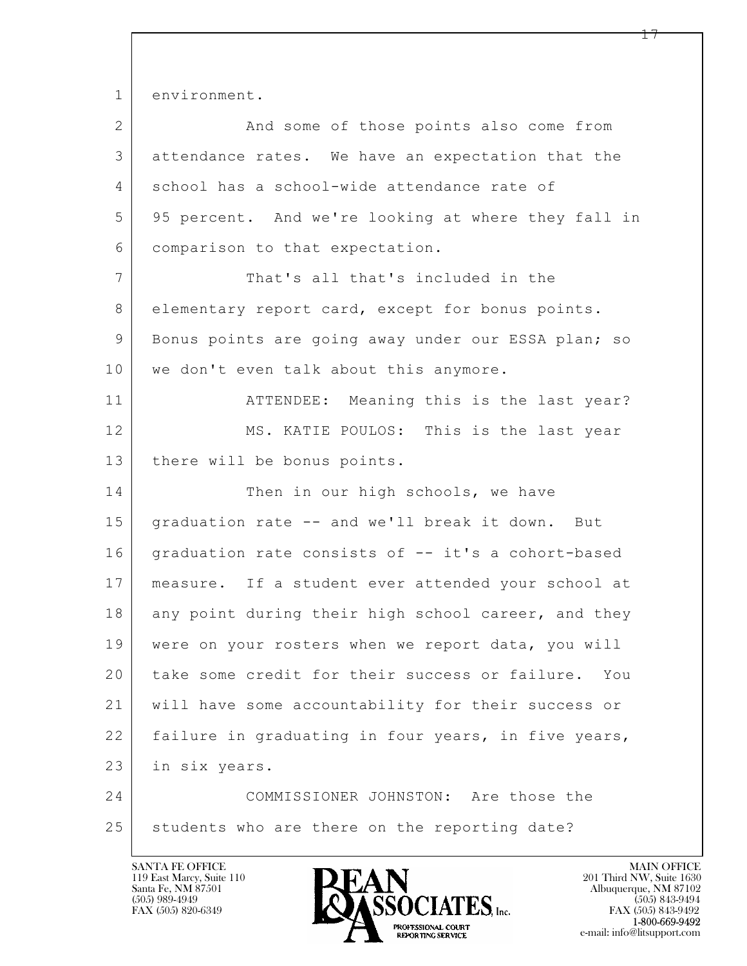1 environment.

| $\overline{2}$ | And some of those points also come from             |
|----------------|-----------------------------------------------------|
| 3              | attendance rates. We have an expectation that the   |
| 4              | school has a school-wide attendance rate of         |
| 5              | 95 percent. And we're looking at where they fall in |
| 6              | comparison to that expectation.                     |
| 7              | That's all that's included in the                   |
| 8              | elementary report card, except for bonus points.    |
| 9              | Bonus points are going away under our ESSA plan; so |
| 10             | we don't even talk about this anymore.              |
| 11             | ATTENDEE: Meaning this is the last year?            |
| 12             | MS. KATIE POULOS: This is the last year             |
| 13             | there will be bonus points.                         |
| 14             | Then in our high schools, we have                   |
| 15             | graduation rate -- and we'll break it down. But     |
| 16             | graduation rate consists of -- it's a cohort-based  |
| 17             | measure. If a student ever attended your school at  |
| 18             | any point during their high school career, and they |
| 19             | were on your rosters when we report data, you will  |
| 20             | take some credit for their success or failure. You  |
| 21             | will have some accountability for their success or  |
| 22             | failure in graduating in four years, in five years, |
| 23             | in six years.                                       |
| 24             | COMMISSIONER JOHNSTON: Are those the                |
| 25             | students who are there on the reporting date?       |

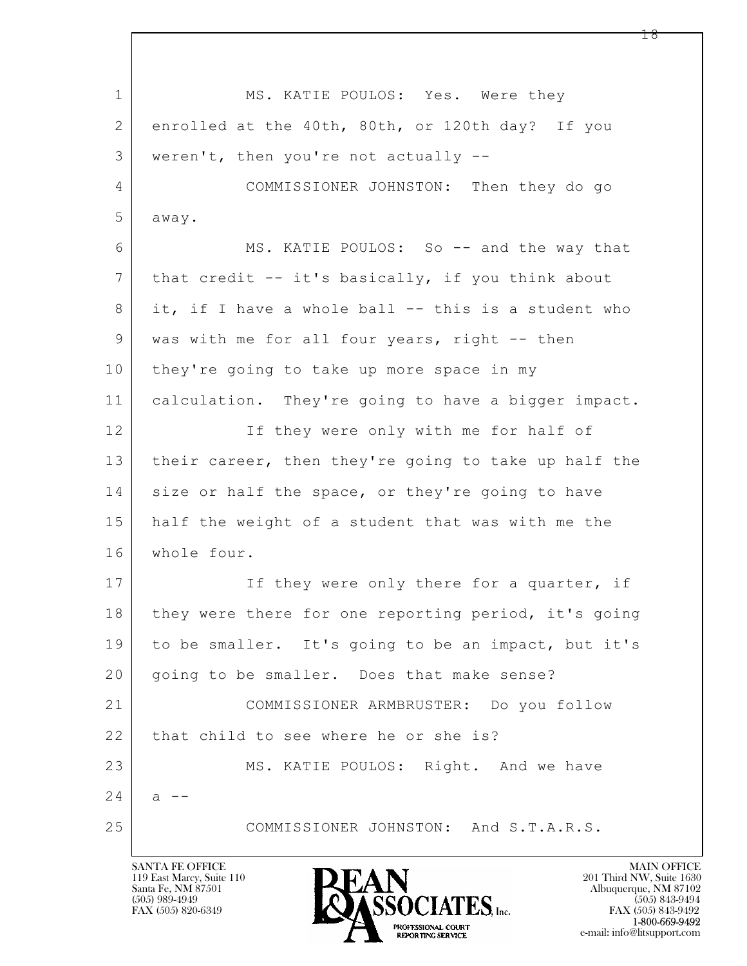$\mathbf{L}$  1 MS. KATIE POULOS: Yes. Were they 2 enrolled at the 40th, 80th, or 120th day? If you 3 weren't, then you're not actually -- 4 COMMISSIONER JOHNSTON: Then they do go 5 away. 6 MS. KATIE POULOS: So -- and the way that 7 that credit -- it's basically, if you think about 8 it, if I have a whole ball -- this is a student who 9 | was with me for all four years, right -- then 10 they're going to take up more space in my 11 calculation. They're going to have a bigger impact. 12 If they were only with me for half of 13 their career, then they're going to take up half the 14 size or half the space, or they're going to have 15 half the weight of a student that was with me the 16 whole four. 17 If they were only there for a quarter, if 18 | they were there for one reporting period, it's going 19 to be smaller. It's going to be an impact, but it's 20 | going to be smaller. Does that make sense? 21 COMMISSIONER ARMBRUSTER: Do you follow 22 that child to see where he or she is? 23 MS. KATIE POULOS: Right. And we have  $24$  a --25 COMMISSIONER JOHNSTON: And S.T.A.R.S.

119 East Marcy, Suite 110<br>Santa Fe, NM 87501

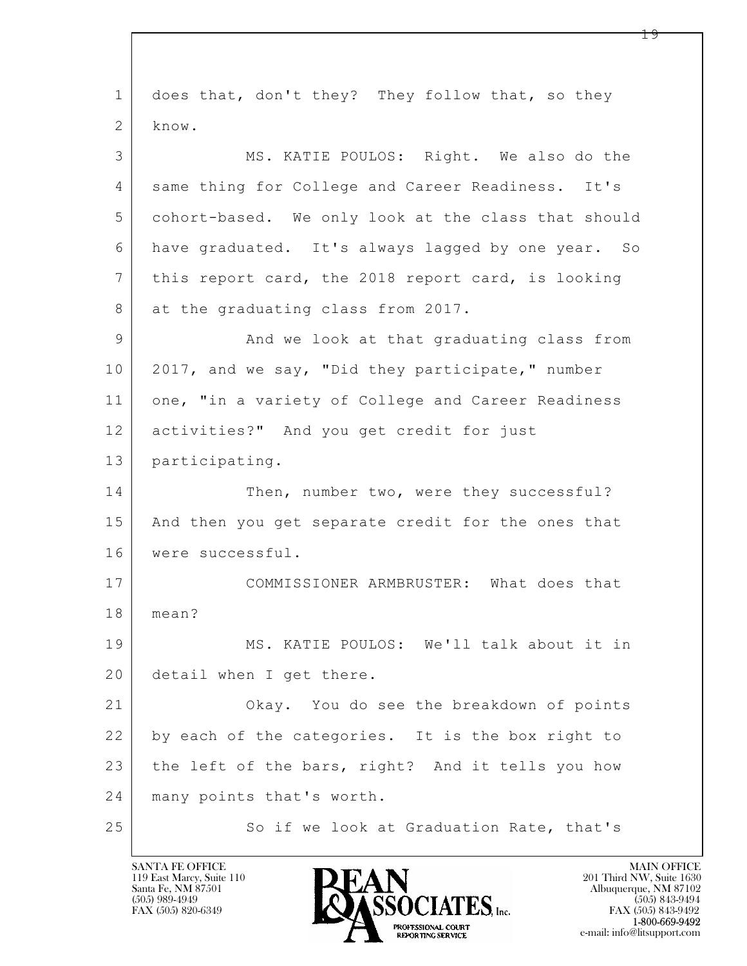$\mathbf{L}$  1 does that, don't they? They follow that, so they 2 know. 3 MS. KATIE POULOS: Right. We also do the 4 | same thing for College and Career Readiness. It's 5 cohort-based. We only look at the class that should 6 have graduated. It's always lagged by one year. So 7 this report card, the 2018 report card, is looking 8 at the graduating class from 2017. 9 | And we look at that graduating class from 10 2017, and we say, "Did they participate," number 11 one, "in a variety of College and Career Readiness 12 activities?" And you get credit for just 13 participating. 14 Then, number two, were they successful? 15 | And then you get separate credit for the ones that 16 were successful. 17 COMMISSIONER ARMBRUSTER: What does that 18 mean? 19 MS. KATIE POULOS: We'll talk about it in 20 detail when I get there. 21 Okay. You do see the breakdown of points 22 by each of the categories. It is the box right to 23 the left of the bars, right? And it tells you how 24 many points that's worth. 25 So if we look at Graduation Rate, that's

119 East Marcy, Suite 110<br>Santa Fe, NM 87501

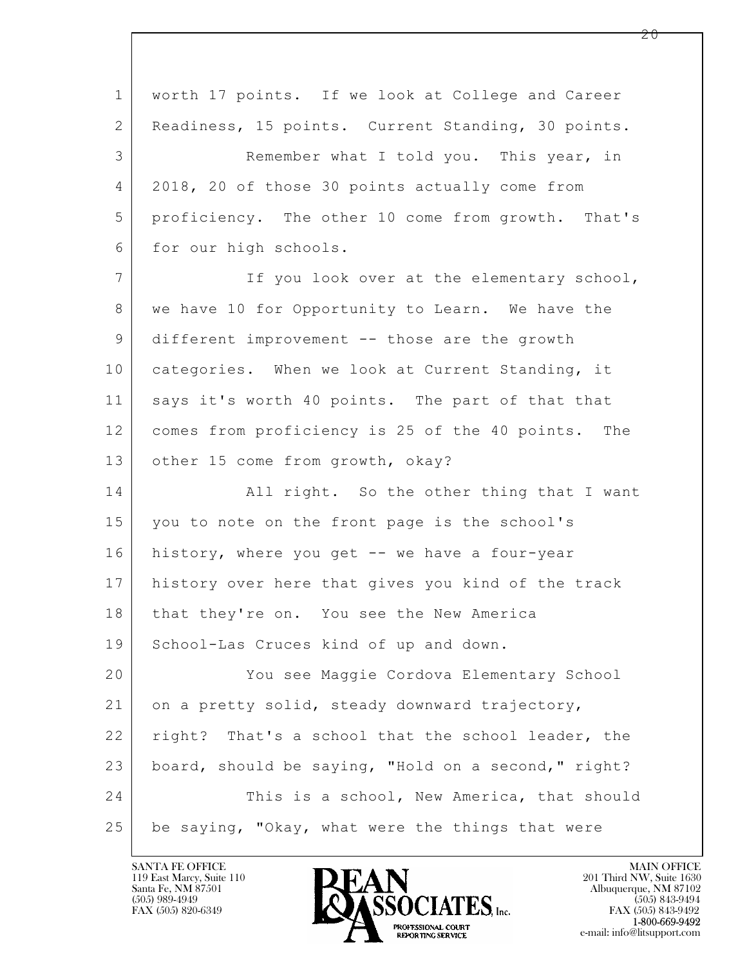| $\mathbf 1$    | worth 17 points. If we look at College and Career   |
|----------------|-----------------------------------------------------|
| 2              | Readiness, 15 points. Current Standing, 30 points.  |
| 3              | Remember what I told you. This year, in             |
| 4              | 2018, 20 of those 30 points actually come from      |
| 5              | proficiency. The other 10 come from growth. That's  |
| 6              | for our high schools.                               |
| $\overline{7}$ | If you look over at the elementary school,          |
| 8              | we have 10 for Opportunity to Learn. We have the    |
| 9              | different improvement -- those are the growth       |
| 10             | categories. When we look at Current Standing, it    |
| 11             | says it's worth 40 points. The part of that that    |
| 12             | comes from proficiency is 25 of the 40 points. The  |
| 13             | other 15 come from growth, okay?                    |
| 14             | All right. So the other thing that I want           |
| 15             | you to note on the front page is the school's       |
| 16             | history, where you get -- we have a four-year       |
| 17             | history over here that gives you kind of the track  |
| 18             | that they're on. You see the New America            |
| 19             | School-Las Cruces kind of up and down.              |
| 20             | You see Maggie Cordova Elementary School            |
| 21             | on a pretty solid, steady downward trajectory,      |
| 22             | right? That's a school that the school leader, the  |
| 23             | board, should be saying, "Hold on a second," right? |
| 24             | This is a school, New America, that should          |
| 25             | be saying, "Okay, what were the things that were    |

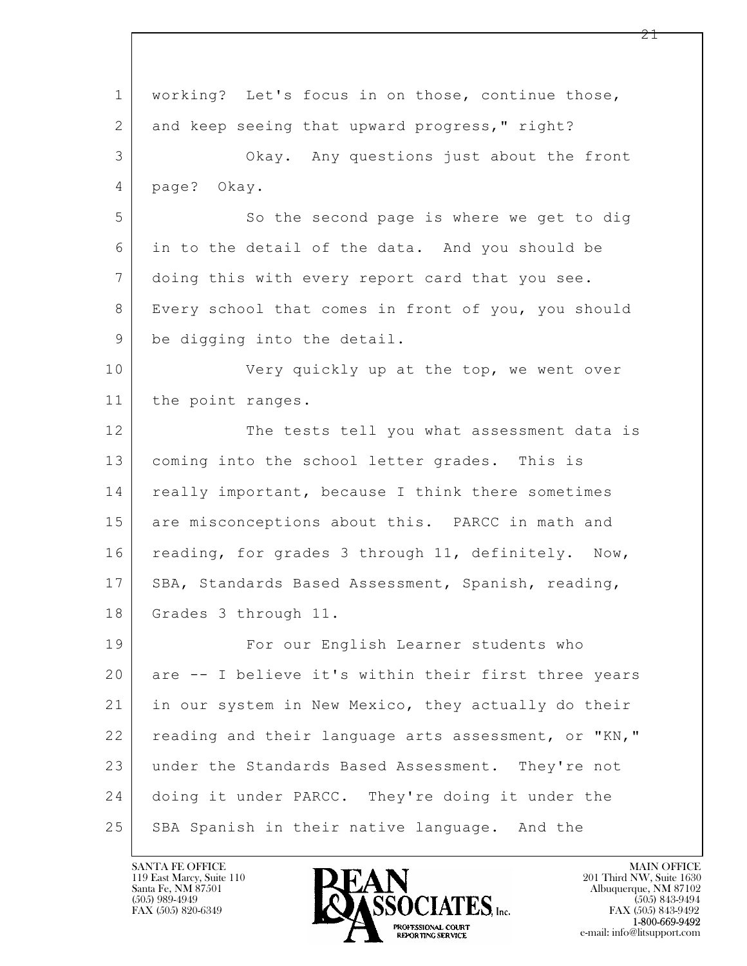$\mathbf{L}$  1 working? Let's focus in on those, continue those, 2 and keep seeing that upward progress," right? 3 Okay. Any questions just about the front 4 page? Okay. 5 So the second page is where we get to dig 6 in to the detail of the data. And you should be 7 doing this with every report card that you see. 8 Every school that comes in front of you, you should 9 be digging into the detail. 10 Very quickly up at the top, we went over 11 the point ranges. 12 The tests tell you what assessment data is 13 coming into the school letter grades. This is 14 really important, because I think there sometimes 15 are misconceptions about this. PARCC in math and 16 reading, for grades 3 through 11, definitely. Now, 17 | SBA, Standards Based Assessment, Spanish, reading, 18 Grades 3 through 11. 19 For our English Learner students who 20 are -- I believe it's within their first three years 21 in our system in New Mexico, they actually do their 22 reading and their language arts assessment, or "KN," 23 under the Standards Based Assessment. They're not 24 doing it under PARCC. They're doing it under the 25 SBA Spanish in their native language. And the

119 East Marcy, Suite 110<br>Santa Fe, NM 87501



FAX (505) 843-9492 e-mail: info@litsupport.com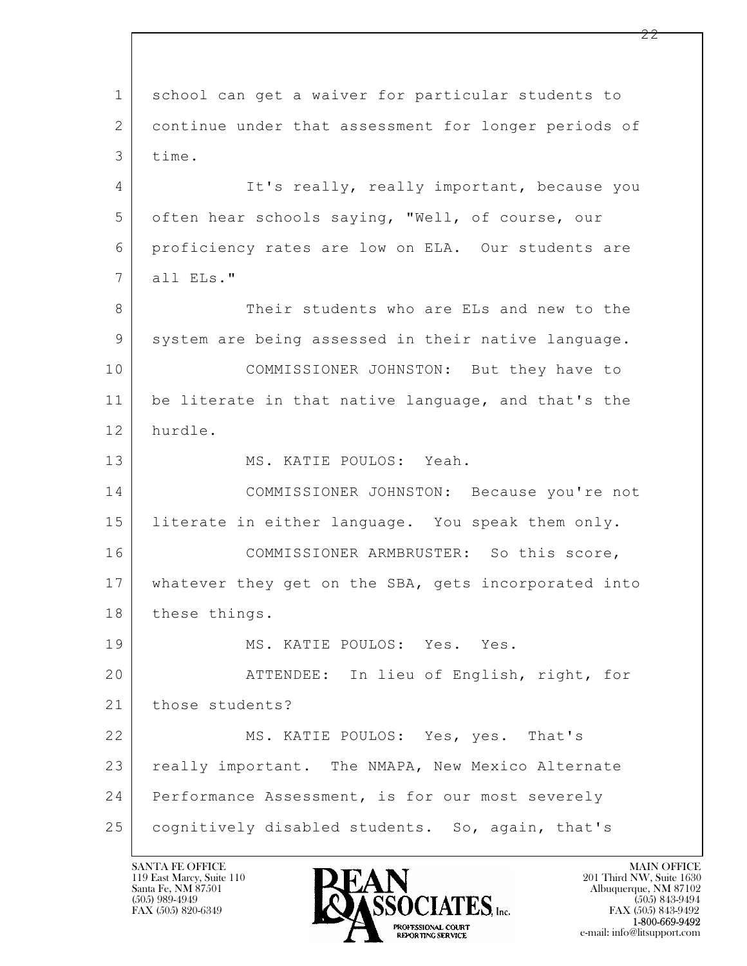$\mathbf{L}$  1 school can get a waiver for particular students to 2 continue under that assessment for longer periods of 3 time. 4 It's really, really important, because you 5 often hear schools saying, "Well, of course, our 6 proficiency rates are low on ELA. Our students are 7 all ELs." 8 Their students who are ELs and new to the 9 system are being assessed in their native language. 10 COMMISSIONER JOHNSTON: But they have to 11 be literate in that native language, and that's the 12 hurdle. 13 MS. KATIE POULOS: Yeah. 14 COMMISSIONER JOHNSTON: Because you're not 15 literate in either language. You speak them only. 16 COMMISSIONER ARMBRUSTER: So this score, 17 whatever they get on the SBA, gets incorporated into 18 these things. 19 MS. KATIE POULOS: Yes. Yes. 20 ATTENDEE: In lieu of English, right, for 21 those students? 22 MS. KATIE POULOS: Yes, yes. That's 23 really important. The NMAPA, New Mexico Alternate 24 | Performance Assessment, is for our most severely 25 | cognitively disabled students. So, again, that's

119 East Marcy, Suite 110<br>Santa Fe, NM 87501



FAX (505) 843-9492 e-mail: info@litsupport.com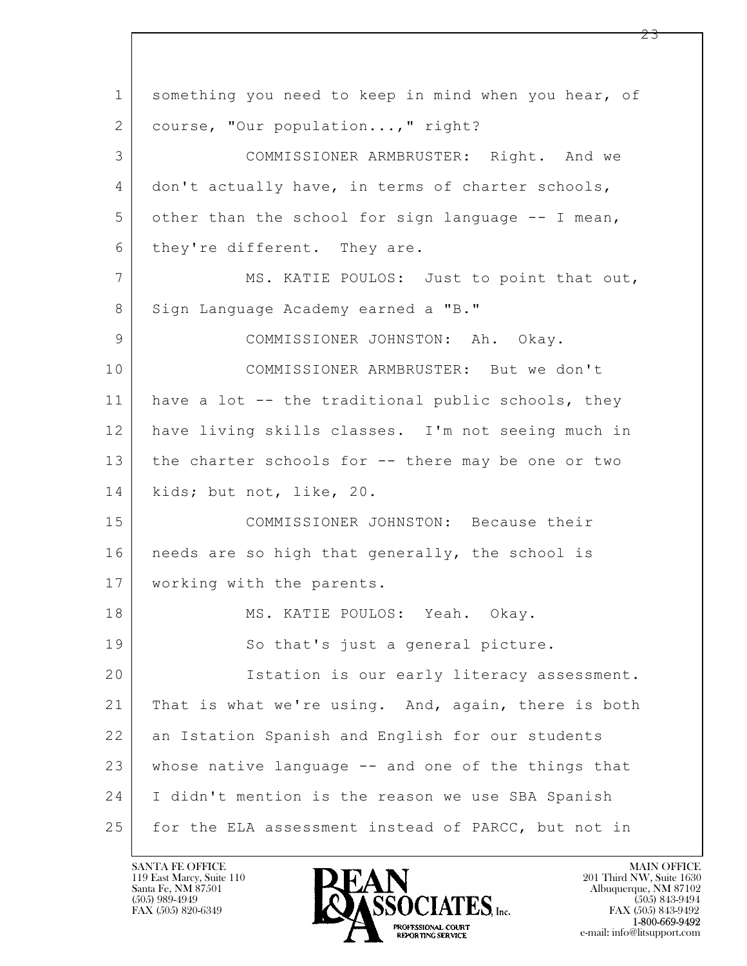$\mathbf{L}$  1 something you need to keep in mind when you hear, of 2 | course, "Our population...," right? 3 COMMISSIONER ARMBRUSTER: Right. And we 4 don't actually have, in terms of charter schools,  $5$  other than the school for sign language  $-$ - I mean, 6 they're different. They are. 7 MS. KATIE POULOS: Just to point that out, 8 Sign Language Academy earned a "B." 9 COMMISSIONER JOHNSTON: Ah. Okay. 10 COMMISSIONER ARMBRUSTER: But we don't 11 have a lot -- the traditional public schools, they 12 have living skills classes. I'm not seeing much in 13 the charter schools for -- there may be one or two 14 kids; but not, like, 20. 15 COMMISSIONER JOHNSTON: Because their 16 | needs are so high that generally, the school is 17 working with the parents. 18 | MS. KATIE POULOS: Yeah. Okay. 19 So that's just a general picture. 20 Istation is our early literacy assessment. 21 That is what we're using. And, again, there is both 22 an Istation Spanish and English for our students 23 whose native language -- and one of the things that 24 I didn't mention is the reason we use SBA Spanish 25 for the ELA assessment instead of PARCC, but not in

119 East Marcy, Suite 110<br>Santa Fe, NM 87501

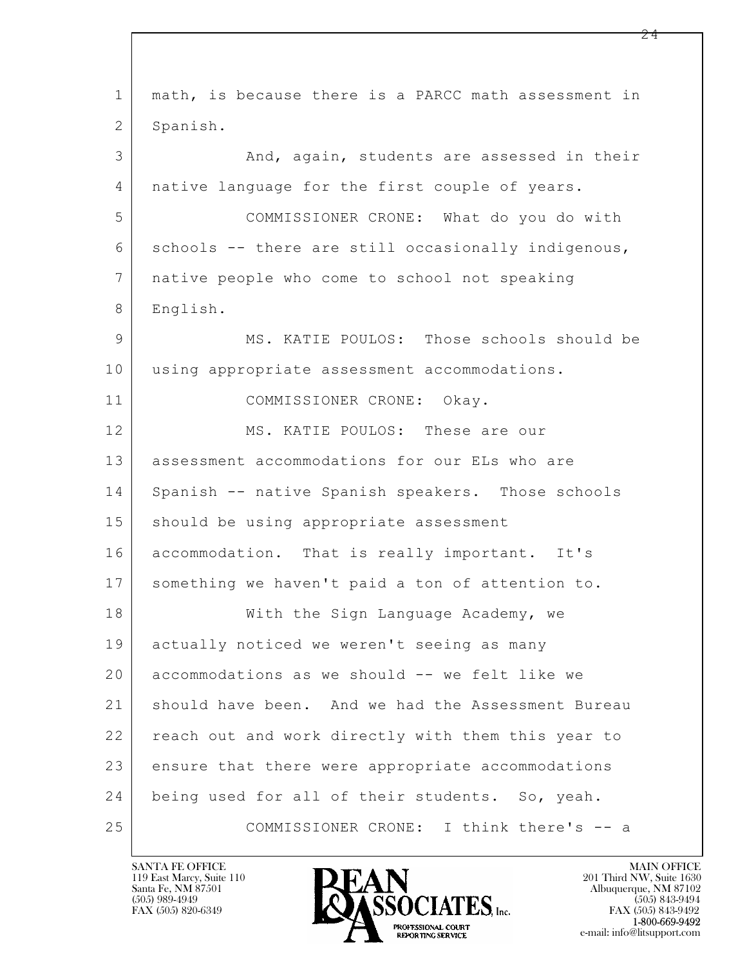| $\mathbf{1}$    | math, is because there is a PARCC math assessment in |
|-----------------|------------------------------------------------------|
| 2               | Spanish.                                             |
| 3               | And, again, students are assessed in their           |
| $\overline{4}$  | native language for the first couple of years.       |
| 5               | COMMISSIONER CRONE: What do you do with              |
| 6               | schools -- there are still occasionally indigenous,  |
| $7\phantom{.0}$ | native people who come to school not speaking        |
| 8               | English.                                             |
| 9               | MS. KATIE POULOS: Those schools should be            |
| 10              | using appropriate assessment accommodations.         |
| 11              | COMMISSIONER CRONE: Okay.                            |
| 12              | MS. KATIE POULOS: These are our                      |
| 13              | assessment accommodations for our ELs who are        |
| 14              | Spanish -- native Spanish speakers. Those schools    |
| 15              | should be using appropriate assessment               |
| 16              | accommodation. That is really important. It's        |
| 17              | something we haven't paid a ton of attention to.     |
| 18              | With the Sign Language Academy, we                   |
| 19              | actually noticed we weren't seeing as many           |
| 20              | accommodations as we should -- we felt like we       |
| 21              | should have been. And we had the Assessment Bureau   |
| 22              | reach out and work directly with them this year to   |
| 23              | ensure that there were appropriate accommodations    |
| 24              | being used for all of their students. So, yeah.      |
| 25              | COMMISSIONER CRONE: I think there's -- a             |

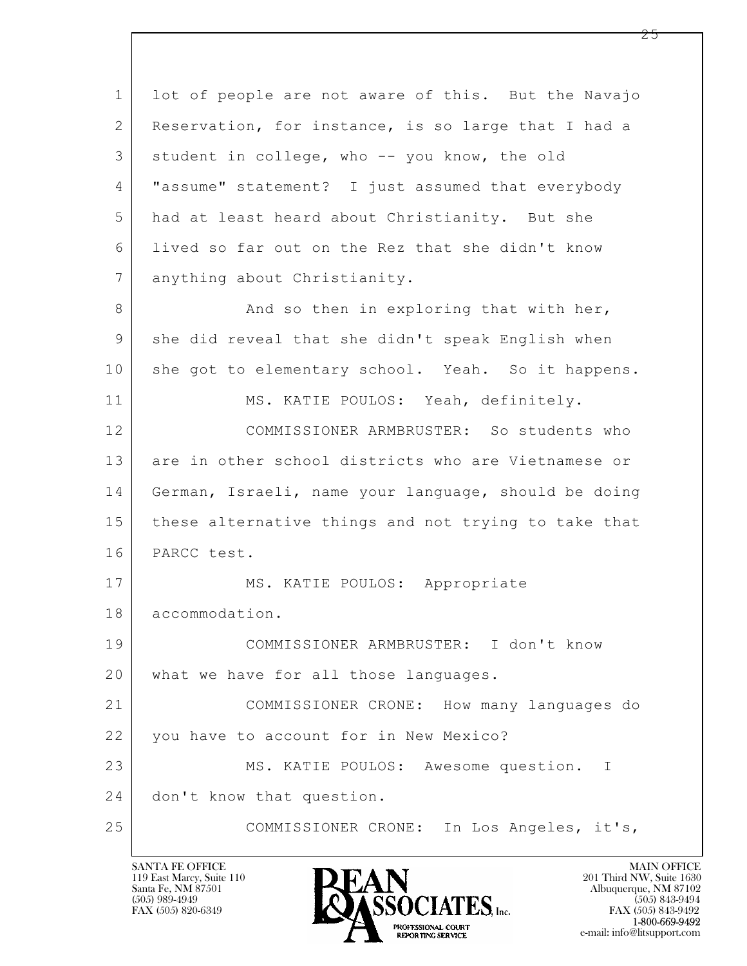$\mathbf{L}$  1 lot of people are not aware of this. But the Navajo 2 Reservation, for instance, is so large that I had a 3 student in college, who -- you know, the old 4 "assume" statement? I just assumed that everybody 5 had at least heard about Christianity. But she 6 lived so far out on the Rez that she didn't know 7 anything about Christianity. 8 And so then in exploring that with her, 9 she did reveal that she didn't speak English when 10 she got to elementary school. Yeah. So it happens. 11 MS. KATIE POULOS: Yeah, definitely. 12 COMMISSIONER ARMBRUSTER: So students who 13 are in other school districts who are Vietnamese or 14 German, Israeli, name your language, should be doing 15 these alternative things and not trying to take that 16 PARCC test. 17 | MS. KATIE POULOS: Appropriate 18 accommodation. 19 COMMISSIONER ARMBRUSTER: I don't know 20 | what we have for all those languages. 21 COMMISSIONER CRONE: How many languages do 22 | you have to account for in New Mexico? 23 MS. KATIE POULOS: Awesome question. I 24 | don't know that question. 25 COMMISSIONER CRONE: In Los Angeles, it's,

119 East Marcy, Suite 110<br>Santa Fe, NM 87501

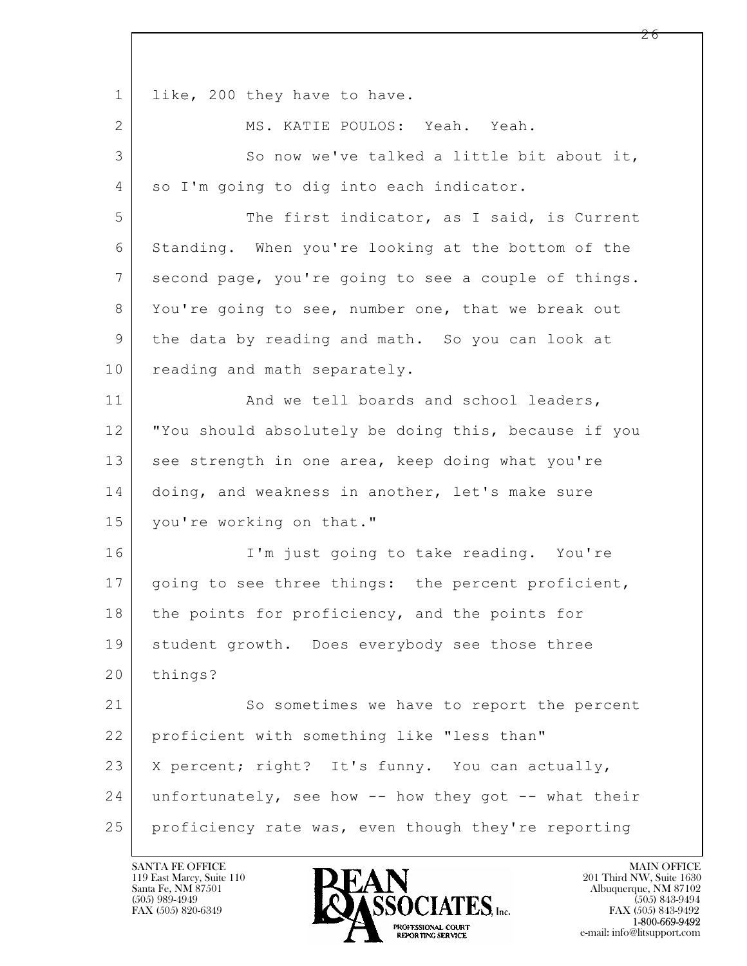$\mathbf{L}$  1 like, 200 they have to have. 2 MS. KATIE POULOS: Yeah. Yeah. 3 So now we've talked a little bit about it, 4 so I'm going to dig into each indicator. 5 The first indicator, as I said, is Current 6 Standing. When you're looking at the bottom of the 7 second page, you're going to see a couple of things. 8 You're going to see, number one, that we break out 9 the data by reading and math. So you can look at 10 reading and math separately. 11 | And we tell boards and school leaders, 12 "You should absolutely be doing this, because if you 13 see strength in one area, keep doing what you're 14 doing, and weakness in another, let's make sure 15 you're working on that." 16 I'm just going to take reading. You're 17 | going to see three things: the percent proficient, 18 the points for proficiency, and the points for 19 | student growth. Does everybody see those three 20 | things? 21 So sometimes we have to report the percent 22 proficient with something like "less than" 23 | X percent; right? It's funny. You can actually, 24 unfortunately, see how -- how they got -- what their 25 proficiency rate was, even though they're reporting

119 East Marcy, Suite 110<br>Santa Fe, NM 87501



FAX (505) 843-9492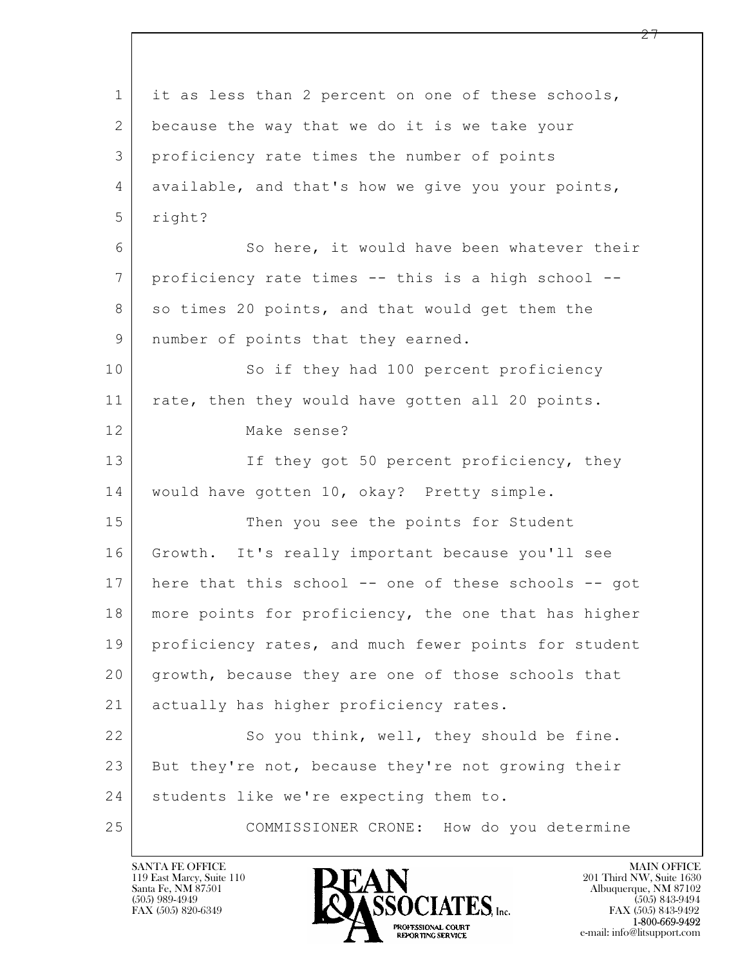$\mathbf{L}$  1 it as less than 2 percent on one of these schools, 2 because the way that we do it is we take your 3 proficiency rate times the number of points 4 available, and that's how we give you your points, 5 right? 6 So here, it would have been whatever their 7 proficiency rate times -- this is a high school -- 8 so times 20 points, and that would get them the 9 | number of points that they earned. 10 So if they had 100 percent proficiency 11 | rate, then they would have gotten all 20 points. 12 Make sense? 13 If they got 50 percent proficiency, they 14 would have gotten 10, okay? Pretty simple. 15 Then you see the points for Student 16 Growth. It's really important because you'll see 17 here that this school -- one of these schools -- got 18 | more points for proficiency, the one that has higher 19 | proficiency rates, and much fewer points for student 20 growth, because they are one of those schools that 21 | actually has higher proficiency rates. 22 So you think, well, they should be fine. 23 But they're not, because they're not growing their 24 | students like we're expecting them to. 25 COMMISSIONER CRONE: How do you determine

![](_page_26_Picture_2.jpeg)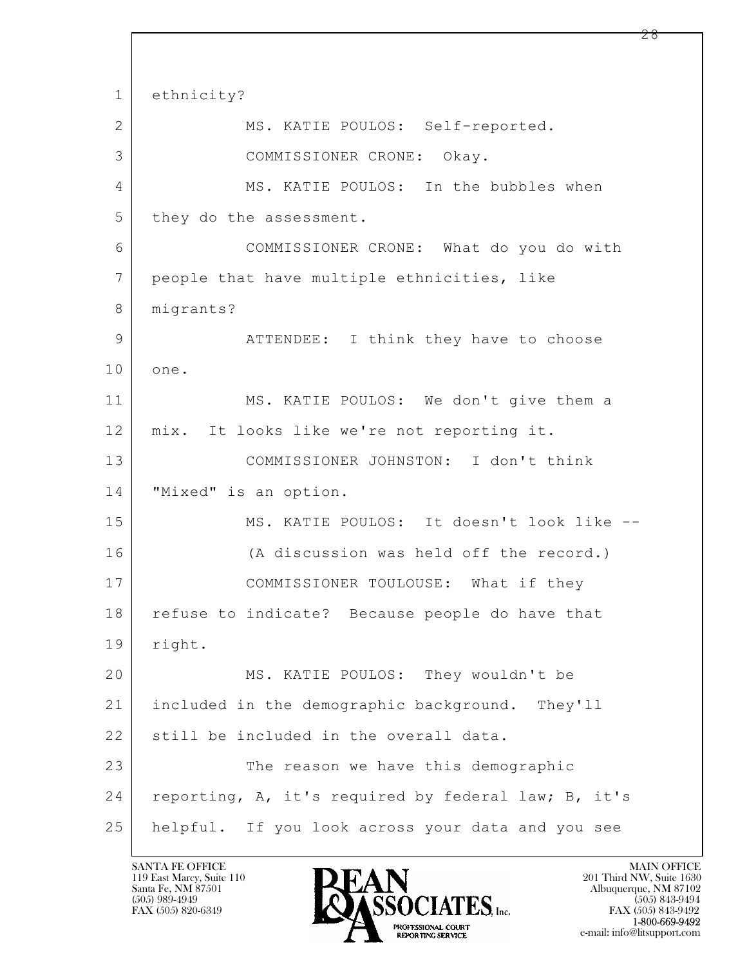$\mathbf{L}$  1 ethnicity? 2 | MS. KATIE POULOS: Self-reported. 3 COMMISSIONER CRONE: Okay. 4 MS. KATIE POULOS: In the bubbles when 5 they do the assessment. 6 COMMISSIONER CRONE: What do you do with 7 people that have multiple ethnicities, like 8 | migrants? 9 | ATTENDEE: I think they have to choose 10 one. 11 MS. KATIE POULOS: We don't give them a 12 mix. It looks like we're not reporting it. 13 COMMISSIONER JOHNSTON: I don't think 14 "Mixed" is an option. 15 MS. KATIE POULOS: It doesn't look like -- 16 (A discussion was held off the record.) 17 | COMMISSIONER TOULOUSE: What if they 18 | refuse to indicate? Because people do have that 19 right. 20 MS. KATIE POULOS: They wouldn't be 21 included in the demographic background. They'll 22 still be included in the overall data. 23 The reason we have this demographic 24 reporting, A, it's required by federal law; B, it's 25 helpful. If you look across your data and you see

119 East Marcy, Suite 110<br>Santa Fe, NM 87501

![](_page_27_Picture_2.jpeg)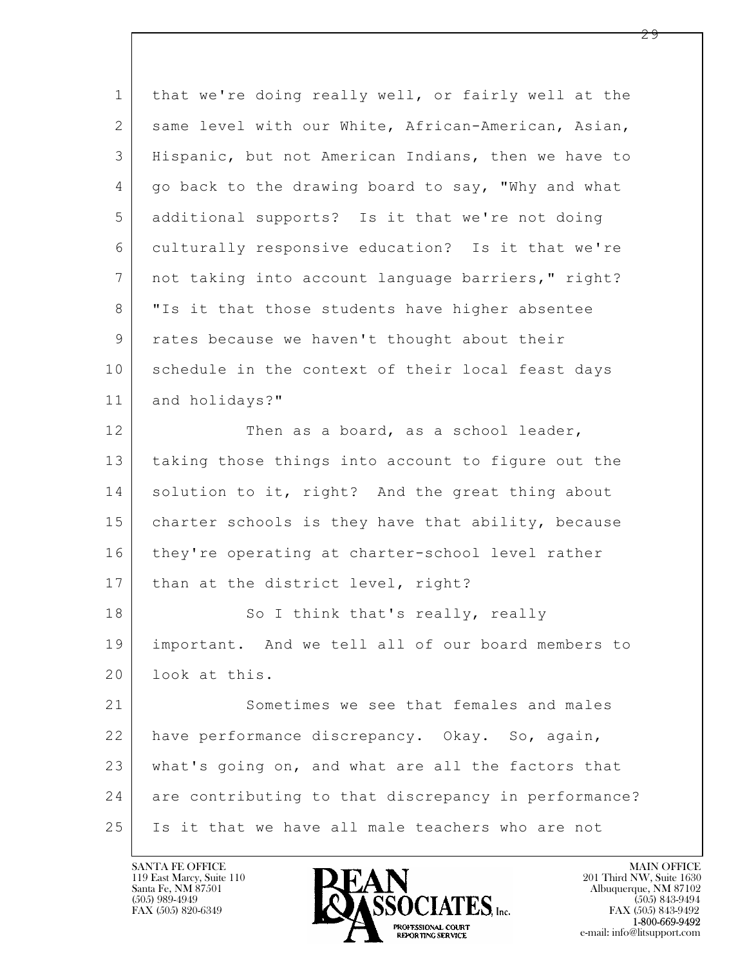$\mathbf{L}$  1 that we're doing really well, or fairly well at the 2 same level with our White, African-American, Asian, 3 Hispanic, but not American Indians, then we have to 4 | go back to the drawing board to say, "Why and what 5 additional supports? Is it that we're not doing 6 culturally responsive education? Is it that we're 7 | not taking into account language barriers," right? 8 | "Is it that those students have higher absentee 9 rates because we haven't thought about their 10 schedule in the context of their local feast days 11 and holidays?" 12 Then as a board, as a school leader, 13 taking those things into account to figure out the 14 solution to it, right? And the great thing about 15 | charter schools is they have that ability, because 16 they're operating at charter-school level rather 17 | than at the district level, right? 18 So I think that's really, really 19 important. And we tell all of our board members to 20 look at this. 21 Sometimes we see that females and males 22 have performance discrepancy. Okay. So, again, 23 what's going on, and what are all the factors that 24 are contributing to that discrepancy in performance? 25 Is it that we have all male teachers who are not

119 East Marcy, Suite 110<br>Santa Fe, NM 87501

![](_page_28_Picture_2.jpeg)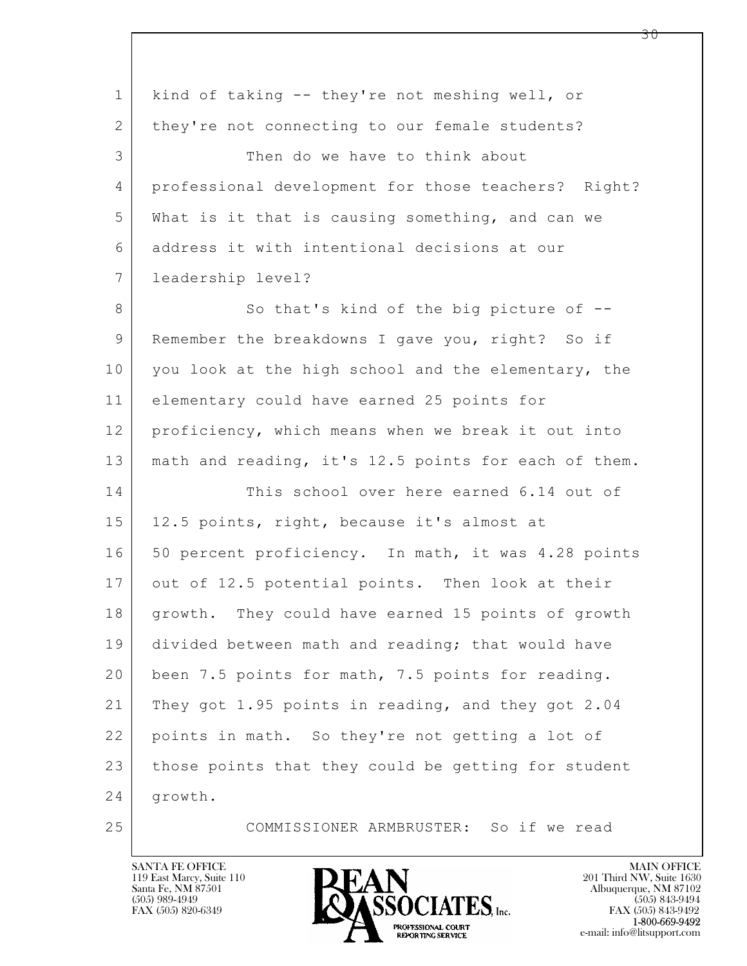| $\mathbf 1$    | kind of taking -- they're not meshing well, or       |
|----------------|------------------------------------------------------|
| $\overline{2}$ | they're not connecting to our female students?       |
| 3              | Then do we have to think about                       |
| 4              | professional development for those teachers? Right?  |
| 5              | What is it that is causing something, and can we     |
| 6              | address it with intentional decisions at our         |
| $\overline{7}$ | leadership level?                                    |
| 8              | So that's kind of the big picture of --              |
| 9              | Remember the breakdowns I gave you, right? So if     |
| 10             | you look at the high school and the elementary, the  |
| 11             | elementary could have earned 25 points for           |
| 12             | proficiency, which means when we break it out into   |
| 13             | math and reading, it's 12.5 points for each of them. |
| 14             | This school over here earned 6.14 out of             |
| 15             | 12.5 points, right, because it's almost at           |
| 16             | 50 percent proficiency. In math, it was 4.28 points  |
| 17             | out of 12.5 potential points. Then look at their     |
| 18             | growth. They could have earned 15 points of growth   |
| 19             | divided between math and reading; that would have    |
| 20             | been 7.5 points for math, 7.5 points for reading.    |
| 21             | They got 1.95 points in reading, and they got 2.04   |
| 22             | points in math. So they're not getting a lot of      |
| 23             | those points that they could be getting for student  |
| 24             | growth.                                              |
| 25             | COMMISSIONER ARMBRUSTER: So if we read               |

![](_page_29_Picture_2.jpeg)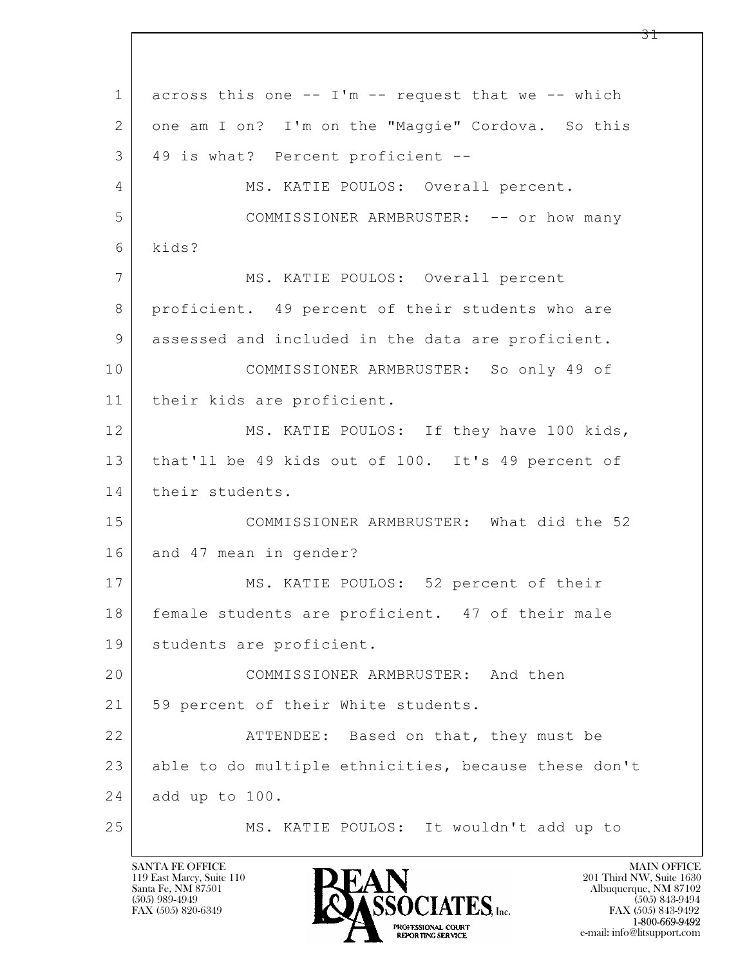$\mathbf{L}$  1 across this one -- I'm -- request that we -- which 2 one am I on? I'm on the "Maggie" Cordova. So this 3 49 is what? Percent proficient -- 4 | MS. KATIE POULOS: Overall percent. 5 COMMISSIONER ARMBRUSTER: -- or how many 6 kids? 7 MS. KATIE POULOS: Overall percent 8 proficient. 49 percent of their students who are 9 assessed and included in the data are proficient. 10 COMMISSIONER ARMBRUSTER: So only 49 of 11 their kids are proficient. 12 MS. KATIE POULOS: If they have 100 kids, 13 | that'll be 49 kids out of 100. It's 49 percent of 14 their students. 15 COMMISSIONER ARMBRUSTER: What did the 52 16 and 47 mean in gender? 17 MS. KATIE POULOS: 52 percent of their 18 female students are proficient. 47 of their male 19 students are proficient. 20 COMMISSIONER ARMBRUSTER: And then 21 | 59 percent of their White students. 22 | **ATTENDEE:** Based on that, they must be 23 able to do multiple ethnicities, because these don't 24 add up to 100. 25 MS. KATIE POULOS: It wouldn't add up to

119 East Marcy, Suite 110<br>Santa Fe, NM 87501

![](_page_30_Picture_2.jpeg)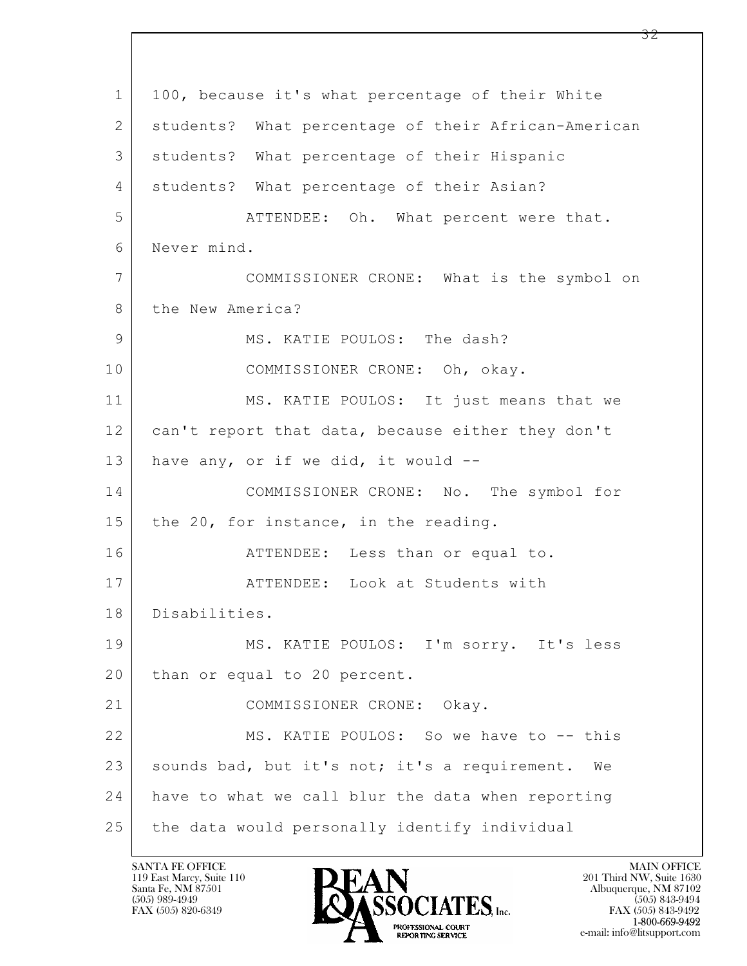$\mathbf{L}$  1 | 100, because it's what percentage of their White 2 students? What percentage of their African-American 3 students? What percentage of their Hispanic 4 | students? What percentage of their Asian? 5 | ATTENDEE: Oh. What percent were that. 6 Never mind. 7 COMMISSIONER CRONE: What is the symbol on 8 the New America? 9 MS. KATIE POULOS: The dash? 10 COMMISSIONER CRONE: Oh, okay. 11 MS. KATIE POULOS: It just means that we 12 can't report that data, because either they don't 13 have any, or if we did, it would  $-$ 14 COMMISSIONER CRONE: No. The symbol for 15 | the 20, for instance, in the reading. 16 | THENDEE: Less than or equal to. 17 ATTENDEE: Look at Students with 18 Disabilities. 19 MS. KATIE POULOS: I'm sorry. It's less 20 | than or equal to 20 percent. 21 COMMISSIONER CRONE: Okay. 22 MS. KATIE POULOS: So we have to -- this 23 sounds bad, but it's not; it's a requirement. We 24 have to what we call blur the data when reporting 25 the data would personally identify individual

119 East Marcy, Suite 110<br>Santa Fe, NM 87501

![](_page_31_Picture_2.jpeg)

FAX (505) 843-9492 e-mail: info@litsupport.com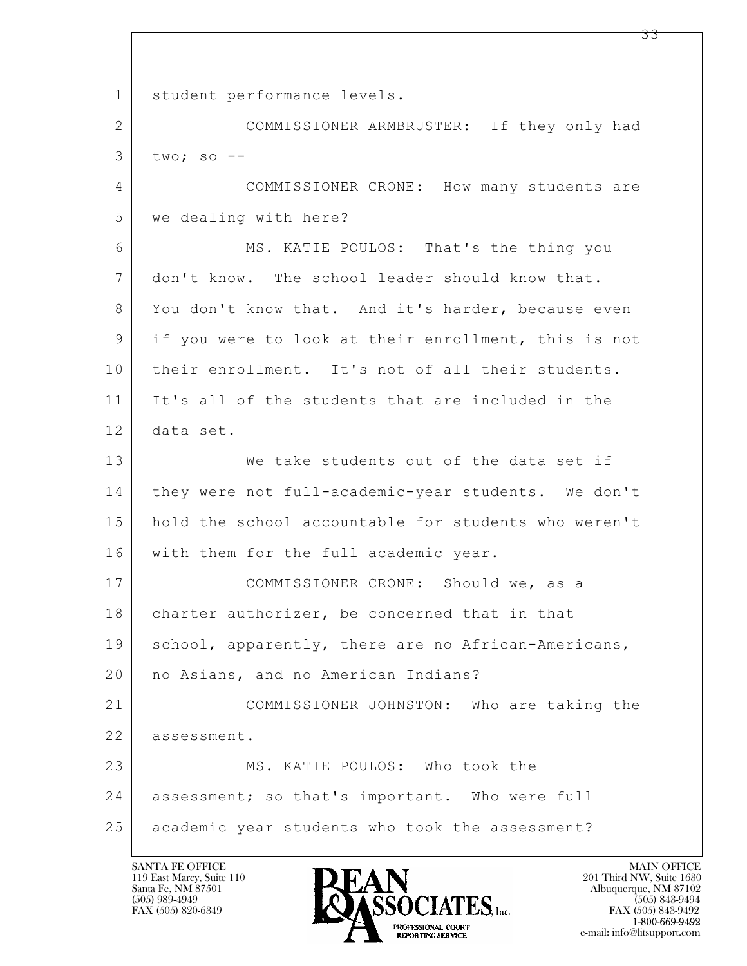$\mathbf{L}$  1 student performance levels. 2 COMMISSIONER ARMBRUSTER: If they only had  $3$  two; so  $-$ 4 COMMISSIONER CRONE: How many students are 5 we dealing with here? 6 MS. KATIE POULOS: That's the thing you 7 don't know. The school leader should know that. 8 You don't know that. And it's harder, because even 9 if you were to look at their enrollment, this is not 10 | their enrollment. It's not of all their students. 11 It's all of the students that are included in the 12 data set. 13 We take students out of the data set if 14 they were not full-academic-year students. We don't 15 hold the school accountable for students who weren't 16 | with them for the full academic year. 17 COMMISSIONER CRONE: Should we, as a 18 | charter authorizer, be concerned that in that 19 | school, apparently, there are no African-Americans, 20 | no Asians, and no American Indians? 21 COMMISSIONER JOHNSTON: Who are taking the 22 assessment. 23 MS. KATIE POULOS: Who took the 24 | assessment; so that's important. Who were full 25 academic year students who took the assessment?

![](_page_32_Picture_2.jpeg)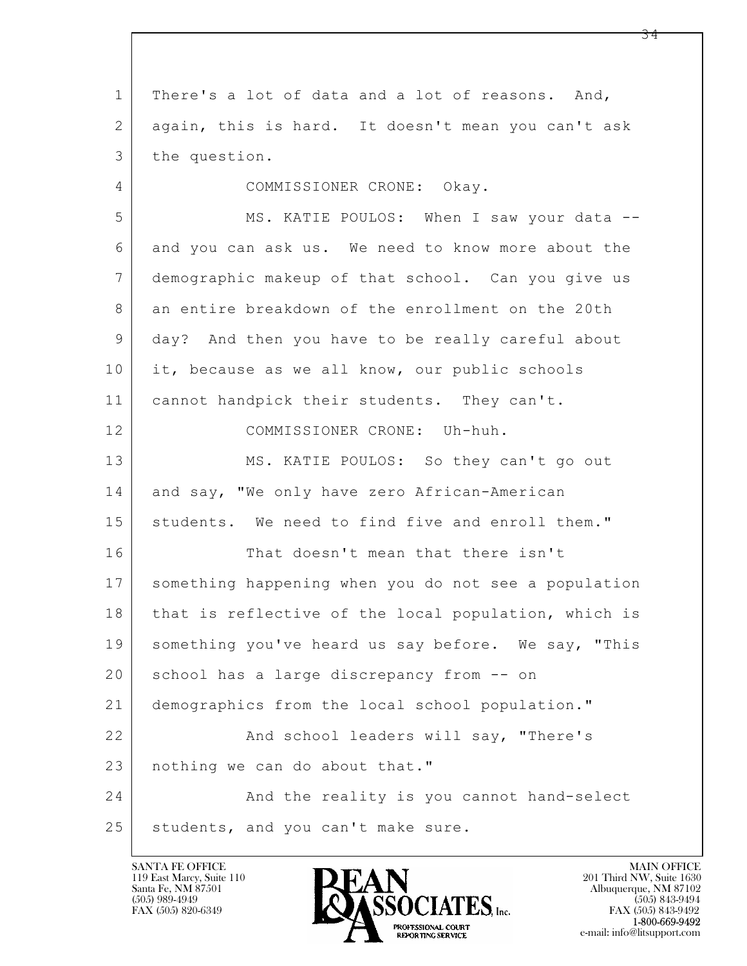$\mathbf{L}$  1 There's a lot of data and a lot of reasons. And, 2 again, this is hard. It doesn't mean you can't ask 3 the question. 4 COMMISSIONER CRONE: Okay. 5 MS. KATIE POULOS: When I saw your data -- 6 and you can ask us. We need to know more about the 7 demographic makeup of that school. Can you give us 8 an entire breakdown of the enrollment on the 20th 9 day? And then you have to be really careful about 10 it, because as we all know, our public schools 11 | cannot handpick their students. They can't. 12 COMMISSIONER CRONE: Uh-huh. 13 MS. KATIE POULOS: So they can't go out 14 and say, "We only have zero African-American 15 students. We need to find five and enroll them." 16 That doesn't mean that there isn't 17 something happening when you do not see a population 18 | that is reflective of the local population, which is 19 something you've heard us say before. We say, "This 20 | school has a large discrepancy from -- on 21 demographics from the local school population." 22 And school leaders will say, "There's 23 nothing we can do about that." 24 And the reality is you cannot hand-select 25 students, and you can't make sure.

119 East Marcy, Suite 110<br>Santa Fe, NM 87501

![](_page_33_Picture_2.jpeg)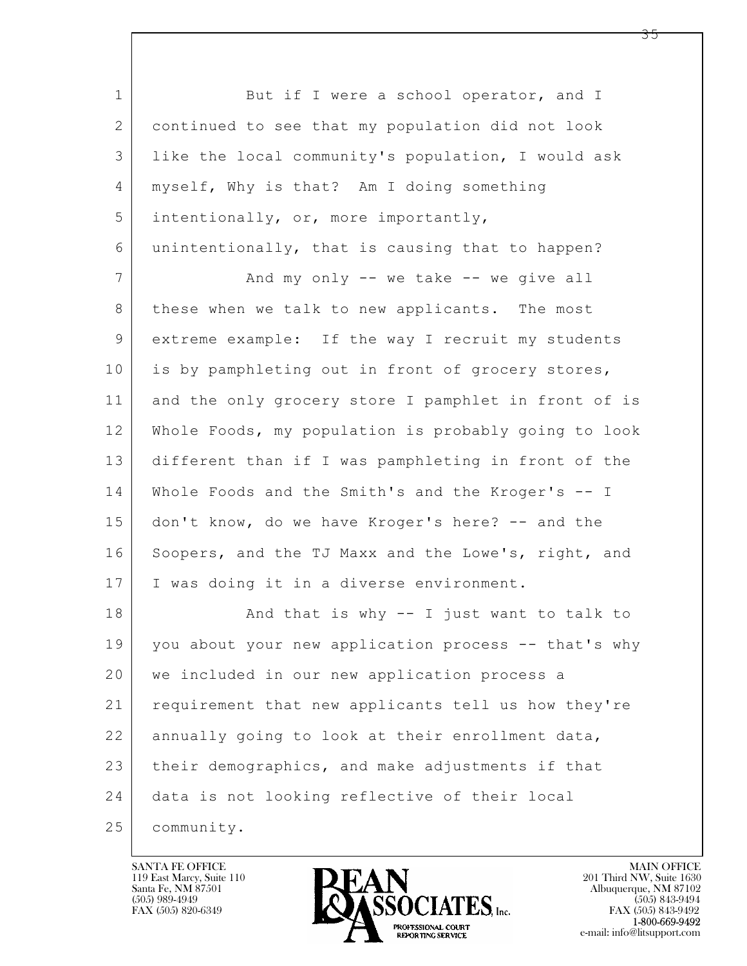$\mathbf{L}$  1 But if I were a school operator, and I 2 continued to see that my population did not look 3 like the local community's population, I would ask 4 myself, Why is that? Am I doing something 5 intentionally, or, more importantly, 6 unintentionally, that is causing that to happen? 7 And my only -- we take -- we give all 8 | these when we talk to new applicants. The most 9 extreme example: If the way I recruit my students 10 is by pamphleting out in front of grocery stores, 11 and the only grocery store I pamphlet in front of is 12 Whole Foods, my population is probably going to look 13 different than if I was pamphleting in front of the 14 Whole Foods and the Smith's and the Kroger's -- I 15 don't know, do we have Kroger's here? -- and the 16 Soopers, and the TJ Maxx and the Lowe's, right, and 17 | I was doing it in a diverse environment. 18 | Rand that is why -- I just want to talk to 19 you about your new application process -- that's why 20 we included in our new application process a 21 requirement that new applicants tell us how they're 22 annually going to look at their enrollment data, 23 their demographics, and make adjustments if that 24 data is not looking reflective of their local 25 community.

119 East Marcy, Suite 110<br>Santa Fe, NM 87501

![](_page_34_Picture_2.jpeg)

FAX (505) 843-9492 e-mail: info@litsupport.com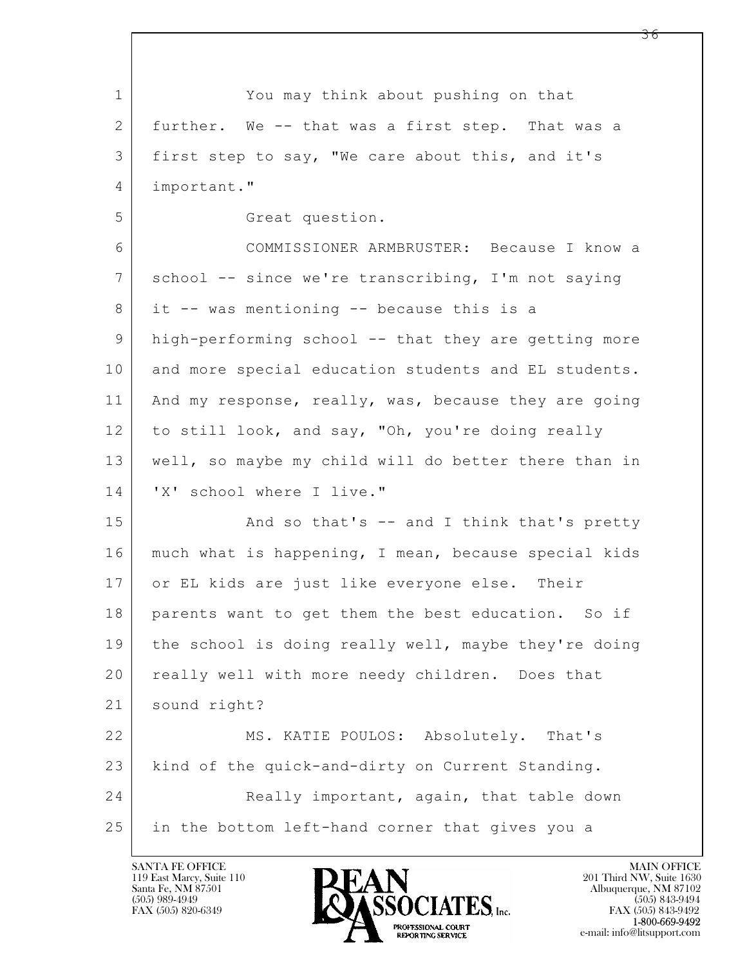$\mathbf{L}$  1 You may think about pushing on that 2 further. We -- that was a first step. That was a 3 first step to say, "We care about this, and it's 4 important." 5 Great question. 6 COMMISSIONER ARMBRUSTER: Because I know a 7 school -- since we're transcribing, I'm not saying 8 it -- was mentioning -- because this is a 9 high-performing school -- that they are getting more 10 and more special education students and EL students. 11 | And my response, really, was, because they are going 12 to still look, and say, "Oh, you're doing really 13 well, so maybe my child will do better there than in 14 'X' school where I live." 15 | And so that's -- and I think that's pretty 16 much what is happening, I mean, because special kids 17 or EL kids are just like everyone else. Their 18 parents want to get them the best education. So if 19 the school is doing really well, maybe they're doing 20 | really well with more needy children. Does that 21 sound right? 22 MS. KATIE POULOS: Absolutely. That's 23 kind of the quick-and-dirty on Current Standing. 24 Really important, again, that table down 25 in the bottom left-hand corner that gives you a

119 East Marcy, Suite 110<br>Santa Fe, NM 87501

![](_page_35_Picture_2.jpeg)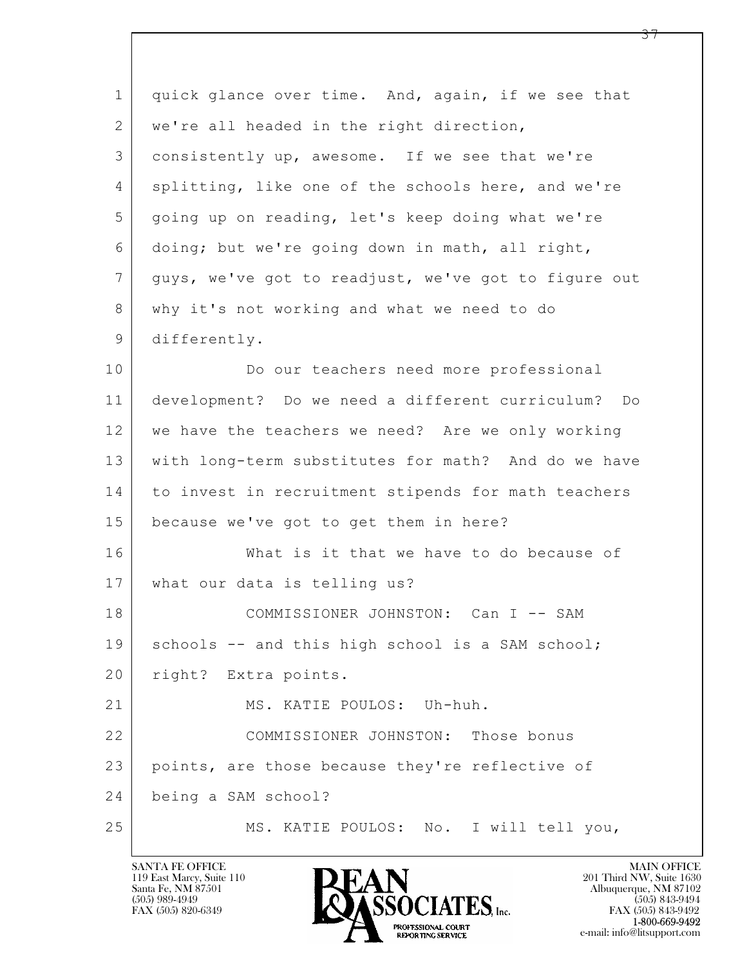| $\mathbf 1$ | quick glance over time. And, again, if we see that   |
|-------------|------------------------------------------------------|
| 2           | we're all headed in the right direction,             |
| 3           | consistently up, awesome. If we see that we're       |
| 4           | splitting, like one of the schools here, and we're   |
| 5           | going up on reading, let's keep doing what we're     |
| 6           | doing; but we're going down in math, all right,      |
| 7           | guys, we've got to readjust, we've got to figure out |
| 8           | why it's not working and what we need to do          |
| 9           | differently.                                         |
| 10          | Do our teachers need more professional               |
| 11          | development? Do we need a different curriculum? Do   |
| 12          | we have the teachers we need? Are we only working    |
| 13          | with long-term substitutes for math? And do we have  |
| 14          | to invest in recruitment stipends for math teachers  |
| 15          | because we've got to get them in here?               |
| 16          | What is it that we have to do because of             |
| 17          | what our data is telling us?                         |
| 18          | COMMISSIONER JOHNSTON: Can I -- SAM                  |
| 19          | schools -- and this high school is a SAM school;     |
| 20          | right? Extra points.                                 |
| 21          | MS. KATIE POULOS: Uh-huh.                            |
| 22          | COMMISSIONER JOHNSTON: Those bonus                   |
| 23          | points, are those because they're reflective of      |
| 24          | being a SAM school?                                  |
| 25          | MS. KATIE POULOS: No. I will tell you,               |

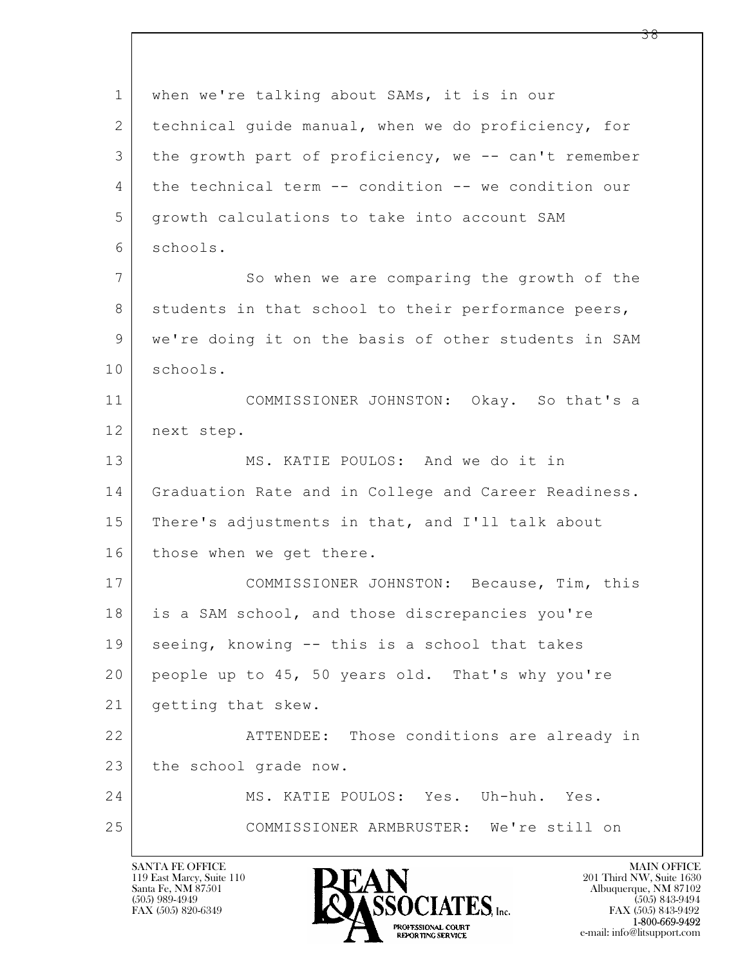$\mathbf{L}$  1 when we're talking about SAMs, it is in our 2 technical guide manual, when we do proficiency, for 3 the growth part of proficiency, we -- can't remember 4 the technical term -- condition -- we condition our 5 growth calculations to take into account SAM 6 schools. 7 So when we are comparing the growth of the 8 students in that school to their performance peers, 9 we're doing it on the basis of other students in SAM 10 schools. 11 COMMISSIONER JOHNSTON: Okay. So that's a 12 next step. 13 MS. KATIE POULOS: And we do it in 14 Graduation Rate and in College and Career Readiness. 15 There's adjustments in that, and I'll talk about 16 those when we get there. 17 COMMISSIONER JOHNSTON: Because, Tim, this 18 is a SAM school, and those discrepancies you're 19 | seeing, knowing -- this is a school that takes 20 people up to 45, 50 years old. That's why you're 21 getting that skew. 22 | ATTENDEE: Those conditions are already in 23 the school grade now. 24 MS. KATIE POULOS: Yes. Uh-huh. Yes. 25 COMMISSIONER ARMBRUSTER: We're still on

119 East Marcy, Suite 110<br>Santa Fe, NM 87501

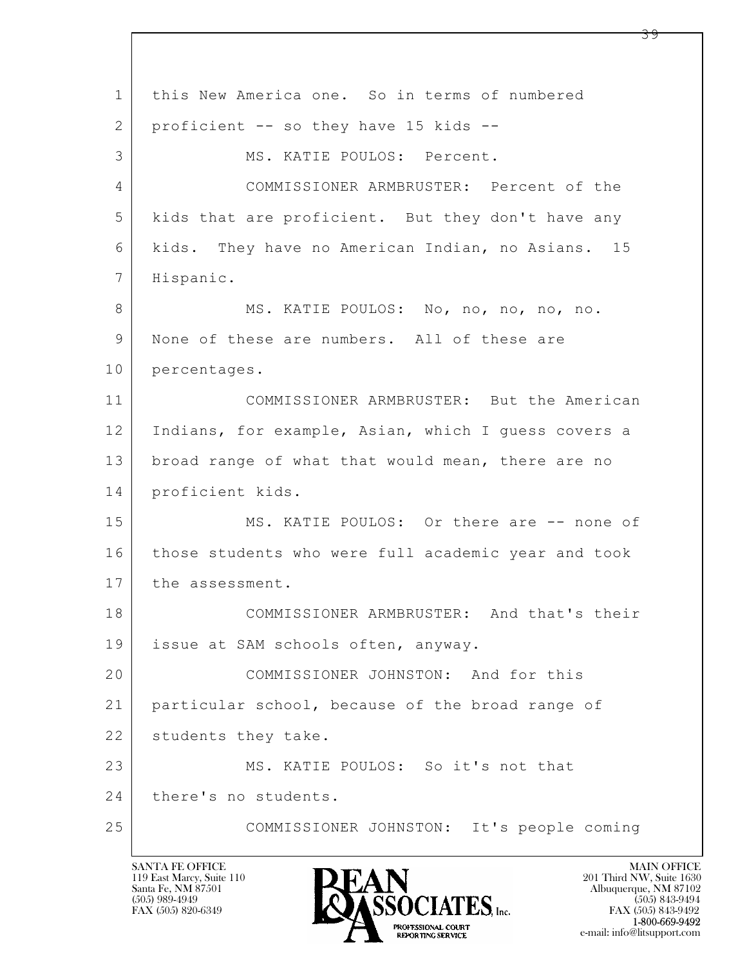$\mathbf{L}$  1 this New America one. So in terms of numbered 2 proficient -- so they have 15 kids --3 MS. KATIE POULOS: Percent. 4 COMMISSIONER ARMBRUSTER: Percent of the 5 kids that are proficient. But they don't have any 6 kids. They have no American Indian, no Asians. 15 7 | Hispanic. 8 MS. KATIE POULOS: No, no, no, no, no. 9 | None of these are numbers. All of these are 10 percentages. 11 COMMISSIONER ARMBRUSTER: But the American 12 Indians, for example, Asian, which I guess covers a 13 broad range of what that would mean, there are no 14 proficient kids. 15 | MS. KATIE POULOS: Or there are -- none of 16 those students who were full academic year and took 17 the assessment. 18 COMMISSIONER ARMBRUSTER: And that's their 19 | issue at SAM schools often, anyway. 20 COMMISSIONER JOHNSTON: And for this 21 particular school, because of the broad range of 22 students they take. 23 MS. KATIE POULOS: So it's not that 24 there's no students. 25 COMMISSIONER JOHNSTON: It's people coming

119 East Marcy, Suite 110<br>Santa Fe, NM 87501

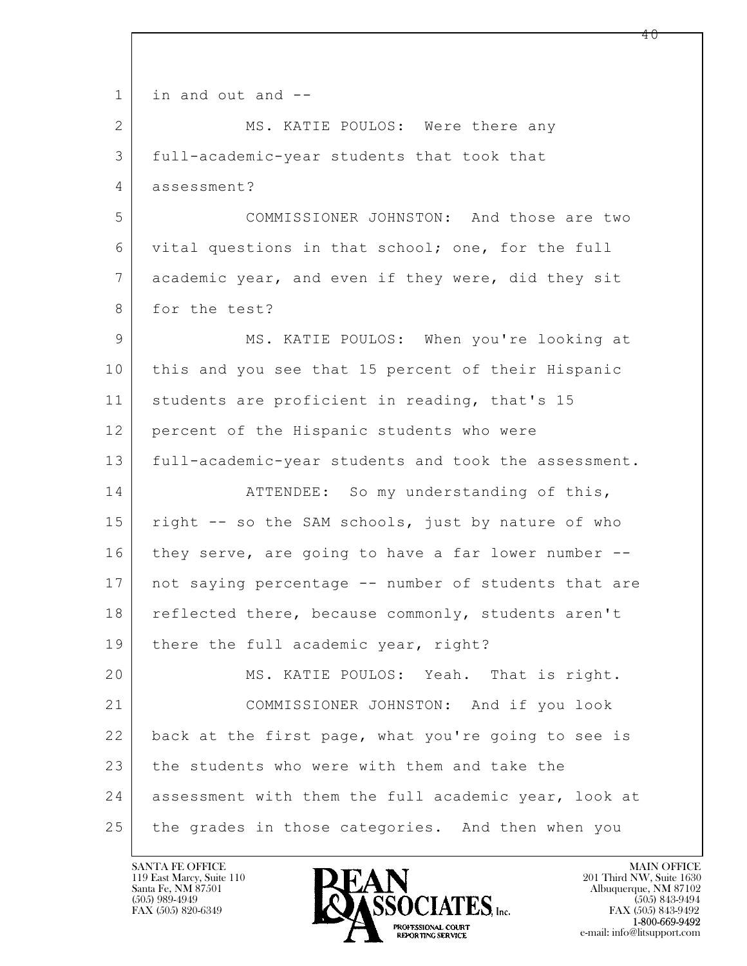$\mathbf{L}$  1 in and out and -- 2 MS. KATIE POULOS: Were there any 3 full-academic-year students that took that 4 assessment? 5 COMMISSIONER JOHNSTON: And those are two 6 vital questions in that school; one, for the full 7 academic year, and even if they were, did they sit 8 for the test? 9 MS. KATIE POULOS: When you're looking at 10 this and you see that 15 percent of their Hispanic 11 | students are proficient in reading, that's 15 12 percent of the Hispanic students who were 13 full-academic-year students and took the assessment. 14 ATTENDEE: So my understanding of this, 15 | right -- so the SAM schools, just by nature of who 16 they serve, are going to have a far lower number -- 17 not saying percentage -- number of students that are 18 | reflected there, because commonly, students aren't 19 | there the full academic year, right? 20 MS. KATIE POULOS: Yeah. That is right. 21 COMMISSIONER JOHNSTON: And if you look 22 back at the first page, what you're going to see is 23 the students who were with them and take the 24 assessment with them the full academic year, look at 25 the grades in those categories. And then when you

119 East Marcy, Suite 110<br>Santa Fe, NM 87501



FAX (505) 843-9492 e-mail: info@litsupport.com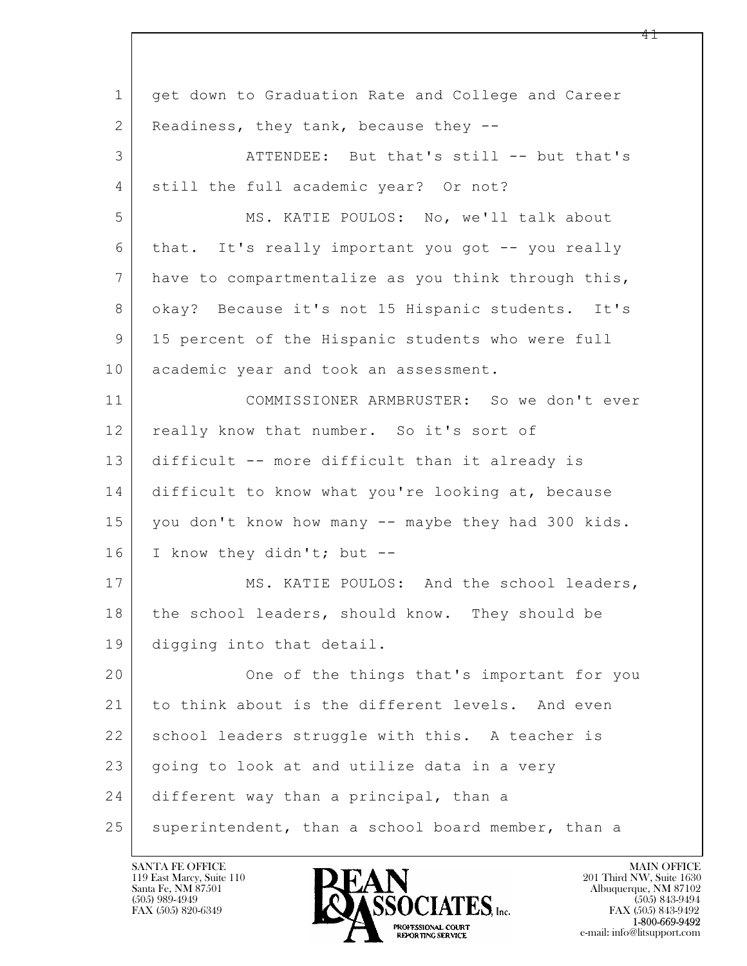$\mathbf{L}$  1 get down to Graduation Rate and College and Career 2 | Readiness, they tank, because they --3 ATTENDEE: But that's still -- but that's 4 | still the full academic year? Or not? 5 MS. KATIE POULOS: No, we'll talk about 6 that. It's really important you got -- you really 7 have to compartmentalize as you think through this, 8 | okay? Because it's not 15 Hispanic students. It's 9 15 percent of the Hispanic students who were full 10 academic year and took an assessment. 11 COMMISSIONER ARMBRUSTER: So we don't ever 12 really know that number. So it's sort of 13 difficult -- more difficult than it already is 14 difficult to know what you're looking at, because 15 you don't know how many -- maybe they had 300 kids. 16 I know they didn't; but -- 17 MS. KATIE POULOS: And the school leaders, 18 the school leaders, should know. They should be 19 digging into that detail. 20 One of the things that's important for you 21 to think about is the different levels. And even 22 school leaders struggle with this. A teacher is  $23$  going to look at and utilize data in a very 24 different way than a principal, than a 25 superintendent, than a school board member, than a

119 East Marcy, Suite 110<br>Santa Fe, NM 87501

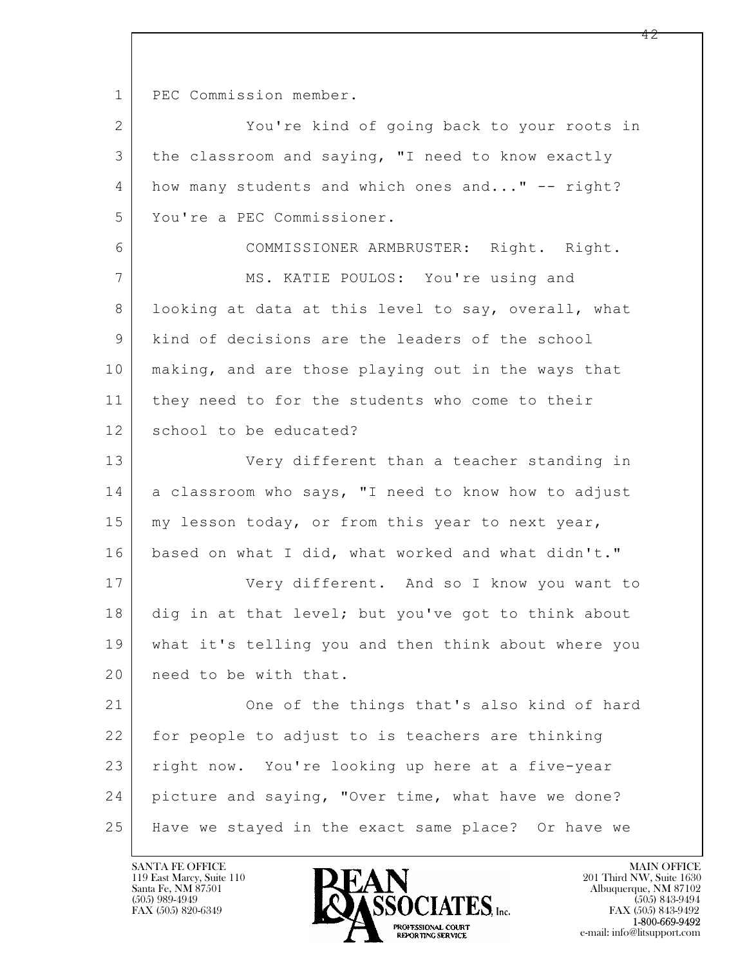1 | PEC Commission member.

 $\mathbf{L}$  2 You're kind of going back to your roots in 3 the classroom and saying, "I need to know exactly 4 how many students and which ones and..." -- right? 5 You're a PEC Commissioner. 6 COMMISSIONER ARMBRUSTER: Right. Right. 7 MS. KATIE POULOS: You're using and 8 | looking at data at this level to say, overall, what 9 kind of decisions are the leaders of the school 10 making, and are those playing out in the ways that 11 they need to for the students who come to their 12 school to be educated? 13 Very different than a teacher standing in 14 a classroom who says, "I need to know how to adjust 15 my lesson today, or from this year to next year, 16 based on what I did, what worked and what didn't." 17 | Very different. And so I know you want to 18 dig in at that level; but you've got to think about 19 what it's telling you and then think about where you 20 need to be with that. 21 One of the things that's also kind of hard 22 for people to adjust to is teachers are thinking 23 | right now. You're looking up here at a five-year 24 picture and saying, "Over time, what have we done? 25 Have we stayed in the exact same place? Or have we

119 East Marcy, Suite 110<br>Santa Fe, NM 87501



FAX (505) 843-9492 e-mail: info@litsupport.com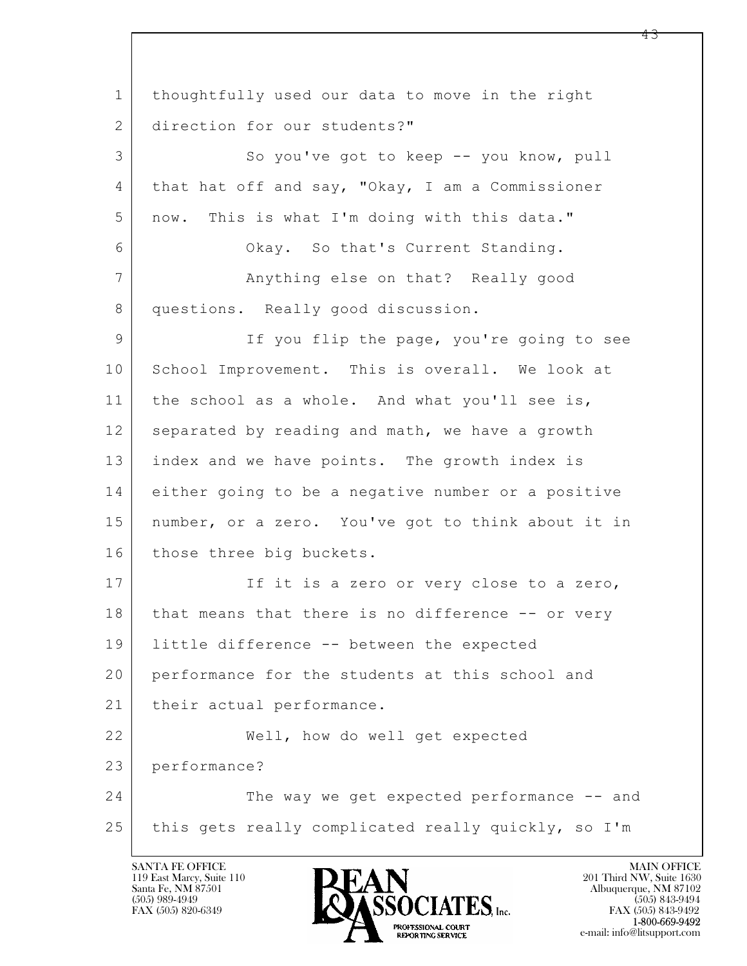$\mathbf{L}$  1 thoughtfully used our data to move in the right 2 direction for our students?" 3 So you've got to keep -- you know, pull 4 | that hat off and say, "Okay, I am a Commissioner 5 now. This is what I'm doing with this data." 6 Okay. So that's Current Standing. 7 | Anything else on that? Really good 8 questions. Really good discussion. 9 If you flip the page, you're going to see 10 School Improvement. This is overall. We look at 11 | the school as a whole. And what you'll see is, 12 separated by reading and math, we have a growth 13 index and we have points. The growth index is 14 either going to be a negative number or a positive 15 number, or a zero. You've got to think about it in 16 those three big buckets. 17 If it is a zero or very close to a zero, 18 | that means that there is no difference -- or very 19 little difference -- between the expected 20 performance for the students at this school and 21 | their actual performance. 22 Well, how do well get expected 23 performance? 24 The way we get expected performance -- and 25 this gets really complicated really quickly, so I'm

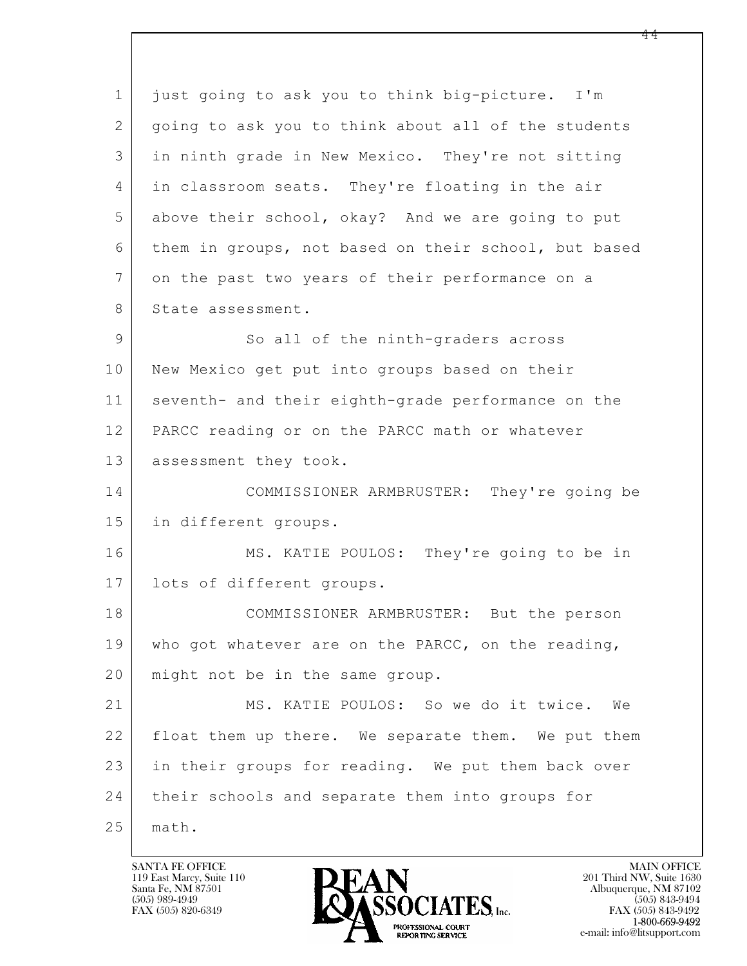$\mathbf{L}$  1 just going to ask you to think big-picture. I'm 2 | going to ask you to think about all of the students 3 in ninth grade in New Mexico. They're not sitting 4 in classroom seats. They're floating in the air 5 above their school, okay? And we are going to put 6 them in groups, not based on their school, but based 7 on the past two years of their performance on a 8 State assessment. 9 So all of the ninth-graders across 10 New Mexico get put into groups based on their 11 seventh- and their eighth-grade performance on the 12 PARCC reading or on the PARCC math or whatever 13 | assessment they took. 14 COMMISSIONER ARMBRUSTER: They're going be 15 in different groups. 16 MS. KATIE POULOS: They're going to be in 17 lots of different groups. 18 COMMISSIONER ARMBRUSTER: But the person 19 who got whatever are on the PARCC, on the reading, 20 | might not be in the same group. 21 MS. KATIE POULOS: So we do it twice. We 22 | float them up there. We separate them. We put them 23 in their groups for reading. We put them back over 24 | their schools and separate them into groups for 25 math.

119 East Marcy, Suite 110<br>Santa Fe, NM 87501

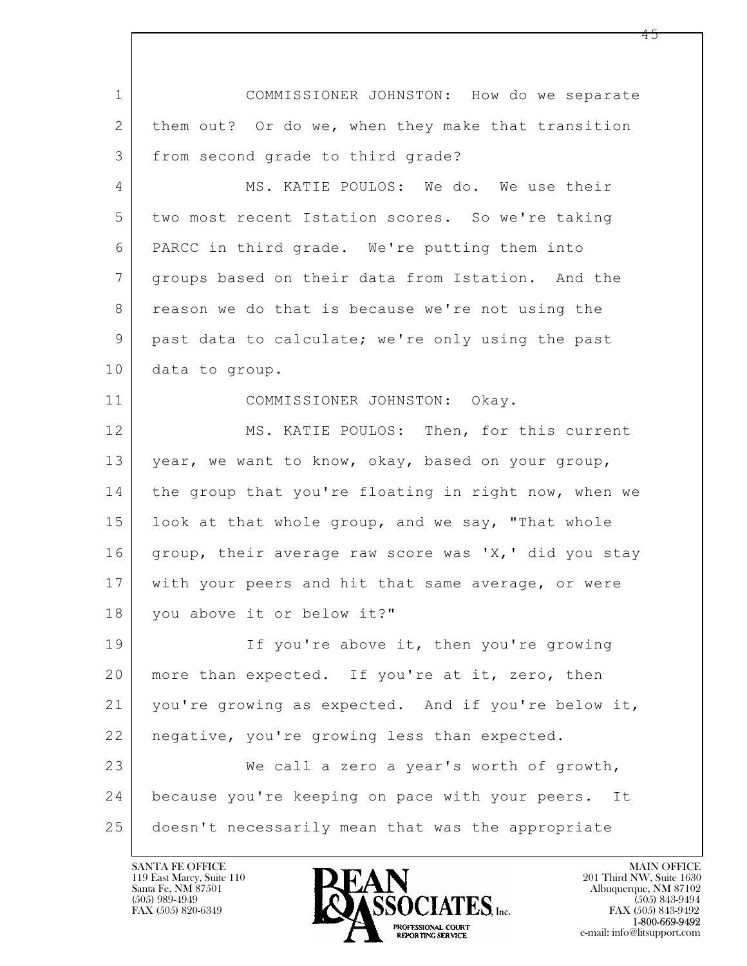$\mathbf{L}$  1 COMMISSIONER JOHNSTON: How do we separate 2 them out? Or do we, when they make that transition 3 from second grade to third grade? 4 MS. KATIE POULOS: We do. We use their 5 two most recent Istation scores. So we're taking 6 PARCC in third grade. We're putting them into 7 groups based on their data from Istation. And the 8 | reason we do that is because we're not using the 9 past data to calculate; we're only using the past 10 data to group. 11 COMMISSIONER JOHNSTON: Okay. 12 MS. KATIE POULOS: Then, for this current 13 | year, we want to know, okay, based on your group, 14 the group that you're floating in right now, when we 15 | look at that whole group, and we say, "That whole 16 group, their average raw score was 'X,' did you stay 17 with your peers and hit that same average, or were 18 you above it or below it?" 19 If you're above it, then you're growing 20 | more than expected. If you're at it, zero, then 21 you're growing as expected. And if you're below it, 22 negative, you're growing less than expected. 23 We call a zero a year's worth of growth, 24 because you're keeping on pace with your peers. It 25 doesn't necessarily mean that was the appropriate

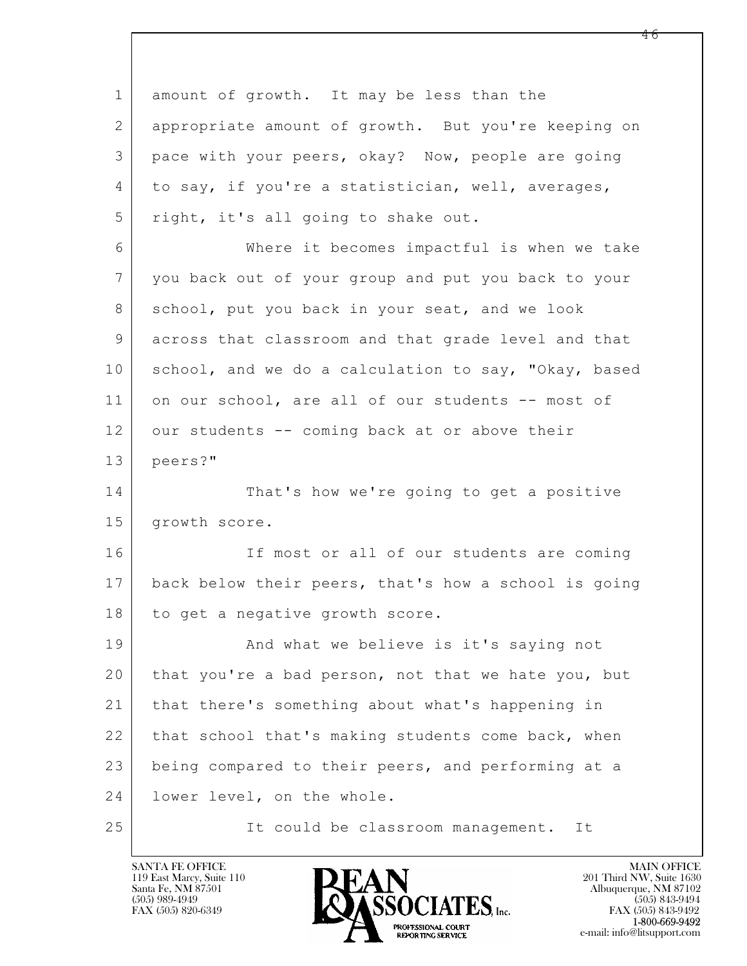$\mathbf{L}$  1 amount of growth. It may be less than the 2 appropriate amount of growth. But you're keeping on 3 pace with your peers, okay? Now, people are going 4 to say, if you're a statistician, well, averages, 5 right, it's all going to shake out. 6 Where it becomes impactful is when we take 7 you back out of your group and put you back to your 8 school, put you back in your seat, and we look 9 across that classroom and that grade level and that 10 school, and we do a calculation to say, "Okay, based 11 on our school, are all of our students -- most of 12 our students -- coming back at or above their 13 peers?" 14 That's how we're going to get a positive 15 | growth score. 16 If most or all of our students are coming 17 back below their peers, that's how a school is going 18 to get a negative growth score. 19 | And what we believe is it's saying not 20 that you're a bad person, not that we hate you, but 21 that there's something about what's happening in 22 that school that's making students come back, when 23 being compared to their peers, and performing at a 24 | lower level, on the whole. 25 It could be classroom management. It



 $FAX (505) 843-9492$ <br>1-800-669-9492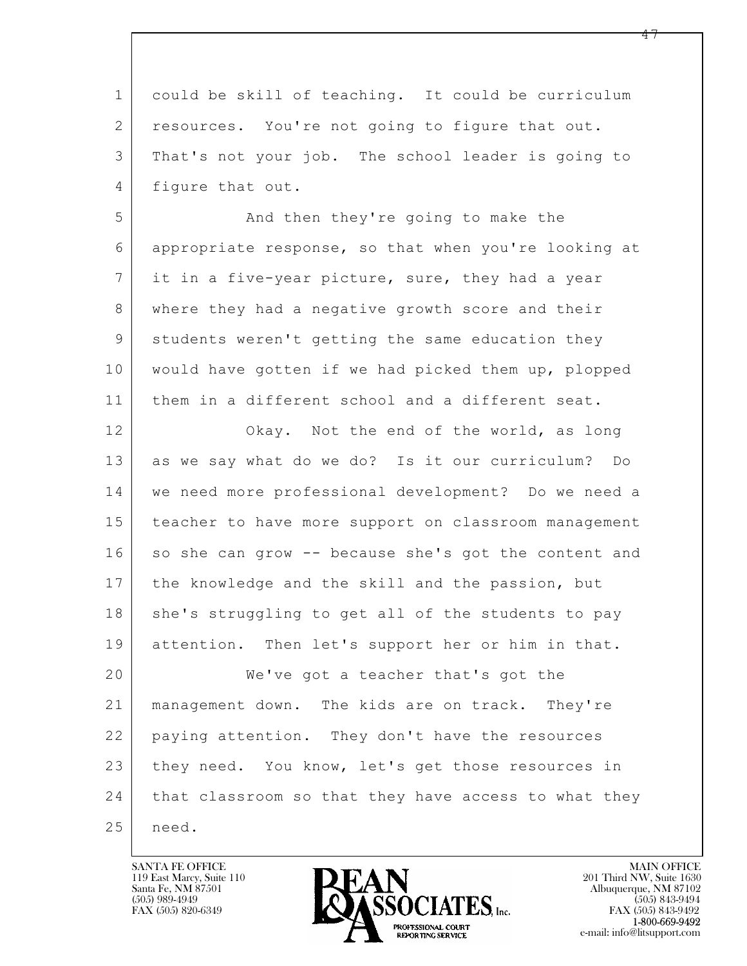$\mathbf{L}$  1 could be skill of teaching. It could be curriculum 2 resources. You're not going to figure that out. 3 That's not your job. The school leader is going to 4 figure that out. 5 And then they're going to make the 6 appropriate response, so that when you're looking at 7 it in a five-year picture, sure, they had a year 8 where they had a negative growth score and their 9 students weren't getting the same education they 10 would have gotten if we had picked them up, plopped 11 them in a different school and a different seat. 12 Okay. Not the end of the world, as long 13 as we say what do we do? Is it our curriculum? Do 14 we need more professional development? Do we need a 15 | teacher to have more support on classroom management 16 so she can grow -- because she's got the content and 17 | the knowledge and the skill and the passion, but 18 she's struggling to get all of the students to pay 19 attention. Then let's support her or him in that. 20 We've got a teacher that's got the 21 management down. The kids are on track. They're 22 paying attention. They don't have the resources 23 they need. You know, let's get those resources in 24 that classroom so that they have access to what they 25 | need.

119 East Marcy, Suite 110<br>Santa Fe, NM 87501

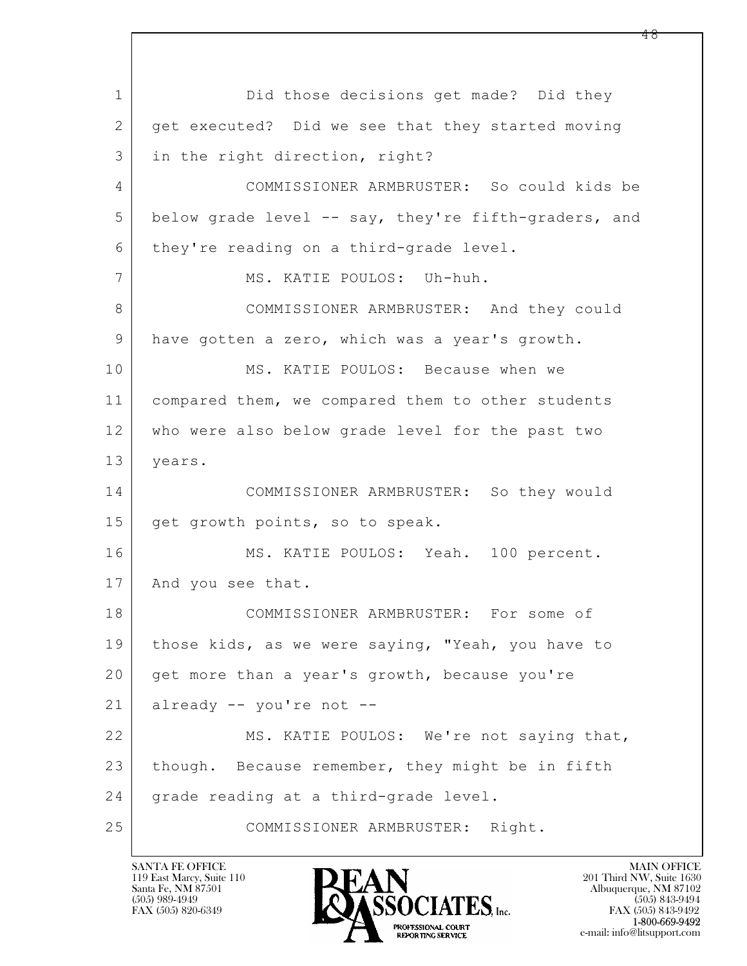$\mathbf{L}$  1 Did those decisions get made? Did they 2 get executed? Did we see that they started moving 3 in the right direction, right? 4 COMMISSIONER ARMBRUSTER: So could kids be 5 below grade level -- say, they're fifth-graders, and 6 they're reading on a third-grade level. 7 | MS. KATIE POULOS: Uh-huh. 8 COMMISSIONER ARMBRUSTER: And they could 9 have gotten a zero, which was a year's growth. 10 MS. KATIE POULOS: Because when we 11 compared them, we compared them to other students 12 who were also below grade level for the past two 13 years. 14 COMMISSIONER ARMBRUSTER: So they would 15 get growth points, so to speak. 16 MS. KATIE POULOS: Yeah. 100 percent. 17 | And you see that. 18 COMMISSIONER ARMBRUSTER: For some of 19 | those kids, as we were saying, "Yeah, you have to 20 get more than a year's growth, because you're 21 already -- you're not -- 22 MS. KATIE POULOS: We're not saying that, 23 though. Because remember, they might be in fifth 24 grade reading at a third-grade level. 25 COMMISSIONER ARMBRUSTER: Right.

119 East Marcy, Suite 110<br>Santa Fe, NM 87501

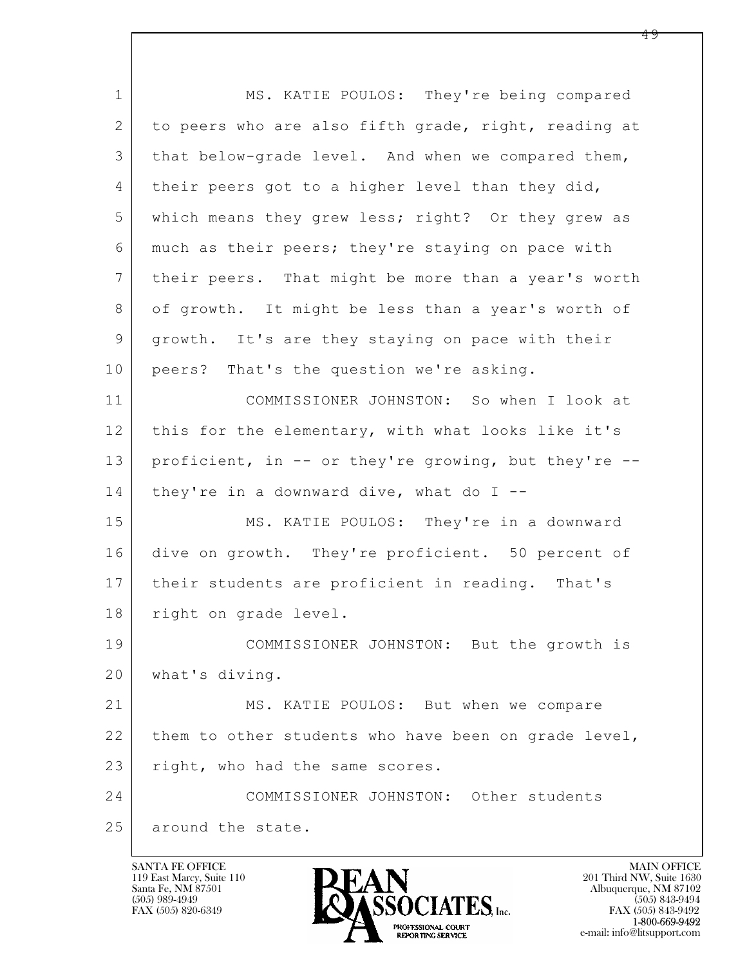$\mathbf{L}$  1 MS. KATIE POULOS: They're being compared 2 to peers who are also fifth grade, right, reading at 3 that below-grade level. And when we compared them, 4 their peers got to a higher level than they did, 5 which means they grew less; right? Or they grew as 6 much as their peers; they're staying on pace with 7 their peers. That might be more than a year's worth 8 of growth. It might be less than a year's worth of 9 growth. It's are they staying on pace with their 10 peers? That's the question we're asking. 11 COMMISSIONER JOHNSTON: So when I look at 12 this for the elementary, with what looks like it's 13 proficient, in -- or they're growing, but they're -- 14 | they're in a downward dive, what do  $I$  --15 MS. KATIE POULOS: They're in a downward 16 dive on growth. They're proficient. 50 percent of 17 | their students are proficient in reading. That's 18 | right on grade level. 19 COMMISSIONER JOHNSTON: But the growth is 20 what's diving. 21 MS. KATIE POULOS: But when we compare 22 them to other students who have been on grade level, 23 right, who had the same scores. 24 COMMISSIONER JOHNSTON: Other students 25 around the state.

119 East Marcy, Suite 110<br>Santa Fe, NM 87501

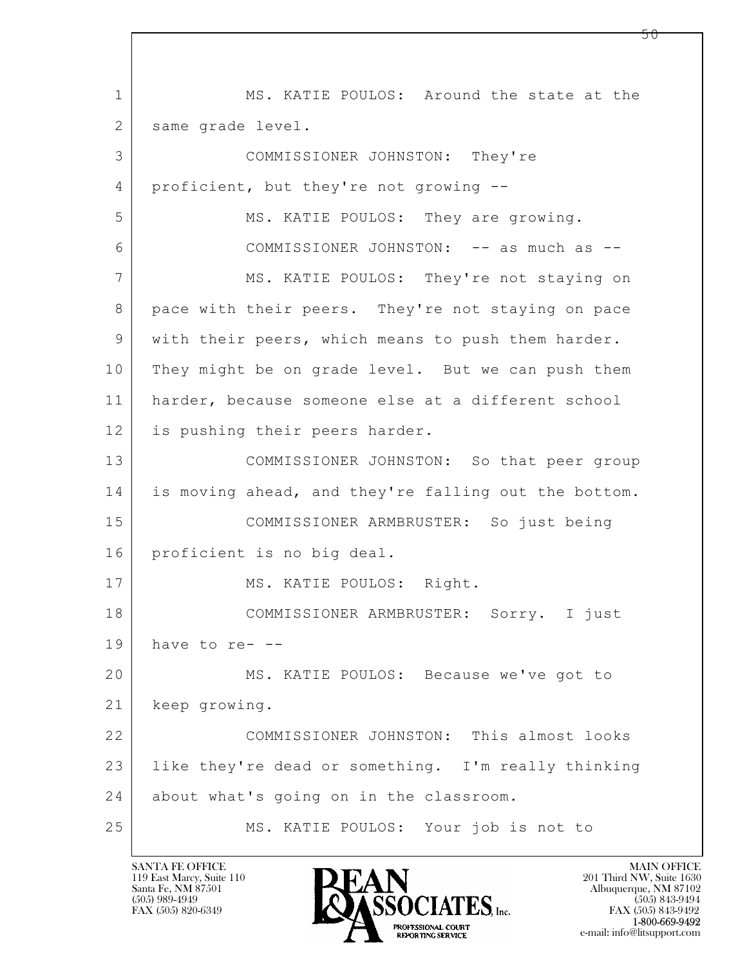$\mathbf{L}$  1 MS. KATIE POULOS: Around the state at the 2 | same grade level. 3 COMMISSIONER JOHNSTON: They're 4 proficient, but they're not growing -- 5 MS. KATIE POULOS: They are growing. 6 COMMISSIONER JOHNSTON: -- as much as -- 7 | MS. KATIE POULOS: They're not staying on 8 | pace with their peers. They're not staying on pace 9 with their peers, which means to push them harder. 10 They might be on grade level. But we can push them 11 harder, because someone else at a different school 12 is pushing their peers harder. 13 COMMISSIONER JOHNSTON: So that peer group 14 is moving ahead, and they're falling out the bottom. 15 COMMISSIONER ARMBRUSTER: So just being 16 proficient is no big deal. 17 | MS. KATIE POULOS: Right. 18 COMMISSIONER ARMBRUSTER: Sorry. I just  $19$  have to re- --20 MS. KATIE POULOS: Because we've got to 21 keep growing. 22 COMMISSIONER JOHNSTON: This almost looks 23 like they're dead or something. I'm really thinking 24 about what's going on in the classroom. 25 MS. KATIE POULOS: Your job is not to

119 East Marcy, Suite 110<br>Santa Fe, NM 87501

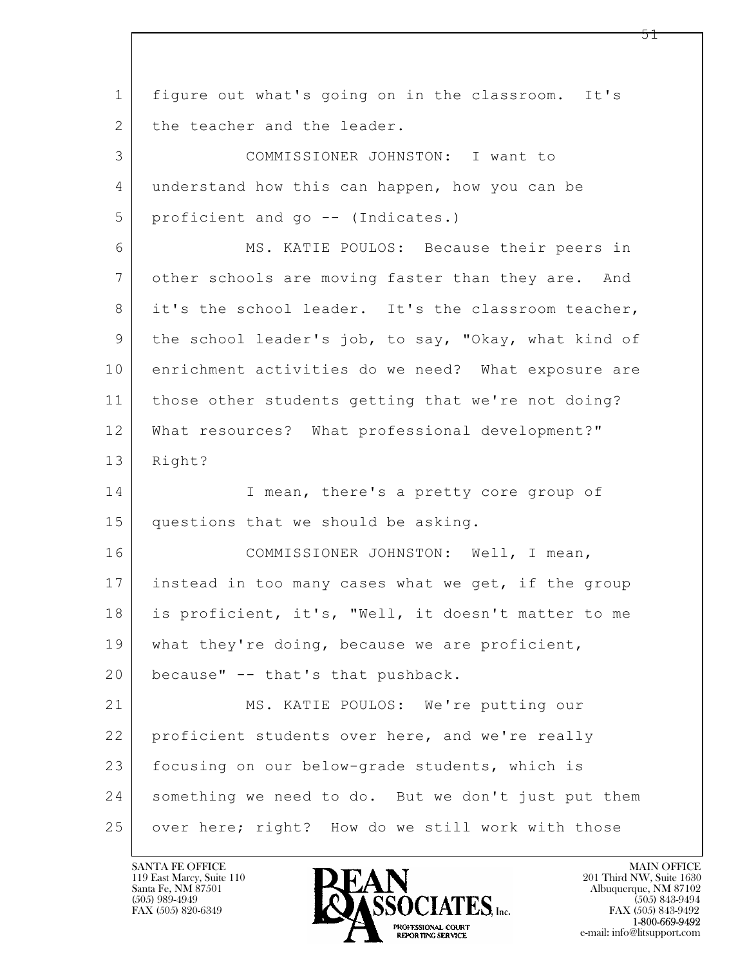| $\mathbf 1$    | figure out what's going on in the classroom. It's    |
|----------------|------------------------------------------------------|
| 2              | the teacher and the leader.                          |
| 3              | COMMISSIONER JOHNSTON: I want to                     |
| 4              | understand how this can happen, how you can be       |
| 5              | proficient and go -- (Indicates.)                    |
| 6              | MS. KATIE POULOS: Because their peers in             |
| $7\phantom{.}$ | other schools are moving faster than they are. And   |
| 8              | it's the school leader. It's the classroom teacher,  |
| 9              | the school leader's job, to say, "Okay, what kind of |
| 10             | enrichment activities do we need? What exposure are  |
| 11             | those other students getting that we're not doing?   |
| 12             | What resources? What professional development?"      |
| 13             | Right?                                               |
| 14             | I mean, there's a pretty core group of               |
| 15             | questions that we should be asking.                  |
| 16             | COMMISSIONER JOHNSTON: Well, I mean,                 |
| 17             | instead in too many cases what we get, if the group  |
| 18             | is proficient, it's, "Well, it doesn't matter to me  |
| 19             | what they're doing, because we are proficient,       |
| 20             | because" -- that's that pushback.                    |
| 21             | MS. KATIE POULOS: We're putting our                  |
| 22             | proficient students over here, and we're really      |
| 23             | focusing on our below-grade students, which is       |
| 24             | something we need to do. But we don't just put them  |
| 25             | over here; right? How do we still work with those    |

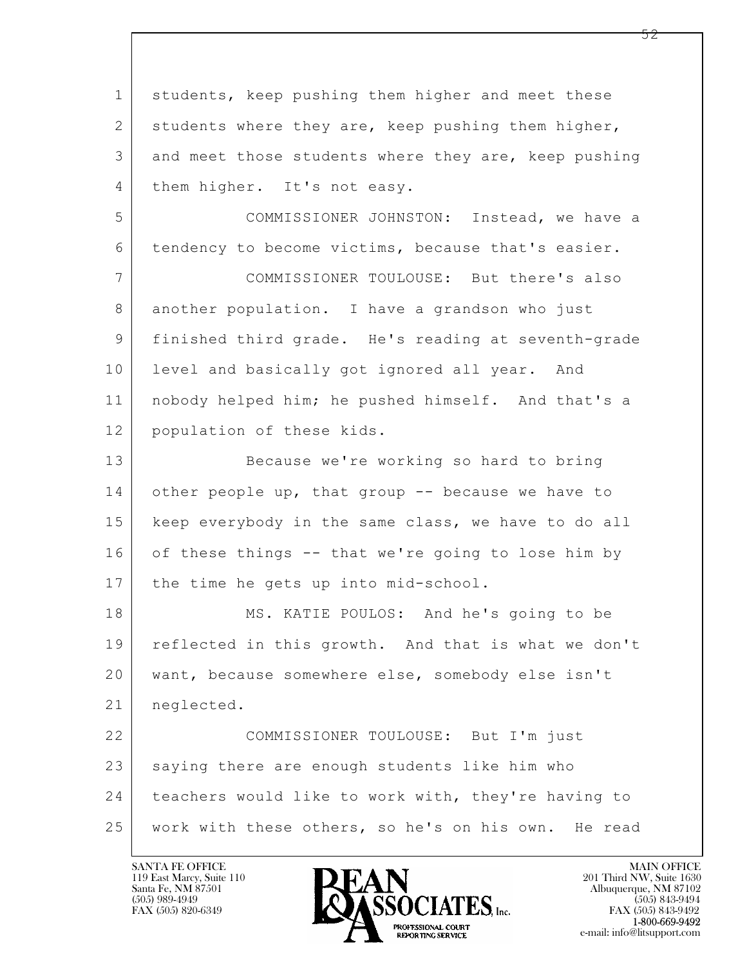$\mathbf{L}$  1 students, keep pushing them higher and meet these 2 students where they are, keep pushing them higher, 3 and meet those students where they are, keep pushing 4 them higher. It's not easy. 5 COMMISSIONER JOHNSTON: Instead, we have a 6 tendency to become victims, because that's easier. 7 COMMISSIONER TOULOUSE: But there's also 8 another population. I have a grandson who just 9 finished third grade. He's reading at seventh-grade 10 level and basically got ignored all year. And 11 nobody helped him; he pushed himself. And that's a 12 population of these kids. 13 Because we're working so hard to bring 14 other people up, that group -- because we have to 15 | keep everybody in the same class, we have to do all 16 of these things -- that we're going to lose him by 17 | the time he gets up into mid-school. 18 | MS. KATIE POULOS: And he's going to be 19 | reflected in this growth. And that is what we don't 20 want, because somewhere else, somebody else isn't 21 neglected. 22 COMMISSIONER TOULOUSE: But I'm just 23 saying there are enough students like him who 24 teachers would like to work with, they're having to 25 work with these others, so he's on his own. He read

119 East Marcy, Suite 110<br>Santa Fe, NM 87501



FAX (505) 843-9492 e-mail: info@litsupport.com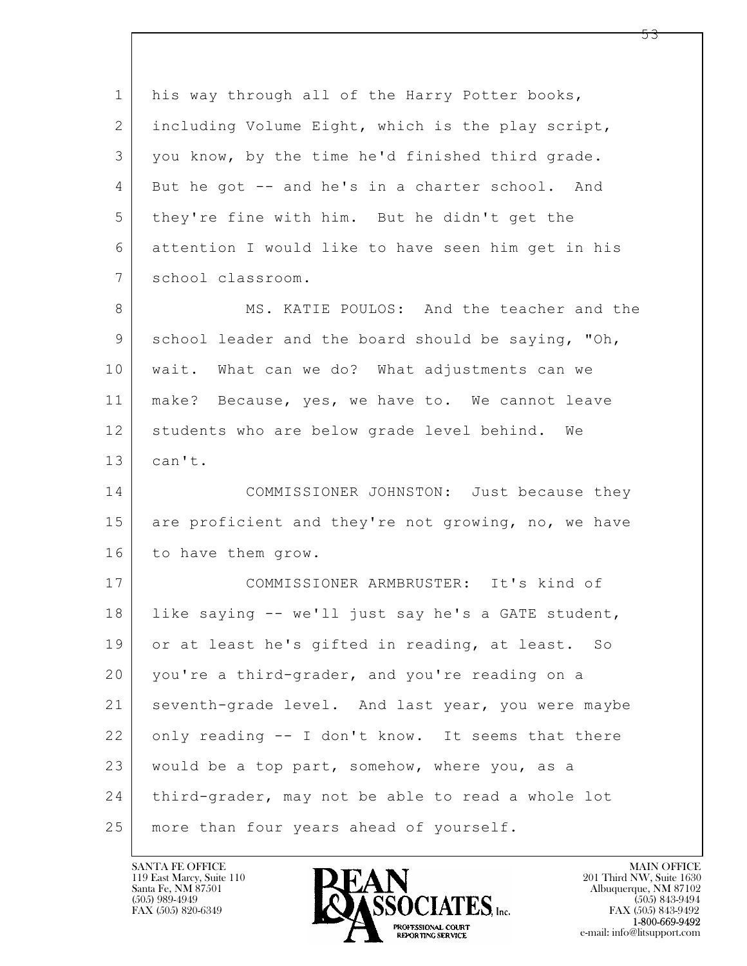| $\mathbf 1$    | his way through all of the Harry Potter books,      |
|----------------|-----------------------------------------------------|
| $\overline{2}$ | including Volume Eight, which is the play script,   |
| 3              | you know, by the time he'd finished third grade.    |
| 4              | But he got -- and he's in a charter school. And     |
| 5              | they're fine with him. But he didn't get the        |
| 6              | attention I would like to have seen him get in his  |
| 7              | school classroom.                                   |
| 8              | MS. KATIE POULOS: And the teacher and the           |
| 9              | school leader and the board should be saying, "Oh,  |
| 10             | wait. What can we do? What adjustments can we       |
| 11             | make? Because, yes, we have to. We cannot leave     |
| 12             | students who are below grade level behind. We       |
| 13             | can't.                                              |
| 14             | COMMISSIONER JOHNSTON: Just because they            |
| 15             | are proficient and they're not growing, no, we have |
| 16             | to have them grow.                                  |
| 17             | COMMISSIONER ARMBRUSTER: It's kind of               |
| 18             | like saying -- we'll just say he's a GATE student,  |
| 19             | or at least he's gifted in reading, at least. So    |
| 20             | you're a third-grader, and you're reading on a      |
| 21             | seventh-grade level. And last year, you were maybe  |
| 22             | only reading -- I don't know. It seems that there   |
| 23             | would be a top part, somehow, where you, as a       |
| 24             | third-grader, may not be able to read a whole lot   |
| 25             | more than four years ahead of yourself.             |

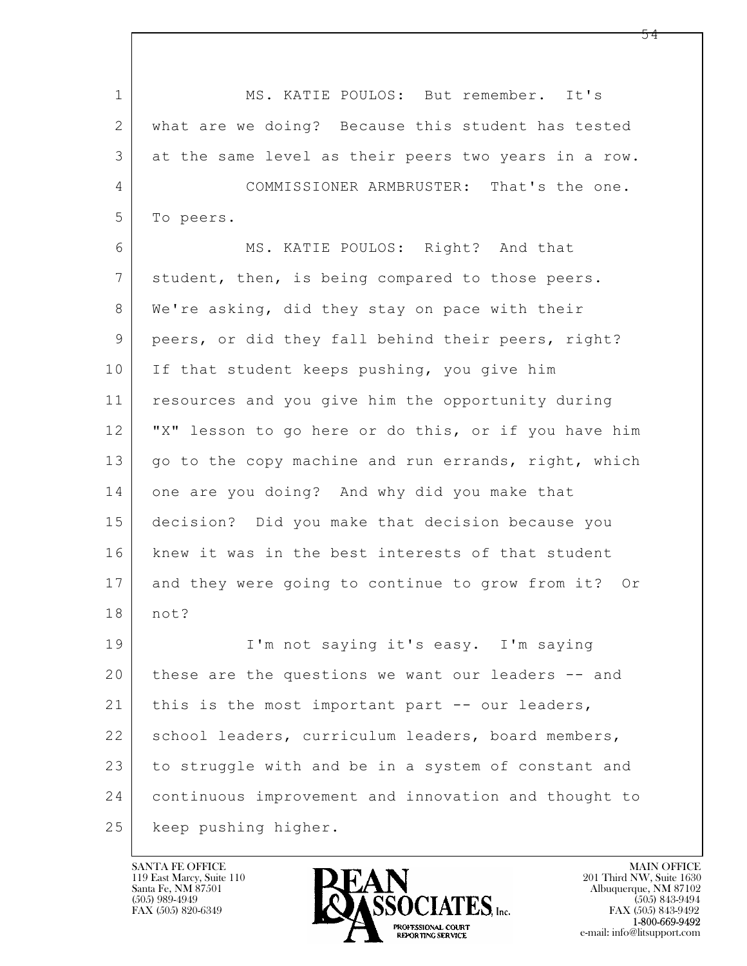$\mathbf{L}$  1 MS. KATIE POULOS: But remember. It's 2 what are we doing? Because this student has tested 3 at the same level as their peers two years in a row. 4 COMMISSIONER ARMBRUSTER: That's the one. 5 To peers. 6 MS. KATIE POULOS: Right? And that 7 student, then, is being compared to those peers. 8 We're asking, did they stay on pace with their 9 peers, or did they fall behind their peers, right? 10 If that student keeps pushing, you give him 11 resources and you give him the opportunity during 12 "X" lesson to go here or do this, or if you have him 13 | go to the copy machine and run errands, right, which 14 one are you doing? And why did you make that 15 decision? Did you make that decision because you 16 knew it was in the best interests of that student 17 and they were going to continue to grow from it? Or 18 not? 19 I'm not saying it's easy. I'm saying 20 these are the questions we want our leaders -- and 21 | this is the most important part -- our leaders, 22 | school leaders, curriculum leaders, board members, 23 to struggle with and be in a system of constant and 24 continuous improvement and innovation and thought to 25 | keep pushing higher.

119 East Marcy, Suite 110<br>Santa Fe, NM 87501

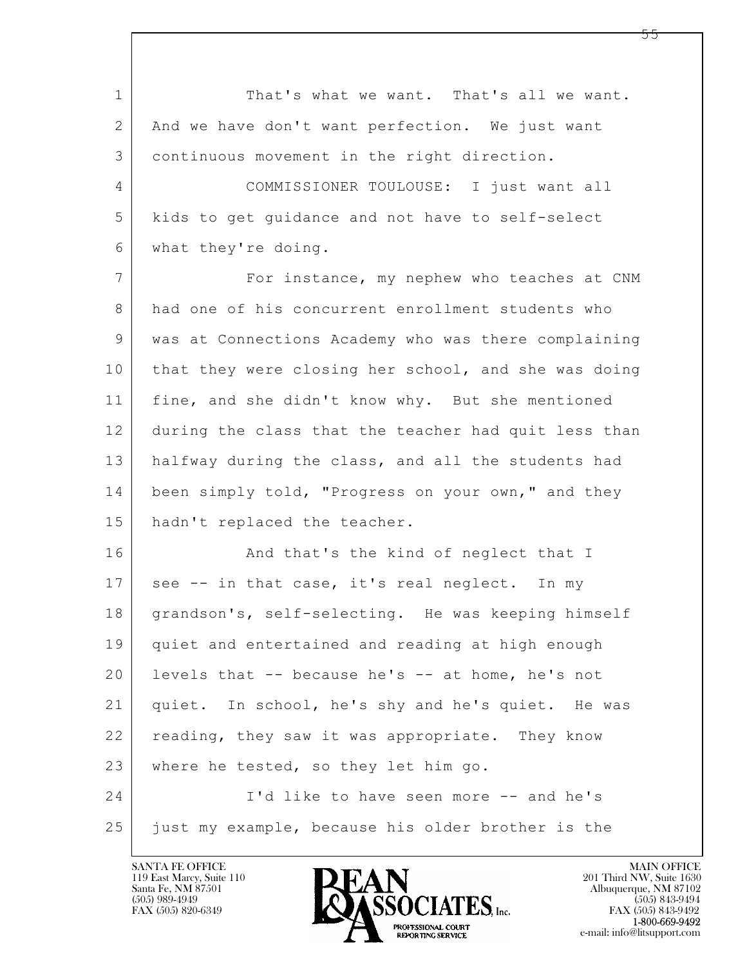$\mathbf{L}$  1 That's what we want. That's all we want. 2 And we have don't want perfection. We just want 3 continuous movement in the right direction. 4 COMMISSIONER TOULOUSE: I just want all 5 kids to get guidance and not have to self-select 6 what they're doing. 7 | For instance, my nephew who teaches at CNM 8 had one of his concurrent enrollment students who 9 was at Connections Academy who was there complaining 10 that they were closing her school, and she was doing 11 | fine, and she didn't know why. But she mentioned 12 during the class that the teacher had quit less than 13 halfway during the class, and all the students had 14 been simply told, "Progress on your own," and they 15 hadn't replaced the teacher. 16 And that's the kind of neglect that I 17 see -- in that case, it's real neglect. In my 18 | grandson's, self-selecting. He was keeping himself 19 quiet and entertained and reading at high enough 20 levels that -- because he's -- at home, he's not 21 quiet. In school, he's shy and he's quiet. He was 22 reading, they saw it was appropriate. They know 23 where he tested, so they let him go. 24 I'd like to have seen more -- and he's 25 just my example, because his older brother is the

119 East Marcy, Suite 110<br>Santa Fe, NM 87501



FAX (505) 843-9492 e-mail: info@litsupport.com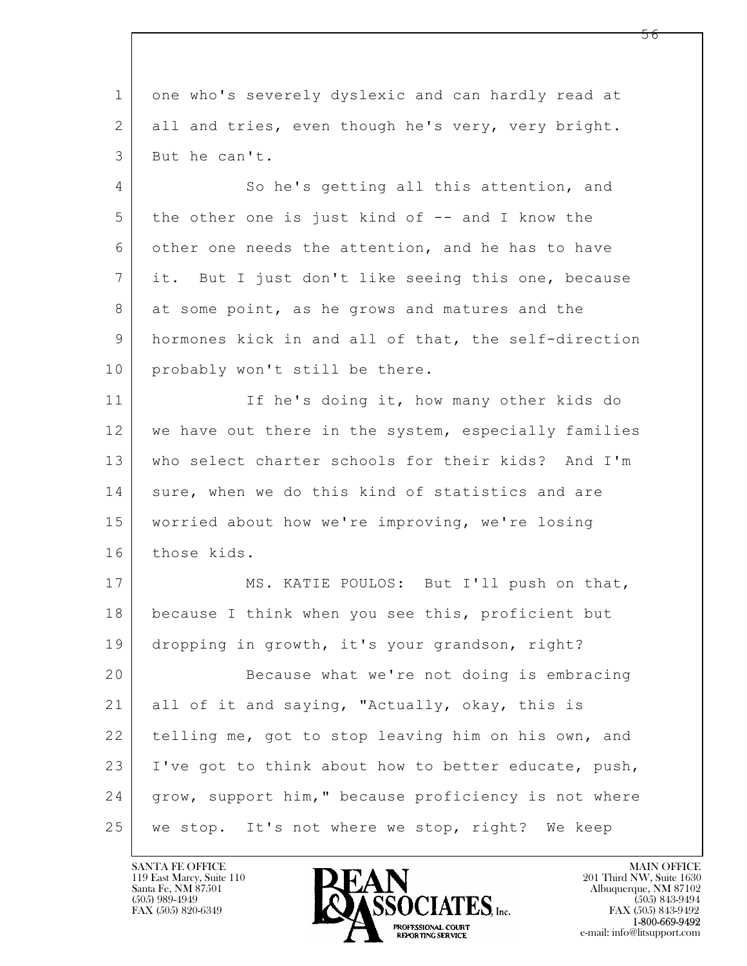$\mathbf{L}$  1 one who's severely dyslexic and can hardly read at 2 all and tries, even though he's very, very bright. 3 But he can't. 4 So he's getting all this attention, and 5 the other one is just kind of -- and I know the 6 other one needs the attention, and he has to have 7 it. But I just don't like seeing this one, because 8 at some point, as he grows and matures and the 9 hormones kick in and all of that, the self-direction 10 probably won't still be there. 11 If he's doing it, how many other kids do 12 we have out there in the system, especially families 13 who select charter schools for their kids? And I'm 14 sure, when we do this kind of statistics and are 15 worried about how we're improving, we're losing 16 those kids. 17 MS. KATIE POULOS: But I'll push on that, 18 because I think when you see this, proficient but 19 dropping in growth, it's your grandson, right? 20 Because what we're not doing is embracing 21 all of it and saying, "Actually, okay, this is 22 telling me, got to stop leaving him on his own, and 23 I've got to think about how to better educate, push, 24 grow, support him," because proficiency is not where 25 we stop. It's not where we stop, right? We keep

119 East Marcy, Suite 110<br>Santa Fe, NM 87501

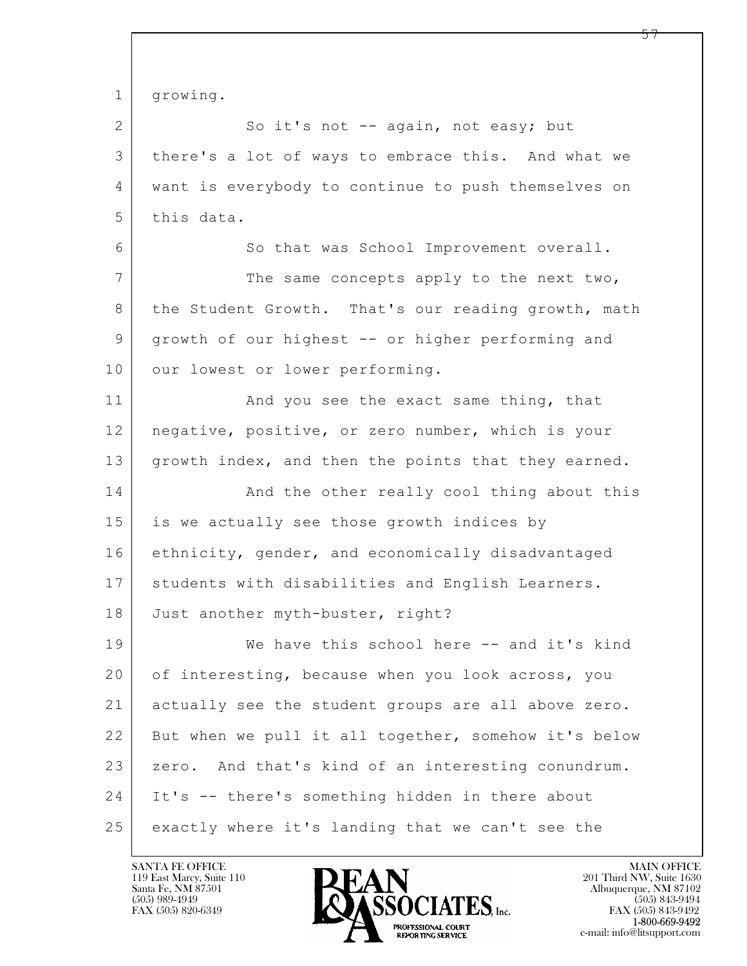| $\mathbf{1}$    | growing.                                             |
|-----------------|------------------------------------------------------|
| $\mathbf{2}$    | So it's not -- again, not easy; but                  |
| 3               | there's a lot of ways to embrace this. And what we   |
| 4               | want is everybody to continue to push themselves on  |
| 5               | this data.                                           |
| 6               | So that was School Improvement overall.              |
| $7\phantom{.0}$ | The same concepts apply to the next two,             |
| 8               | the Student Growth. That's our reading growth, math  |
| 9               | growth of our highest -- or higher performing and    |
| 10              | our lowest or lower performing.                      |
| 11              | And you see the exact same thing, that               |
| 12              | negative, positive, or zero number, which is your    |
| 13              | growth index, and then the points that they earned.  |
| 14              | And the other really cool thing about this           |
| 15              | is we actually see those growth indices by           |
| 16              | ethnicity, gender, and economically disadvantaged    |
| 17              | students with disabilities and English Learners.     |
| 18              | Just another myth-buster, right?                     |
| 19              | We have this school here -- and it's kind            |
| 20              | of interesting, because when you look across, you    |
| 21              | actually see the student groups are all above zero.  |
| 22              | But when we pull it all together, somehow it's below |
| 23              | zero. And that's kind of an interesting conundrum.   |
| 24              | It's -- there's something hidden in there about      |
| 25              | exactly where it's landing that we can't see the     |

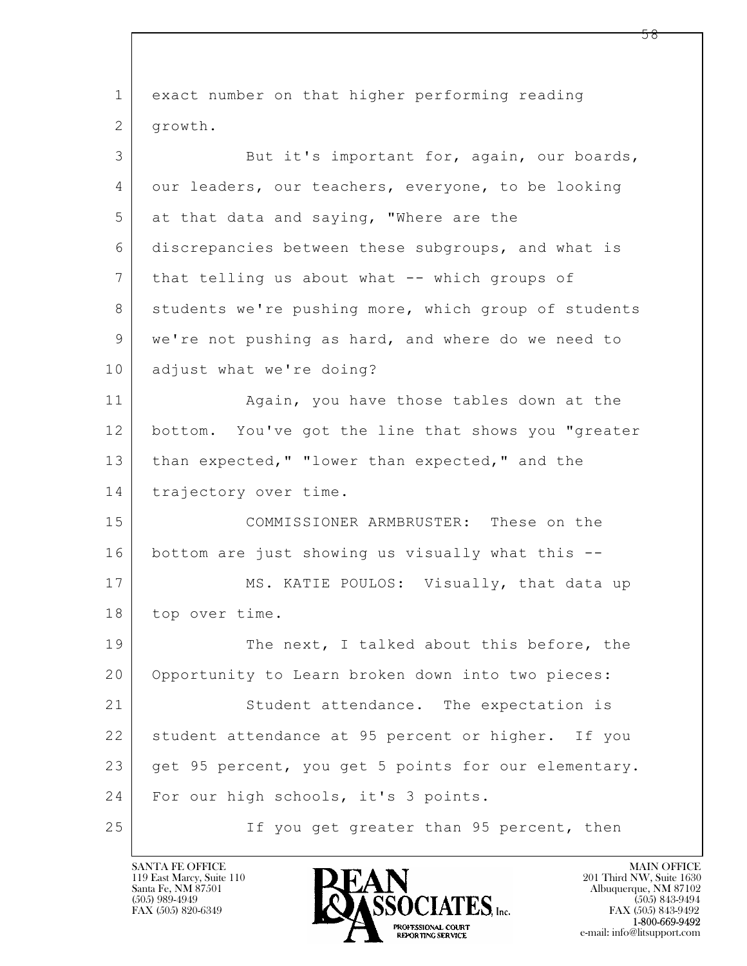| $\mathbf 1$    | exact number on that higher performing reading       |
|----------------|------------------------------------------------------|
| $\overline{2}$ | growth.                                              |
| 3              | But it's important for, again, our boards,           |
| 4              | our leaders, our teachers, everyone, to be looking   |
| 5              | at that data and saying, "Where are the              |
| 6              | discrepancies between these subgroups, and what is   |
| $\overline{7}$ | that telling us about what -- which groups of        |
| 8              | students we're pushing more, which group of students |
| 9              | we're not pushing as hard, and where do we need to   |
| 10             | adjust what we're doing?                             |
| 11             | Again, you have those tables down at the             |
| 12             | bottom. You've got the line that shows you "greater  |
| 13             | than expected, " "lower than expected, " and the     |
| 14             | trajectory over time.                                |
| 15             | COMMISSIONER ARMBRUSTER: These on the                |
| 16             | bottom are just showing us visually what this --     |
| 17             | MS. KATIE POULOS: Visually, that data up             |
| 18             | top over time.                                       |
| 19             | The next, I talked about this before, the            |
| 20             | Opportunity to Learn broken down into two pieces:    |
| 21             | Student attendance. The expectation is               |
| 22             | student attendance at 95 percent or higher. If you   |
| 23             | get 95 percent, you get 5 points for our elementary. |
| 24             | For our high schools, it's 3 points.                 |
| 25             | If you get greater than 95 percent, then             |

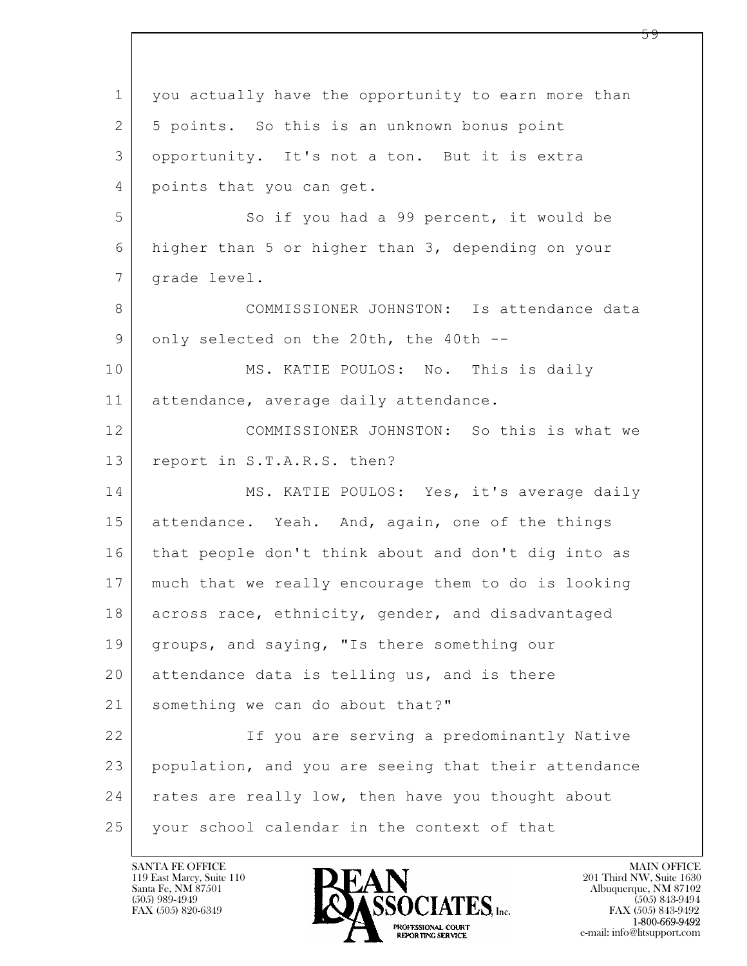$\mathbf{L}$  1 you actually have the opportunity to earn more than 2 5 points. So this is an unknown bonus point 3 opportunity. It's not a ton. But it is extra 4 points that you can get. 5 | So if you had a 99 percent, it would be 6 higher than 5 or higher than 3, depending on your 7 | grade level. 8 COMMISSIONER JOHNSTON: Is attendance data 9 only selected on the 20th, the 40th --10 MS. KATIE POULOS: No. This is daily 11 attendance, average daily attendance. 12 COMMISSIONER JOHNSTON: So this is what we 13 report in S.T.A.R.S. then? 14 MS. KATIE POULOS: Yes, it's average daily 15 attendance. Yeah. And, again, one of the things 16 that people don't think about and don't dig into as 17 much that we really encourage them to do is looking 18 across race, ethnicity, gender, and disadvantaged 19 | groups, and saying, "Is there something our 20 attendance data is telling us, and is there 21 something we can do about that?" 22 If you are serving a predominantly Native 23 population, and you are seeing that their attendance 24 | rates are really low, then have you thought about 25 your school calendar in the context of that

119 East Marcy, Suite 110<br>Santa Fe, NM 87501



FAX (505) 843-9492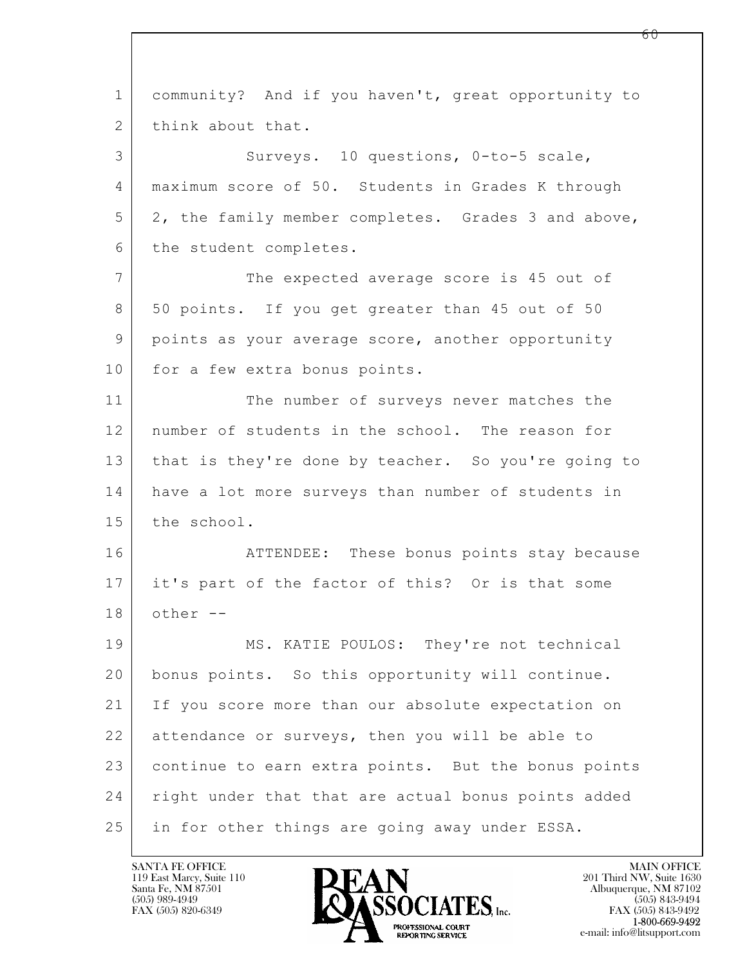$\mathbf{L}$  1 community? And if you haven't, great opportunity to 2 think about that. 3 Surveys. 10 questions, 0-to-5 scale, 4 maximum score of 50. Students in Grades K through 5 2, the family member completes. Grades 3 and above, 6 the student completes. 7 The expected average score is 45 out of 8 50 points. If you get greater than 45 out of 50 9 points as your average score, another opportunity 10 for a few extra bonus points. 11 The number of surveys never matches the 12 number of students in the school. The reason for 13 that is they're done by teacher. So you're going to 14 have a lot more surveys than number of students in 15 the school. 16 **ATTENDEE:** These bonus points stay because 17 it's part of the factor of this? Or is that some  $18$  other  $-$ 19 MS. KATIE POULOS: They're not technical 20 bonus points. So this opportunity will continue. 21 If you score more than our absolute expectation on 22 attendance or surveys, then you will be able to 23 continue to earn extra points. But the bonus points 24 | right under that that are actual bonus points added 25 | in for other things are going away under ESSA.

119 East Marcy, Suite 110<br>Santa Fe, NM 87501

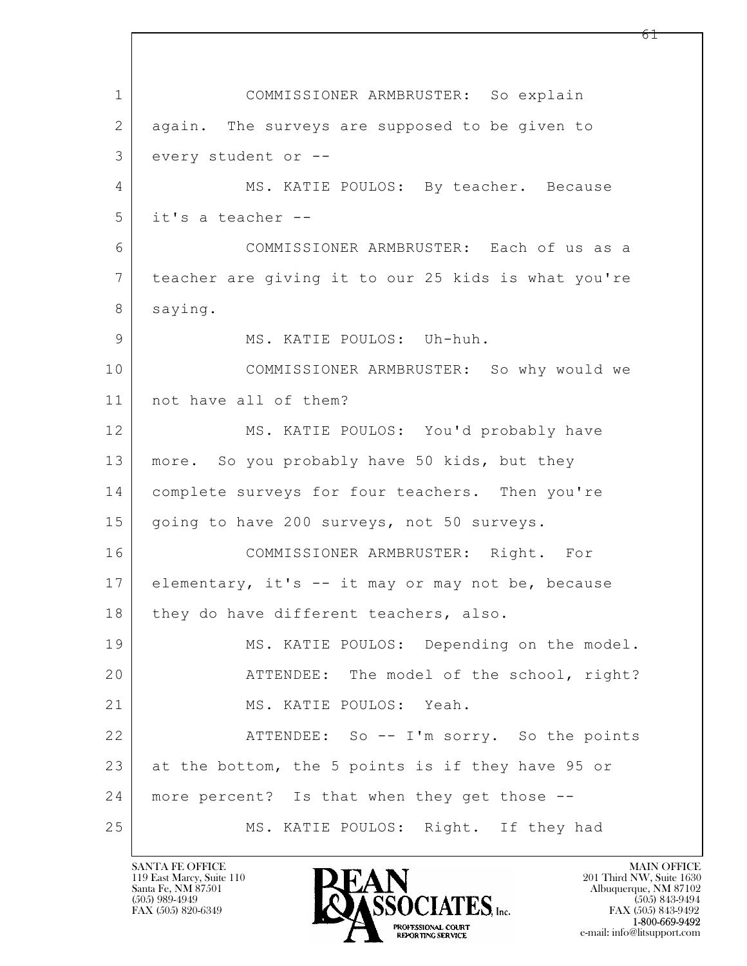$\mathbf{L}$  1 COMMISSIONER ARMBRUSTER: So explain 2 again. The surveys are supposed to be given to 3 every student or -- 4 MS. KATIE POULOS: By teacher. Because 5 it's a teacher -- 6 COMMISSIONER ARMBRUSTER: Each of us as a 7 teacher are giving it to our 25 kids is what you're 8 saying. 9 MS. KATIE POULOS: Uh-huh. 10 COMMISSIONER ARMBRUSTER: So why would we 11 not have all of them? 12 MS. KATIE POULOS: You'd probably have 13 more. So you probably have 50 kids, but they 14 complete surveys for four teachers. Then you're 15 | going to have 200 surveys, not 50 surveys. 16 COMMISSIONER ARMBRUSTER: Right. For 17 elementary, it's -- it may or may not be, because 18 | they do have different teachers, also. 19 MS. KATIE POULOS: Depending on the model. 20 | THENDEE: The model of the school, right? 21 | MS. KATIE POULOS: Yeah. 22 ATTENDEE: So -- I'm sorry. So the points 23 at the bottom, the 5 points is if they have 95 or 24 more percent? Is that when they get those -- 25 MS. KATIE POULOS: Right. If they had

119 East Marcy, Suite 110<br>Santa Fe, NM 87501

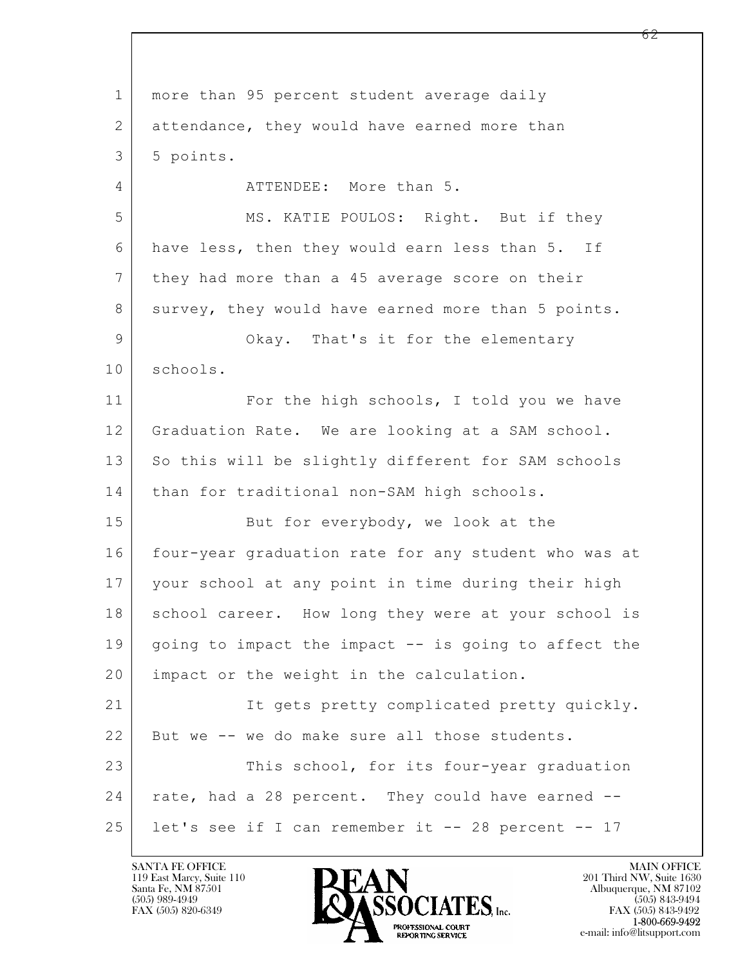$\mathbf{L}$  1 more than 95 percent student average daily 2 attendance, they would have earned more than  $3 \mid 5$  points. 4 ATTENDEE: More than 5. 5 MS. KATIE POULOS: Right. But if they 6 have less, then they would earn less than 5. If 7 they had more than a 45 average score on their 8 survey, they would have earned more than 5 points. 9 Okay. That's it for the elementary 10 schools. 11 For the high schools, I told you we have 12 Graduation Rate. We are looking at a SAM school. 13 So this will be slightly different for SAM schools 14 | than for traditional non-SAM high schools. 15 But for everybody, we look at the 16 four-year graduation rate for any student who was at 17 your school at any point in time during their high 18 | school career. How long they were at your school is 19 | going to impact the impact -- is going to affect the 20 | impact or the weight in the calculation. 21 It gets pretty complicated pretty quickly. 22 But we -- we do make sure all those students. 23 This school, for its four-year graduation 24 | rate, had a 28 percent. They could have earned --25 let's see if I can remember it -- 28 percent -- 17

119 East Marcy, Suite 110<br>Santa Fe, NM 87501



FAX (505) 843-9492 e-mail: info@litsupport.com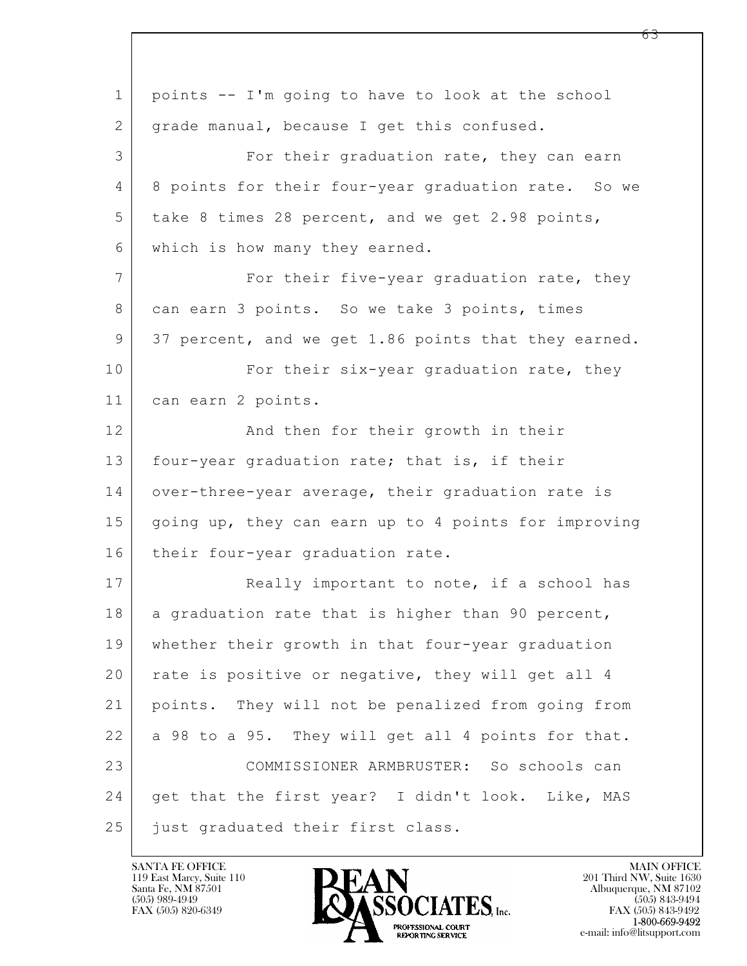| $\mathbf{1}$ | points -- I'm going to have to look at the school    |
|--------------|------------------------------------------------------|
| 2            | grade manual, because I get this confused.           |
| 3            | For their graduation rate, they can earn             |
| 4            | 8 points for their four-year graduation rate. So we  |
| 5            | take 8 times 28 percent, and we get 2.98 points,     |
| 6            | which is how many they earned.                       |
| 7            | For their five-year graduation rate, they            |
| 8            | can earn 3 points. So we take 3 points, times        |
| 9            | 37 percent, and we get 1.86 points that they earned. |
| 10           | For their six-year graduation rate, they             |
| 11           | can earn 2 points.                                   |
| 12           | And then for their growth in their                   |
| 13           | four-year graduation rate; that is, if their         |
| 14           | over-three-year average, their graduation rate is    |
| 15           | going up, they can earn up to 4 points for improving |
| 16           | their four-year graduation rate.                     |
| 17           | Really important to note, if a school has            |
| 18           | a graduation rate that is higher than 90 percent,    |
| 19           | whether their growth in that four-year graduation    |
| 20           | rate is positive or negative, they will get all 4    |
| 21           | points. They will not be penalized from going from   |
| 22           | a 98 to a 95. They will get all 4 points for that.   |
| 23           | COMMISSIONER ARMBRUSTER: So schools can              |
| 24           | get that the first year? I didn't look. Like, MAS    |
| 25           | just graduated their first class.                    |

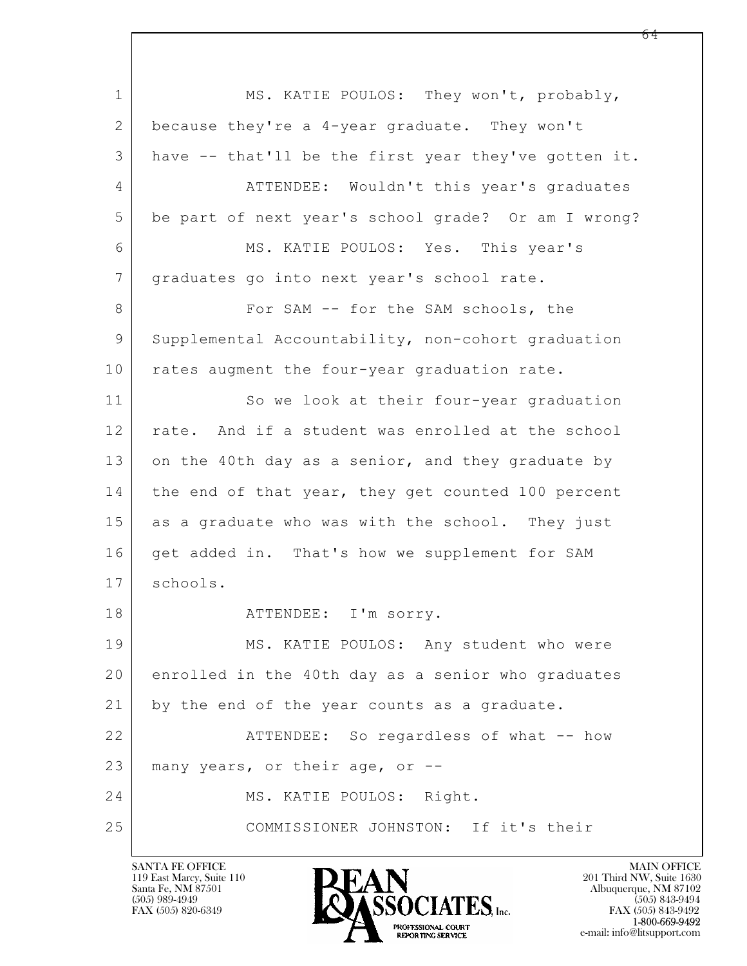$\mathbf{L}$  1 MS. KATIE POULOS: They won't, probably, 2 because they're a 4-year graduate. They won't 3 have -- that'll be the first year they've gotten it. 4 ATTENDEE: Wouldn't this year's graduates 5 be part of next year's school grade? Or am I wrong? 6 MS. KATIE POULOS: Yes. This year's 7 | graduates go into next year's school rate. 8 For SAM -- for the SAM schools, the 9 Supplemental Accountability, non-cohort graduation 10 rates augment the four-year graduation rate. 11 So we look at their four-year graduation 12 rate. And if a student was enrolled at the school 13 on the 40th day as a senior, and they graduate by 14 | the end of that year, they get counted 100 percent 15 as a graduate who was with the school. They just 16 get added in. That's how we supplement for SAM 17 schools. 18 | THENDEE: I'm sorry. 19 MS. KATIE POULOS: Any student who were 20 enrolled in the 40th day as a senior who graduates 21 by the end of the year counts as a graduate. 22 ATTENDEE: So regardless of what -- how 23 many years, or their age, or --24 MS. KATIE POULOS: Right. 25 COMMISSIONER JOHNSTON: If it's their

119 East Marcy, Suite 110<br>Santa Fe, NM 87501

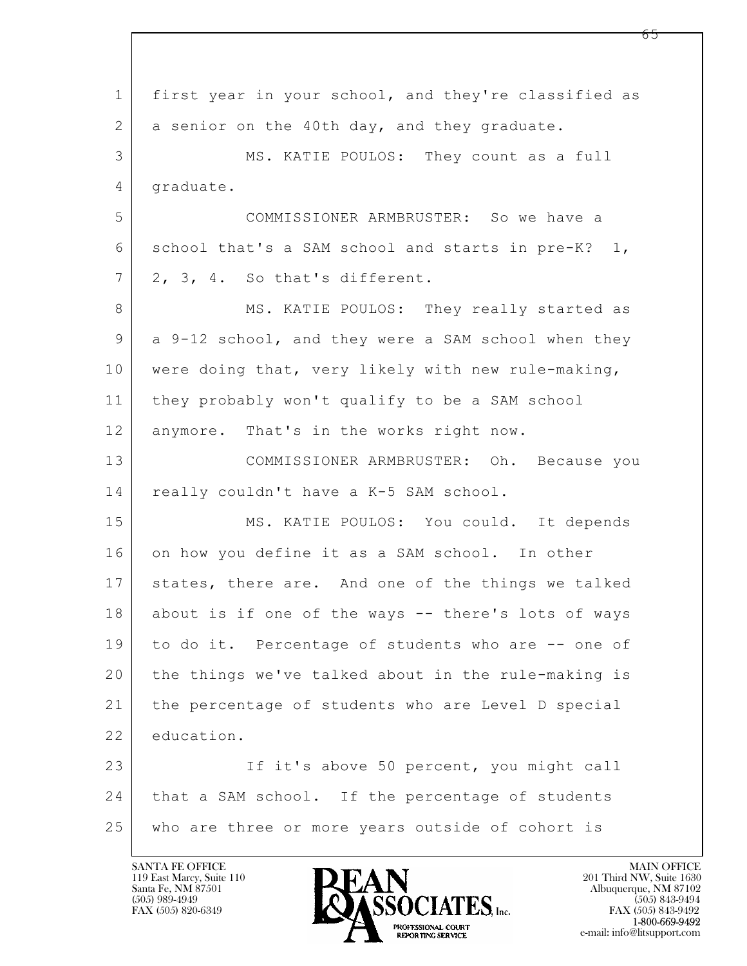$\mathbf{L}$  1 first year in your school, and they're classified as 2 a senior on the 40th day, and they graduate. 3 MS. KATIE POULOS: They count as a full 4 graduate. 5 COMMISSIONER ARMBRUSTER: So we have a  $6$  school that's a SAM school and starts in pre-K? 1,  $7 \mid 2, 3, 4.$  So that's different. 8 MS. KATIE POULOS: They really started as 9 a 9-12 school, and they were a SAM school when they 10 were doing that, very likely with new rule-making, 11 they probably won't qualify to be a SAM school 12 anymore. That's in the works right now. 13 COMMISSIONER ARMBRUSTER: Oh. Because you 14 really couldn't have a K-5 SAM school. 15 MS. KATIE POULOS: You could. It depends 16 on how you define it as a SAM school. In other 17 states, there are. And one of the things we talked 18 about is if one of the ways -- there's lots of ways 19 to do it. Percentage of students who are -- one of 20 the things we've talked about in the rule-making is 21 the percentage of students who are Level D special 22 education. 23 If it's above 50 percent, you might call 24 | that a SAM school. If the percentage of students 25 who are three or more years outside of cohort is

119 East Marcy, Suite 110<br>Santa Fe, NM 87501



FAX (505) 843-9492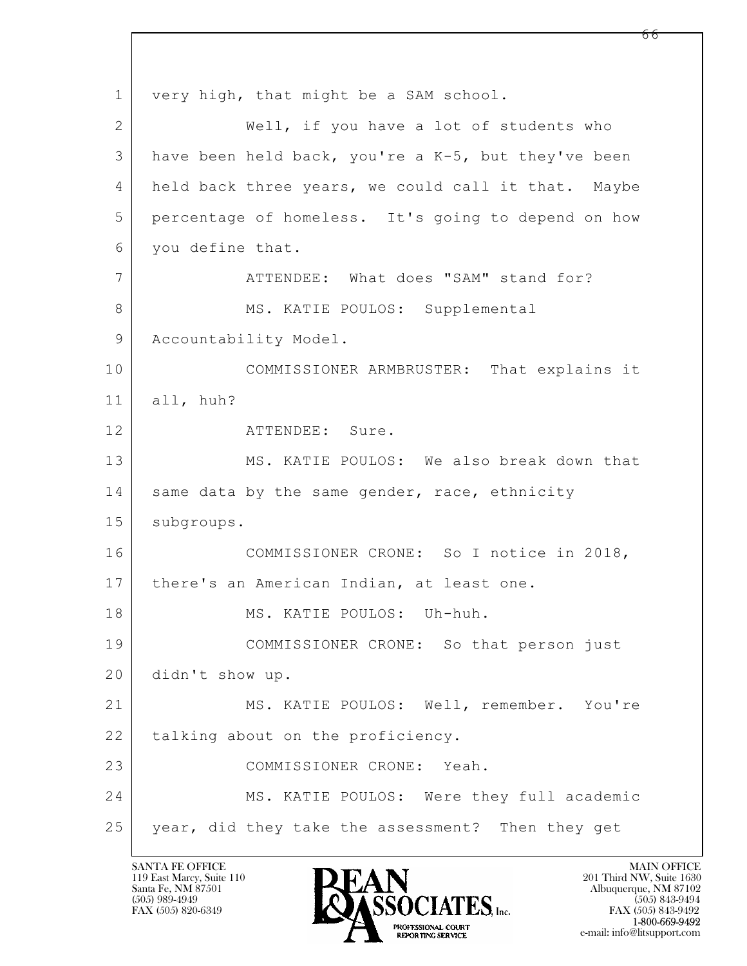$\mathbf{L}$  1 very high, that might be a SAM school. 2 | Well, if you have a lot of students who 3 have been held back, you're a K-5, but they've been 4 held back three years, we could call it that. Maybe 5 percentage of homeless. It's going to depend on how 6 you define that. 7 ATTENDEE: What does "SAM" stand for? 8 | MS. KATIE POULOS: Supplemental 9 | Accountability Model. 10 COMMISSIONER ARMBRUSTER: That explains it 11 all, huh? 12 ATTENDEE: Sure. 13 MS. KATIE POULOS: We also break down that 14 same data by the same gender, race, ethnicity 15 | subgroups. 16 COMMISSIONER CRONE: So I notice in 2018, 17 | there's an American Indian, at least one. 18 MS. KATIE POULOS: Uh-huh. 19 COMMISSIONER CRONE: So that person just 20 didn't show up. 21 MS. KATIE POULOS: Well, remember. You're 22 | talking about on the proficiency. 23 COMMISSIONER CRONE: Yeah. 24 MS. KATIE POULOS: Were they full academic 25 year, did they take the assessment? Then they get

119 East Marcy, Suite 110<br>Santa Fe, NM 87501

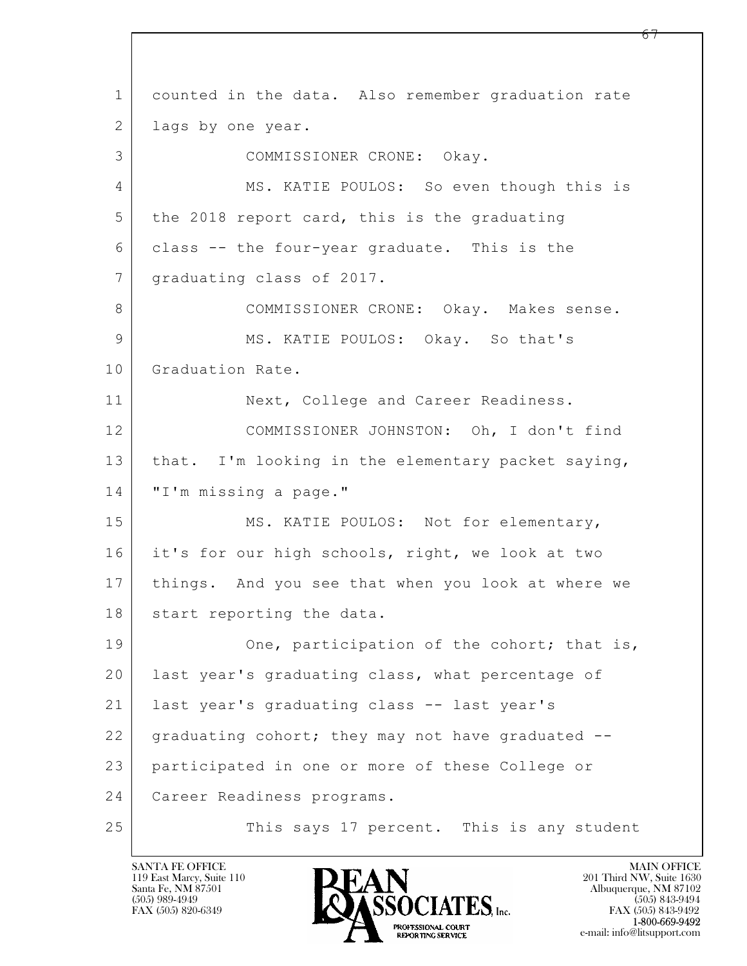$\mathbf{L}$  1 counted in the data. Also remember graduation rate 2 | lags by one year. 3 COMMISSIONER CRONE: Okay. 4 MS. KATIE POULOS: So even though this is  $5$  the 2018 report card, this is the graduating 6 class -- the four-year graduate. This is the 7 | graduating class of 2017. 8 COMMISSIONER CRONE: Okay. Makes sense. 9 MS. KATIE POULOS: Okay. So that's 10 Graduation Rate. 11 | Next, College and Career Readiness. 12 COMMISSIONER JOHNSTON: Oh, I don't find 13 | that. I'm looking in the elementary packet saying, 14 | "I'm missing a page." 15 MS. KATIE POULOS: Not for elementary, 16 it's for our high schools, right, we look at two 17 things. And you see that when you look at where we 18 | start reporting the data. 19 One, participation of the cohort; that is, 20 | last year's graduating class, what percentage of 21 last year's graduating class -- last year's 22 graduating cohort; they may not have graduated --23 participated in one or more of these College or 24 Career Readiness programs. 25 This says 17 percent. This is any student

119 East Marcy, Suite 110<br>Santa Fe, NM 87501

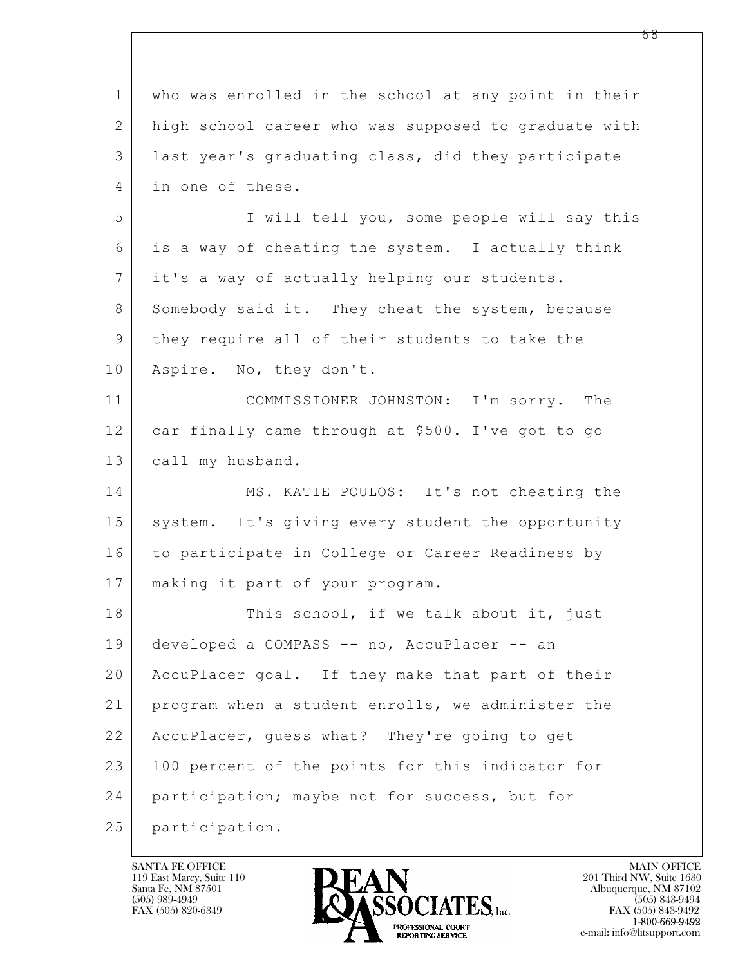$\mathbf{L}$  1 who was enrolled in the school at any point in their 2 high school career who was supposed to graduate with 3 last year's graduating class, did they participate 4 in one of these. 5 I will tell you, some people will say this 6 is a way of cheating the system. I actually think 7 it's a way of actually helping our students. 8 Somebody said it. They cheat the system, because 9 they require all of their students to take the 10 | Aspire. No, they don't. 11 COMMISSIONER JOHNSTON: I'm sorry. The 12 car finally came through at \$500. I've got to go 13 | call my husband. 14 MS. KATIE POULOS: It's not cheating the 15 system. It's giving every student the opportunity 16 to participate in College or Career Readiness by 17 making it part of your program. 18 This school, if we talk about it, just 19 developed a COMPASS -- no, AccuPlacer -- an 20 | AccuPlacer goal. If they make that part of their 21 program when a student enrolls, we administer the 22 AccuPlacer, guess what? They're going to get 23 | 100 percent of the points for this indicator for 24 participation; maybe not for success, but for 25 participation.

119 East Marcy, Suite 110<br>Santa Fe, NM 87501



FAX (505) 843-9492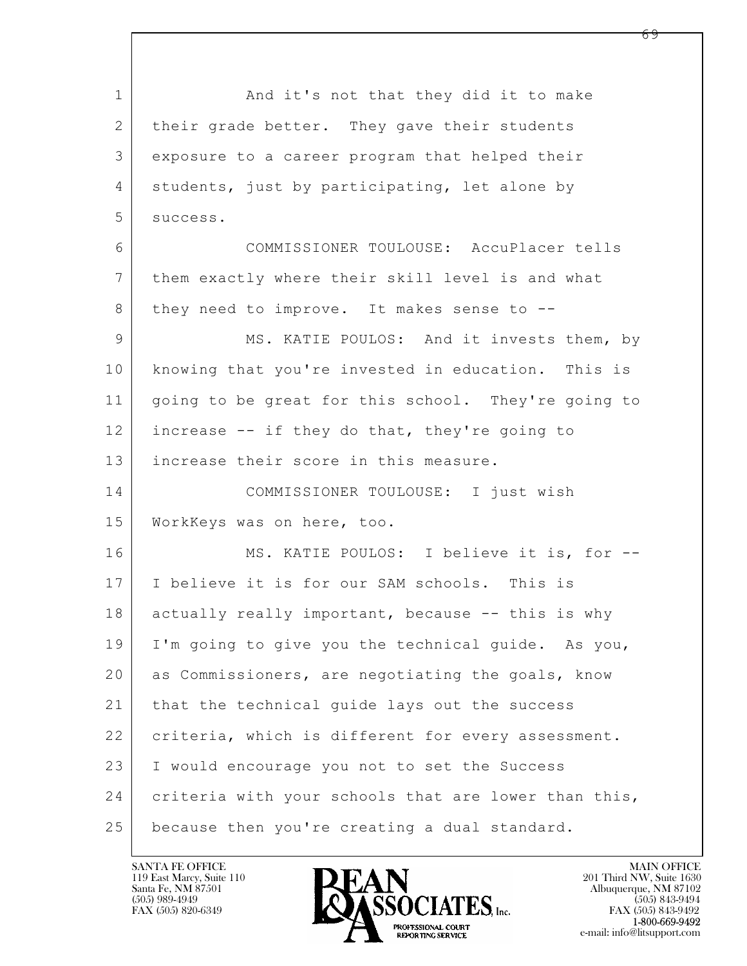$\mathbf{L}$  1 and it's not that they did it to make 2 | their grade better. They gave their students 3 exposure to a career program that helped their 4 students, just by participating, let alone by 5 success. 6 COMMISSIONER TOULOUSE: AccuPlacer tells 7 them exactly where their skill level is and what 8 they need to improve. It makes sense to --9 | MS. KATIE POULOS: And it invests them, by 10 knowing that you're invested in education. This is 11 going to be great for this school. They're going to 12 increase -- if they do that, they're going to 13 increase their score in this measure. 14 COMMISSIONER TOULOUSE: I just wish 15 WorkKeys was on here, too. 16 MS. KATIE POULOS: I believe it is, for --17 I believe it is for our SAM schools. This is 18 actually really important, because -- this is why 19 I'm going to give you the technical guide. As you, 20 as Commissioners, are negotiating the goals, know 21 that the technical guide lays out the success 22 criteria, which is different for every assessment. 23 I would encourage you not to set the Success 24 criteria with your schools that are lower than this, 25 because then you're creating a dual standard.

119 East Marcy, Suite 110<br>Santa Fe, NM 87501

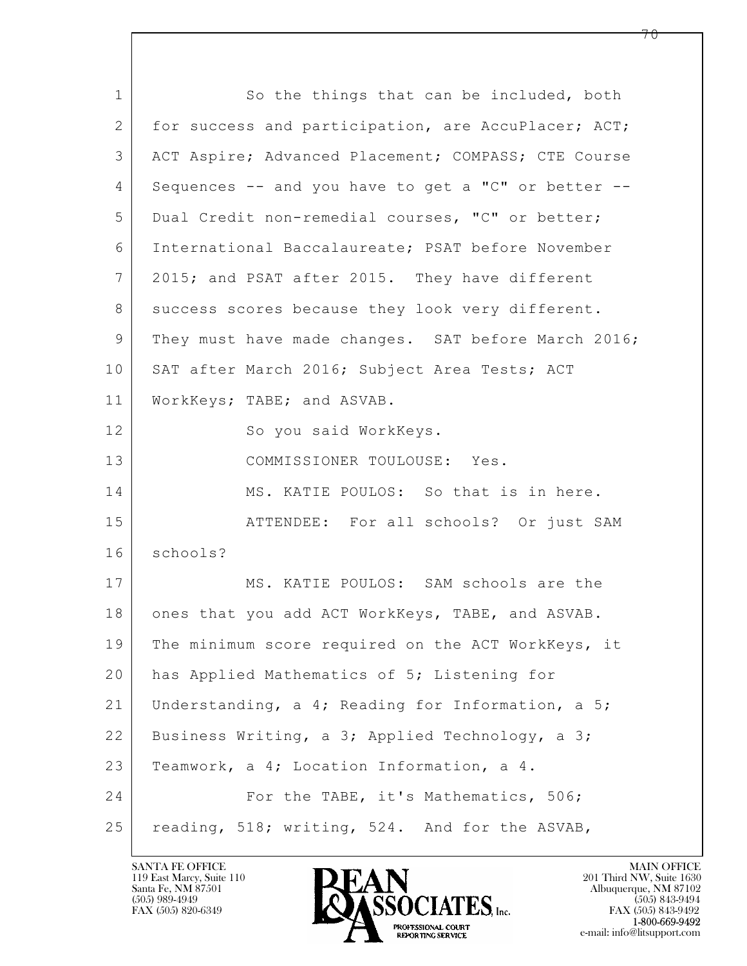$\mathbf{L}$  1 So the things that can be included, both 2 for success and participation, are AccuPlacer; ACT; 3 ACT Aspire; Advanced Placement; COMPASS; CTE Course 4 Sequences -- and you have to get a "C" or better -- 5 Dual Credit non-remedial courses, "C" or better; 6 International Baccalaureate; PSAT before November 7 2015; and PSAT after 2015. They have different 8 | success scores because they look very different. 9 | They must have made changes. SAT before March 2016; 10 | SAT after March 2016; Subject Area Tests; ACT 11 WorkKeys; TABE; and ASVAB. 12 So you said WorkKeys. 13 COMMISSIONER TOULOUSE: Yes. 14 MS. KATIE POULOS: So that is in here. 15 ATTENDEE: For all schools? Or just SAM 16 schools? 17 MS. KATIE POULOS: SAM schools are the 18 | ones that you add ACT WorkKeys, TABE, and ASVAB. 19 The minimum score required on the ACT WorkKeys, it 20 | has Applied Mathematics of 5; Listening for 21 Understanding, a 4; Reading for Information, a 5; 22 Business Writing, a 3; Applied Technology, a 3; 23 | Teamwork, a 4; Location Information, a 4. 24 For the TABE, it's Mathematics, 506; 25 | reading, 518; writing, 524. And for the ASVAB,

119 East Marcy, Suite 110<br>Santa Fe, NM 87501



FAX (505) 843-9492 e-mail: info@litsupport.com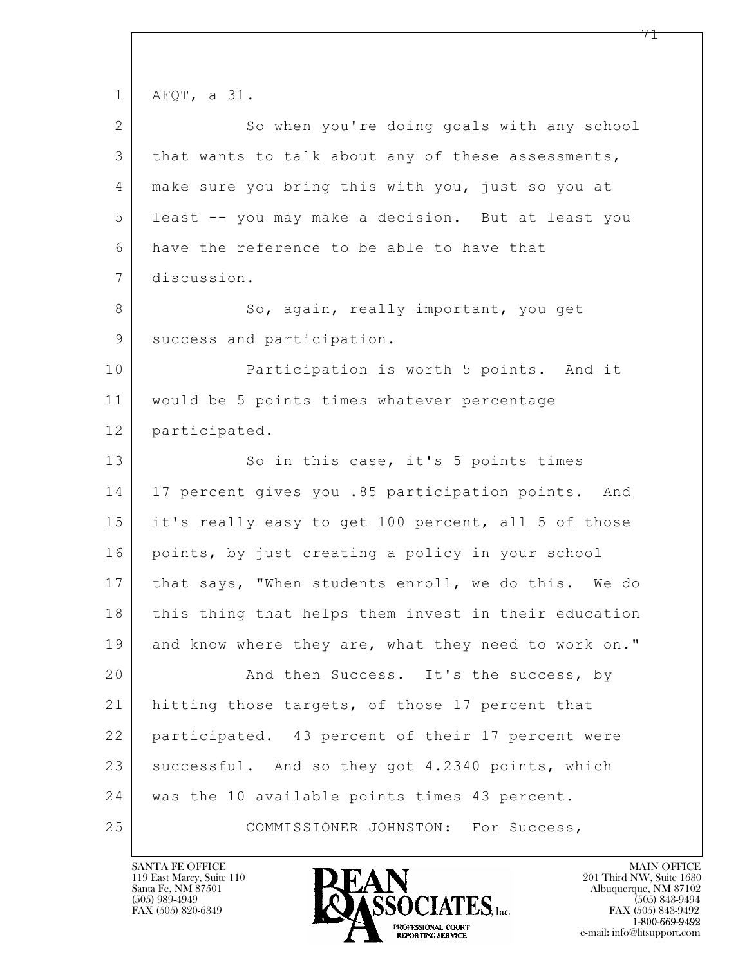$\mathbf{L}$  1 AFQT, a 31. 2 So when you're doing goals with any school 3 | that wants to talk about any of these assessments, 4 make sure you bring this with you, just so you at 5 least -- you may make a decision. But at least you 6 have the reference to be able to have that 7 discussion. 8 So, again, really important, you get 9 | success and participation. 10 Participation is worth 5 points. And it 11 would be 5 points times whatever percentage 12 participated. 13 So in this case, it's 5 points times 14 | 17 percent gives you .85 participation points. And 15 it's really easy to get 100 percent, all 5 of those 16 points, by just creating a policy in your school 17 | that says, "When students enroll, we do this. We do 18 this thing that helps them invest in their education 19 and know where they are, what they need to work on." 20 And then Success. It's the success, by 21 | hitting those targets, of those 17 percent that 22 participated. 43 percent of their 17 percent were 23 successful. And so they got 4.2340 points, which 24 was the 10 available points times 43 percent. 25 COMMISSIONER JOHNSTON: For Success,

119 East Marcy, Suite 110<br>Santa Fe, NM 87501

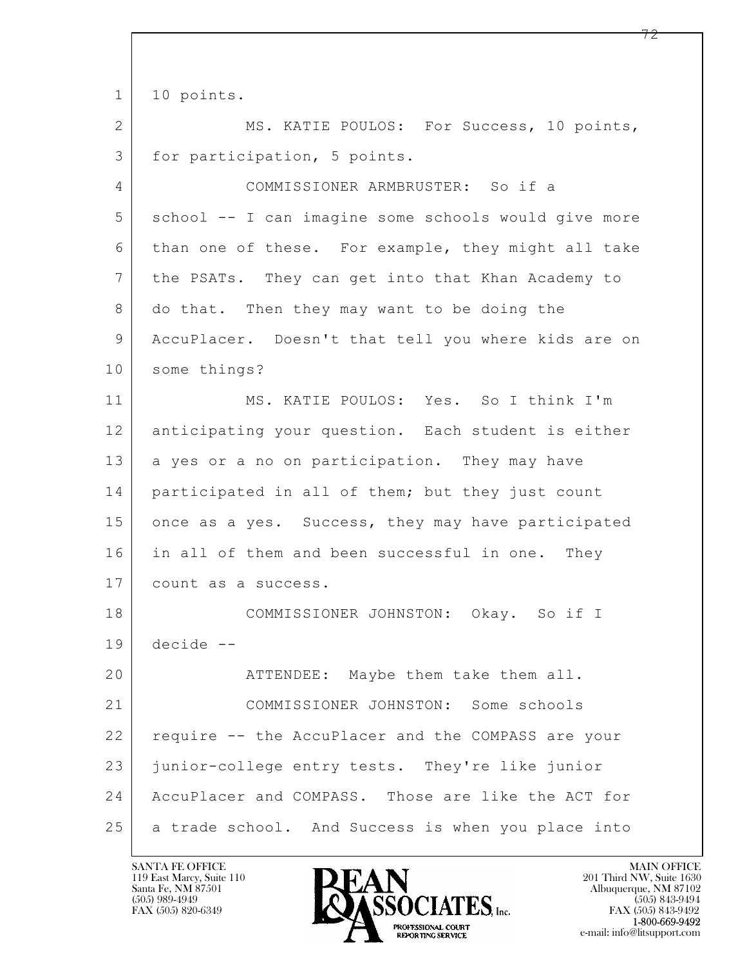$\mathbf{L}$  1 | 10 points. 2 MS. KATIE POULOS: For Success, 10 points, 3 for participation, 5 points. 4 COMMISSIONER ARMBRUSTER: So if a 5 school -- I can imagine some schools would give more 6 than one of these. For example, they might all take 7 the PSATs. They can get into that Khan Academy to 8 do that. Then they may want to be doing the 9 AccuPlacer. Doesn't that tell you where kids are on 10 some things? 11 MS. KATIE POULOS: Yes. So I think I'm 12 anticipating your question. Each student is either 13 a yes or a no on participation. They may have 14 participated in all of them; but they just count 15 once as a yes. Success, they may have participated 16 in all of them and been successful in one. They 17 | count as a success. 18 COMMISSIONER JOHNSTON: Okay. So if I 19 decide -- 20 ATTENDEE: Maybe them take them all. 21 COMMISSIONER JOHNSTON: Some schools 22 require -- the AccuPlacer and the COMPASS are your 23 junior-college entry tests. They're like junior 24 AccuPlacer and COMPASS. Those are like the ACT for 25 a trade school. And Success is when you place into

119 East Marcy, Suite 110<br>Santa Fe, NM 87501

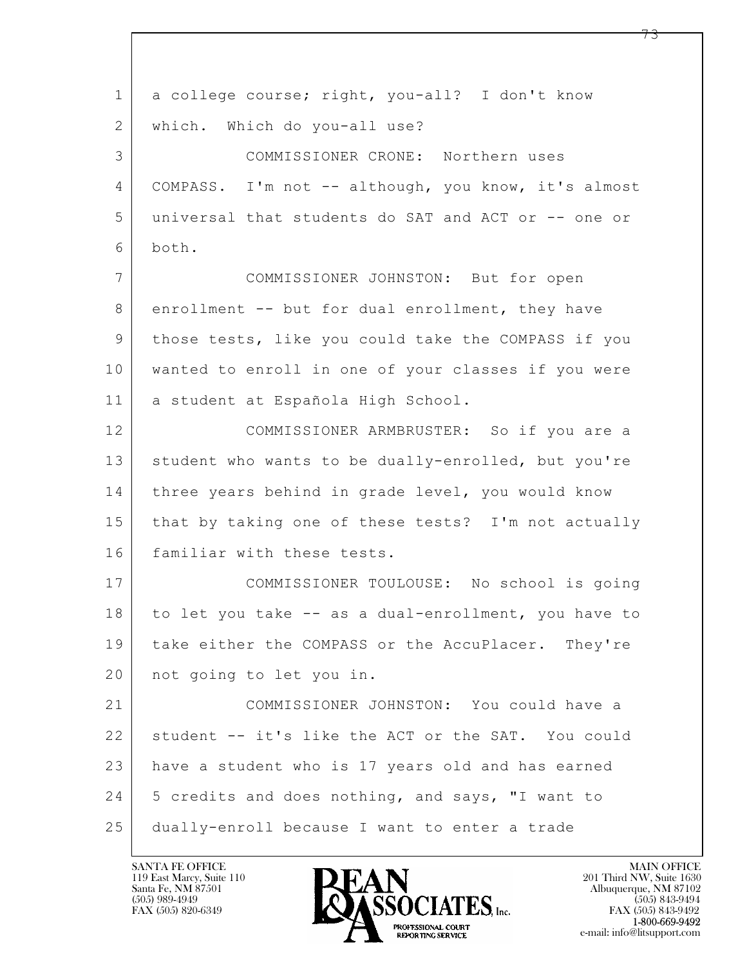$\mathbf{L}$  1 a college course; right, you-all? I don't know 2 | which. Which do you-all use? 3 COMMISSIONER CRONE: Northern uses 4 | COMPASS. I'm not -- although, you know, it's almost 5 universal that students do SAT and ACT or -- one or 6 both. 7 COMMISSIONER JOHNSTON: But for open 8 enrollment -- but for dual enrollment, they have 9 those tests, like you could take the COMPASS if you 10 wanted to enroll in one of your classes if you were 11 a student at Española High School. 12 COMMISSIONER ARMBRUSTER: So if you are a 13 | student who wants to be dually-enrolled, but you're 14 three years behind in grade level, you would know 15 that by taking one of these tests? I'm not actually 16 familiar with these tests. 17 COMMISSIONER TOULOUSE: No school is going 18 to let you take -- as a dual-enrollment, you have to 19 take either the COMPASS or the AccuPlacer. They're 20 not going to let you in. 21 COMMISSIONER JOHNSTON: You could have a 22 student -- it's like the ACT or the SAT. You could 23 have a student who is 17 years old and has earned 24 | 5 credits and does nothing, and says, "I want to 25 dually-enroll because I want to enter a trade

119 East Marcy, Suite 110<br>Santa Fe, NM 87501

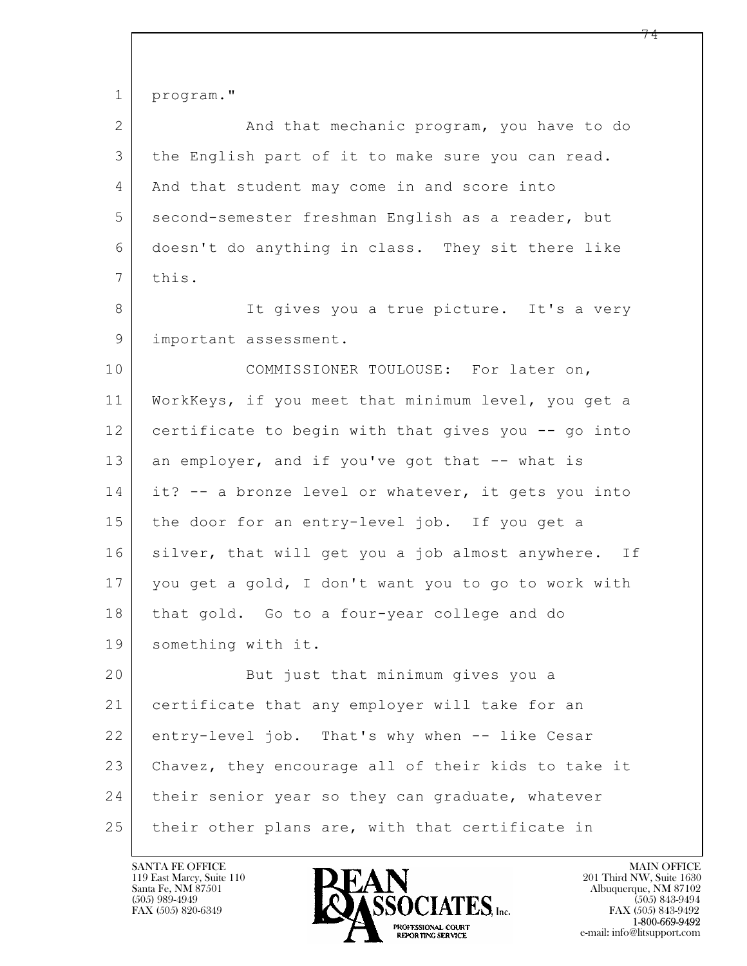$\mathbf{L}$  1 program." 2 And that mechanic program, you have to do 3 the English part of it to make sure you can read. 4 | And that student may come in and score into 5 second-semester freshman English as a reader, but 6 doesn't do anything in class. They sit there like  $7$  this. 8 It gives you a true picture. It's a very 9 | important assessment. 10 COMMISSIONER TOULOUSE: For later on, 11 WorkKeys, if you meet that minimum level, you get a 12 certificate to begin with that gives you -- go into 13 an employer, and if you've got that -- what is 14 it? -- a bronze level or whatever, it gets you into 15 the door for an entry-level job. If you get a 16 silver, that will get you a job almost anywhere. If 17 you get a gold, I don't want you to go to work with 18 that gold. Go to a four-year college and do 19 something with it. 20 | Rut just that minimum gives you a 21 certificate that any employer will take for an 22 entry-level job. That's why when -- like Cesar 23 Chavez, they encourage all of their kids to take it 24 their senior year so they can graduate, whatever 25 | their other plans are, with that certificate in

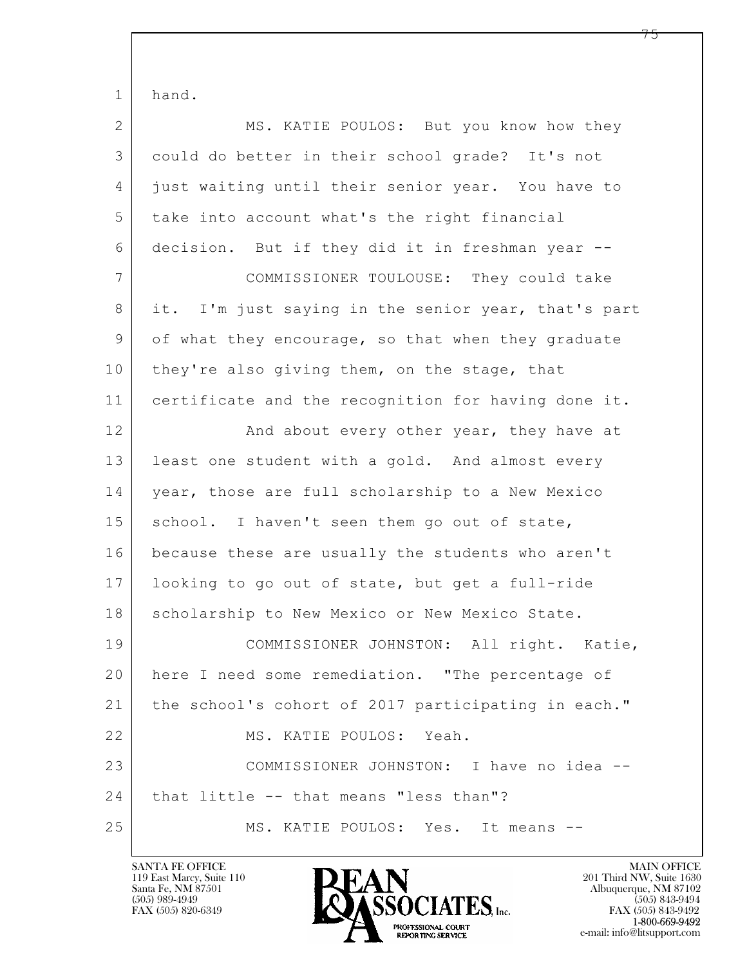| $\mathbf 1$    | hand.                                               |
|----------------|-----------------------------------------------------|
| $\overline{2}$ | MS. KATIE POULOS: But you know how they             |
| 3              | could do better in their school grade? It's not     |
| 4              | just waiting until their senior year. You have to   |
| 5              | take into account what's the right financial        |
| 6              | decision. But if they did it in freshman year --    |
| 7              | COMMISSIONER TOULOUSE: They could take              |
| 8              | it. I'm just saying in the senior year, that's part |
| 9              | of what they encourage, so that when they graduate  |
| 10             | they're also giving them, on the stage, that        |
| 11             | certificate and the recognition for having done it. |
| 12             | And about every other year, they have at            |
| 13             | least one student with a gold. And almost every     |
| 14             | year, those are full scholarship to a New Mexico    |
| 15             | school. I haven't seen them go out of state,        |
| 16             | because these are usually the students who aren't   |
| 17             | looking to go out of state, but get a full-ride     |
| 18             | scholarship to New Mexico or New Mexico State.      |
| 19             | COMMISSIONER JOHNSTON: All right. Katie,            |
| 20             | here I need some remediation. "The percentage of    |
| 21             | the school's cohort of 2017 participating in each." |
| 22             | MS. KATIE POULOS: Yeah.                             |
| 23             | COMMISSIONER JOHNSTON: I have no idea --            |
| 24             | that little -- that means "less than"?              |
| 25             | MS. KATIE POULOS: Yes. It means --                  |

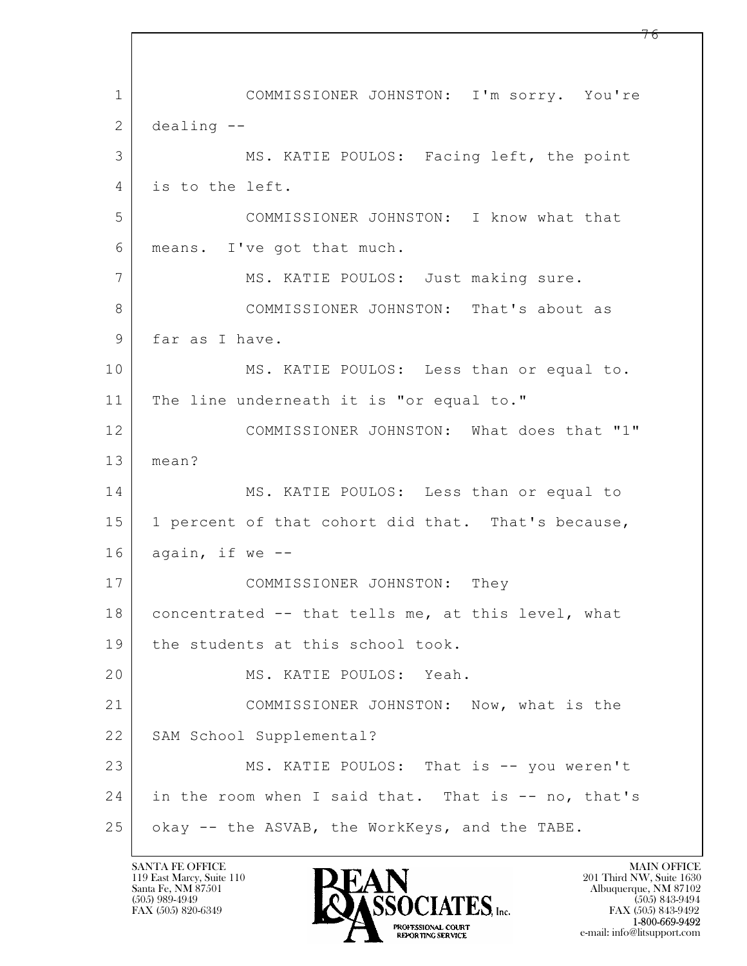$\mathbf{L}$  1 COMMISSIONER JOHNSTON: I'm sorry. You're  $2$  dealing  $-$ 3 MS. KATIE POULOS: Facing left, the point 4 is to the left. 5 COMMISSIONER JOHNSTON: I know what that 6 means. I've got that much. 7 MS. KATIE POULOS: Just making sure. 8 COMMISSIONER JOHNSTON: That's about as 9 far as I have. 10 | MS. KATIE POULOS: Less than or equal to. 11 | The line underneath it is "or equal to." 12 COMMISSIONER JOHNSTON: What does that "1" 13 mean? 14 MS. KATIE POULOS: Less than or equal to 15 | 1 percent of that cohort did that. That's because,  $16$  again, if we  $-$ 17 COMMISSIONER JOHNSTON: They 18 | concentrated -- that tells me, at this level, what 19 the students at this school took. 20 MS. KATIE POULOS: Yeah. 21 COMMISSIONER JOHNSTON: Now, what is the 22 | SAM School Supplemental? 23 MS. KATIE POULOS: That is -- you weren't 24 in the room when I said that. That is -- no, that's 25 okay -- the ASVAB, the WorkKeys, and the TABE.

119 East Marcy, Suite 110<br>Santa Fe, NM 87501

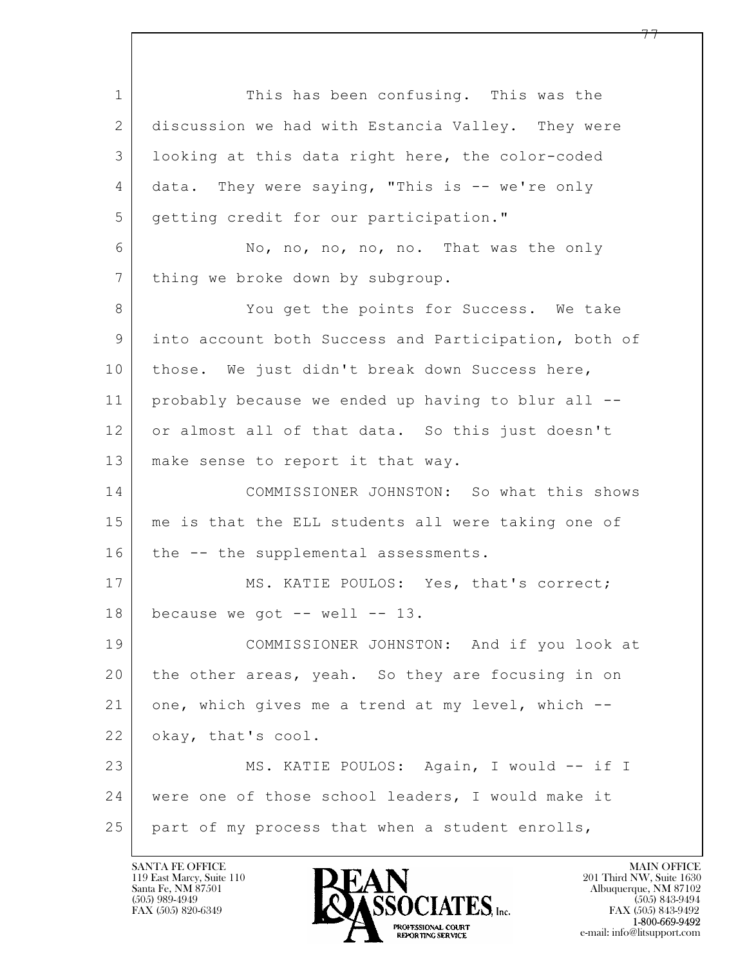$\mathbf{L}$  1 This has been confusing. This was the 2 discussion we had with Estancia Valley. They were 3 looking at this data right here, the color-coded 4 data. They were saying, "This is -- we're only 5 getting credit for our participation." 6 No, no, no, no, no. That was the only 7 thing we broke down by subgroup. 8 You get the points for Success. We take 9 into account both Success and Participation, both of 10 | those. We just didn't break down Success here, 11 probably because we ended up having to blur all -- 12 or almost all of that data. So this just doesn't 13 | make sense to report it that way. 14 COMMISSIONER JOHNSTON: So what this shows 15 me is that the ELL students all were taking one of 16 | the -- the supplemental assessments. 17 MS. KATIE POULOS: Yes, that's correct;  $18$  because we got  $-$  well  $-$  13. 19 COMMISSIONER JOHNSTON: And if you look at 20 the other areas, yeah. So they are focusing in on 21 one, which gives me a trend at my level, which -- 22 okay, that's cool. 23 MS. KATIE POULOS: Again, I would -- if I 24 were one of those school leaders, I would make it 25 part of my process that when a student enrolls,

119 East Marcy, Suite 110<br>Santa Fe, NM 87501

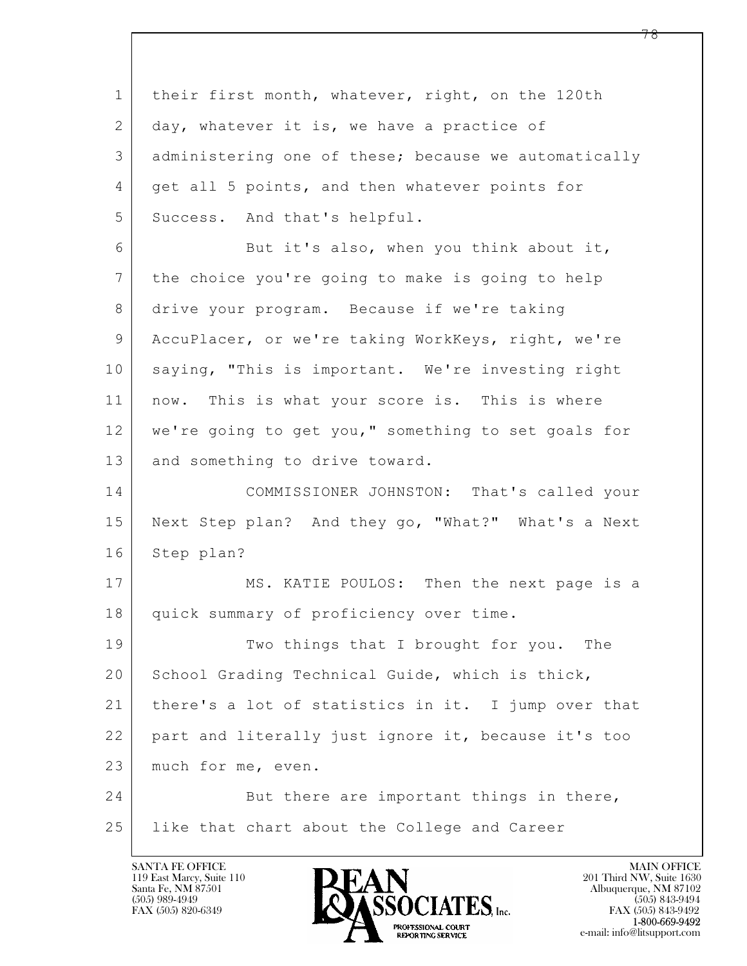$\mathbf{L}$  1 their first month, whatever, right, on the 120th 2 day, whatever it is, we have a practice of 3 administering one of these; because we automatically 4 | get all 5 points, and then whatever points for 5 Success. And that's helpful. 6 But it's also, when you think about it, 7 the choice you're going to make is going to help 8 drive your program. Because if we're taking 9 AccuPlacer, or we're taking WorkKeys, right, we're 10 saying, "This is important. We're investing right 11 | now. This is what your score is. This is where 12 we're going to get you," something to set goals for 13 | and something to drive toward. 14 COMMISSIONER JOHNSTON: That's called your 15 Next Step plan? And they go, "What?" What's a Next 16 Step plan? 17 MS. KATIE POULOS: Then the next page is a 18 quick summary of proficiency over time. 19 Two things that I brought for you. The 20 School Grading Technical Guide, which is thick, 21 | there's a lot of statistics in it. I jump over that 22 part and literally just ignore it, because it's too 23 much for me, even. 24 But there are important things in there, 25 like that chart about the College and Career

119 East Marcy, Suite 110<br>Santa Fe, NM 87501

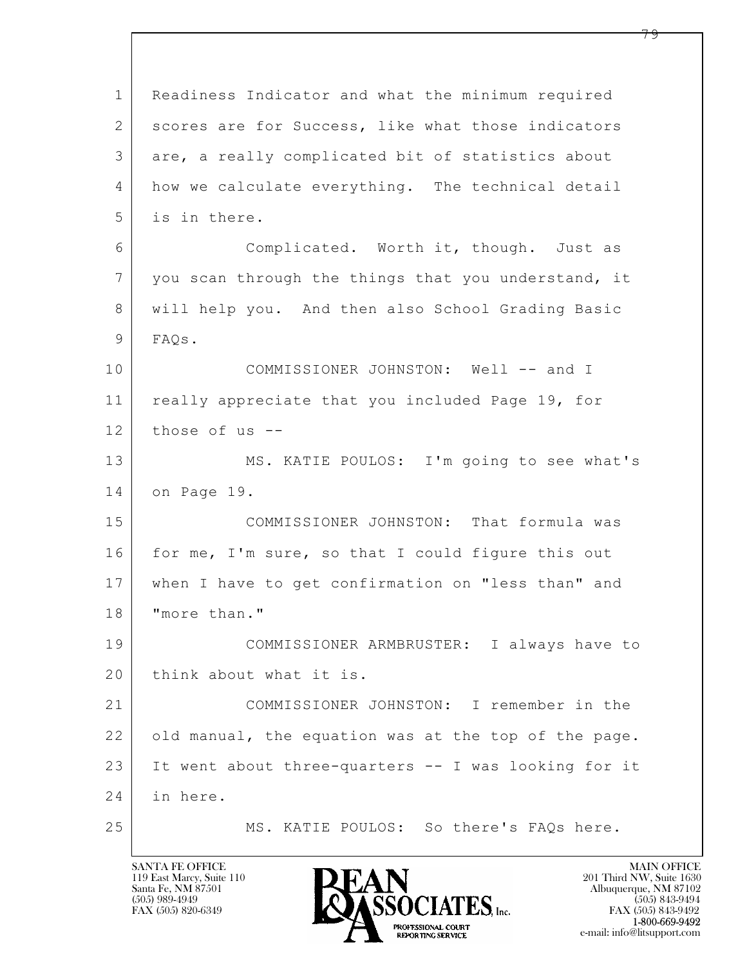$\mathbf{L}$  1 Readiness Indicator and what the minimum required 2 scores are for Success, like what those indicators 3 are, a really complicated bit of statistics about 4 how we calculate everything. The technical detail 5 is in there. 6 Complicated. Worth it, though. Just as 7 you scan through the things that you understand, it 8 will help you. And then also School Grading Basic 9 FAQs. 10 COMMISSIONER JOHNSTON: Well -- and I 11 | really appreciate that you included Page 19, for  $12$  those of us  $-$ 13 MS. KATIE POULOS: I'm going to see what's 14 on Page 19. 15 COMMISSIONER JOHNSTON: That formula was 16 for me, I'm sure, so that I could figure this out 17 when I have to get confirmation on "less than" and 18 | "more than." 19 COMMISSIONER ARMBRUSTER: I always have to 20 think about what it is. 21 COMMISSIONER JOHNSTON: I remember in the 22 old manual, the equation was at the top of the page. 23 It went about three-quarters -- I was looking for it 24 in here. 25 MS. KATIE POULOS: So there's FAQs here.

119 East Marcy, Suite 110<br>Santa Fe, NM 87501

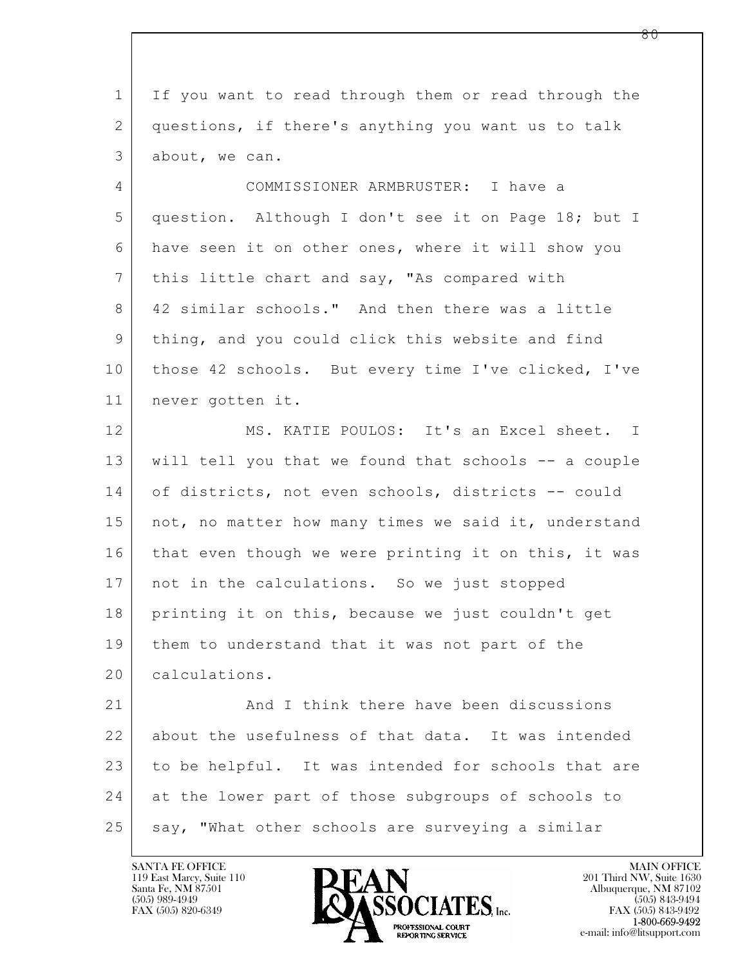| If you want to read through them or read through the |
|------------------------------------------------------|
| questions, if there's anything you want us to talk   |
| about, we can.                                       |
| COMMISSIONER ARMBRUSTER: I have a                    |
| question. Although I don't see it on Page 18; but I  |
| have seen it on other ones, where it will show you   |
| this little chart and say, "As compared with         |
| 42 similar schools." And then there was a little     |
| thing, and you could click this website and find     |
| those 42 schools. But every time I've clicked, I've  |
| never gotten it.                                     |
| MS. KATIE POULOS: It's an Excel sheet. I             |
| will tell you that we found that schools -- a couple |
| of districts, not even schools, districts -- could   |
| not, no matter how many times we said it, understand |
| that even though we were printing it on this, it was |
| not in the calculations. So we just stopped          |
| printing it on this, because we just couldn't get    |
| them to understand that it was not part of the       |
| calculations.                                        |
| And I think there have been discussions              |
| about the usefulness of that data. It was intended   |
| to be helpful. It was intended for schools that are  |
| at the lower part of those subgroups of schools to   |
| say, "What other schools are surveying a similar     |
|                                                      |

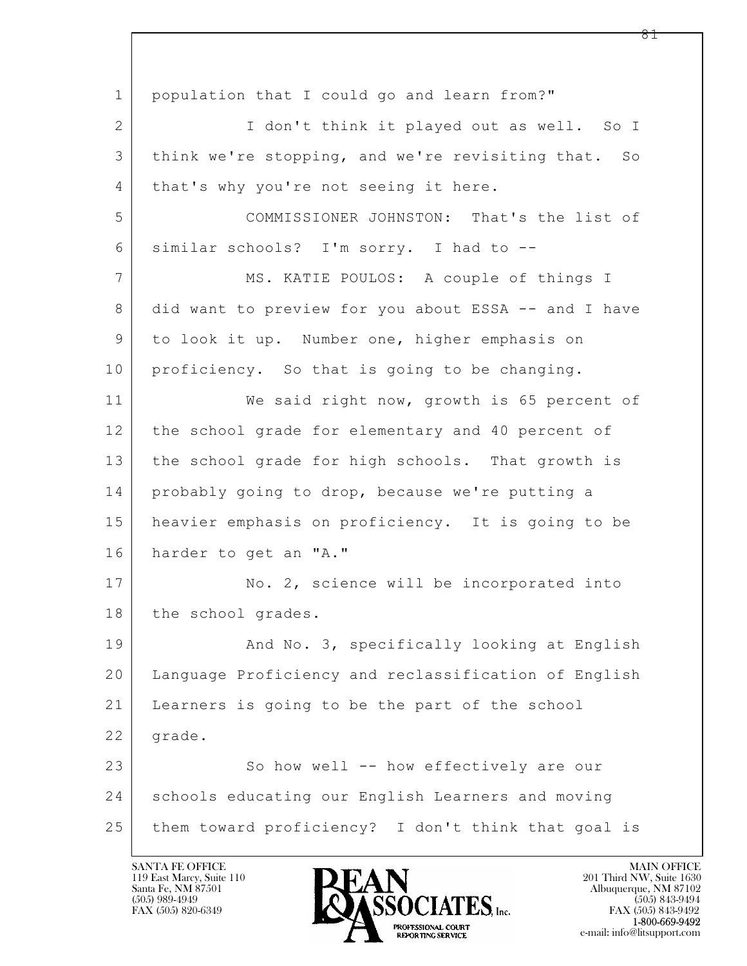$\mathbf{L}$  1 population that I could go and learn from?" 2 | T don't think it played out as well. So I 3 think we're stopping, and we're revisiting that. So 4 | that's why you're not seeing it here. 5 COMMISSIONER JOHNSTON: That's the list of 6 similar schools? I'm sorry. I had to -- 7 | MS. KATIE POULOS: A couple of things I 8 did want to preview for you about ESSA -- and I have 9 to look it up. Number one, higher emphasis on 10 proficiency. So that is going to be changing. 11 We said right now, growth is 65 percent of 12 the school grade for elementary and 40 percent of 13 the school grade for high schools. That growth is 14 probably going to drop, because we're putting a 15 heavier emphasis on proficiency. It is going to be 16 harder to get an "A." 17 No. 2, science will be incorporated into 18 | the school grades. 19 | And No. 3, specifically looking at English 20 Language Proficiency and reclassification of English 21 Learners is going to be the part of the school 22 | grade. 23 So how well -- how effectively are our 24 schools educating our English Learners and moving 25 them toward proficiency? I don't think that goal is

119 East Marcy, Suite 110<br>Santa Fe, NM 87501



 $FAX (505) 843-9492$ <br>1-800-669-9492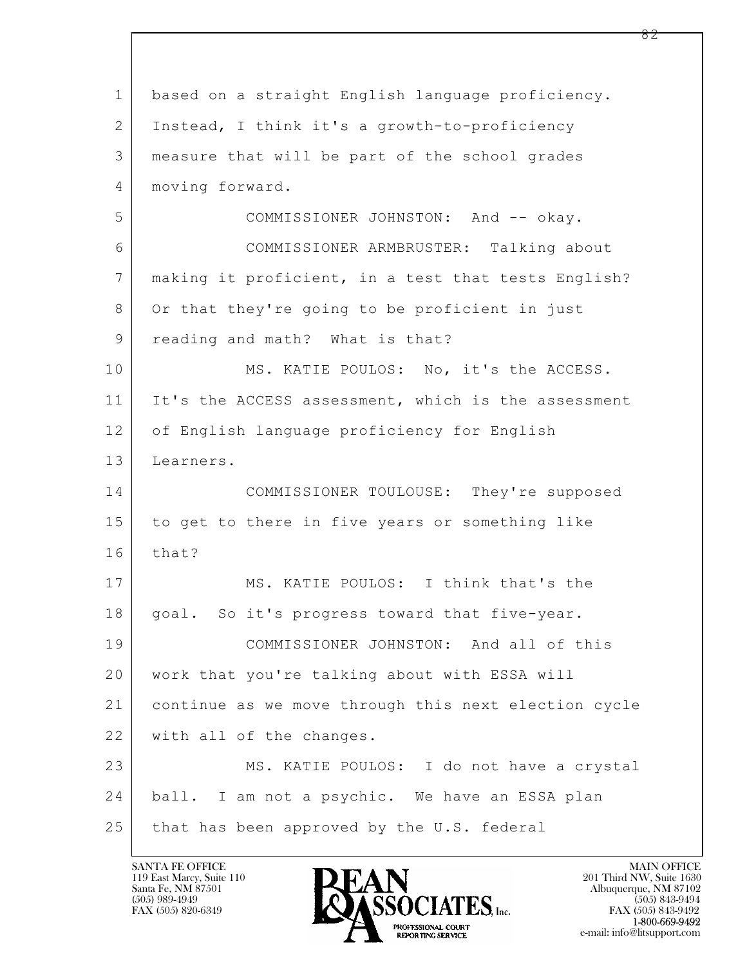| $\mathbf{1}$   | based on a straight English language proficiency.    |
|----------------|------------------------------------------------------|
| 2              | Instead, I think it's a growth-to-proficiency        |
| 3              | measure that will be part of the school grades       |
| 4              | moving forward.                                      |
| 5              | COMMISSIONER JOHNSTON: And -- okay.                  |
| 6              | COMMISSIONER ARMBRUSTER: Talking about               |
| $\overline{7}$ | making it proficient, in a test that tests English?  |
| 8              | Or that they're going to be proficient in just       |
| 9              | reading and math? What is that?                      |
| 10             | MS. KATIE POULOS: No, it's the ACCESS.               |
| 11             | It's the ACCESS assessment, which is the assessment  |
| 12             | of English language proficiency for English          |
| 13             | Learners.                                            |
| 14             | COMMISSIONER TOULOUSE: They're supposed              |
| 15             | to get to there in five years or something like      |
| 16             | that?                                                |
| 17             | MS. KATIE POULOS: I think that's the                 |
| 18             | goal. So it's progress toward that five-year.        |
| 19             | COMMISSIONER JOHNSTON: And all of this               |
| 20             | work that you're talking about with ESSA will        |
| 21             | continue as we move through this next election cycle |
| 22             | with all of the changes.                             |
| 23             | MS. KATIE POULOS: I do not have a crystal            |
| 24             | ball. I am not a psychic. We have an ESSA plan       |
| 25             | that has been approved by the U.S. federal           |

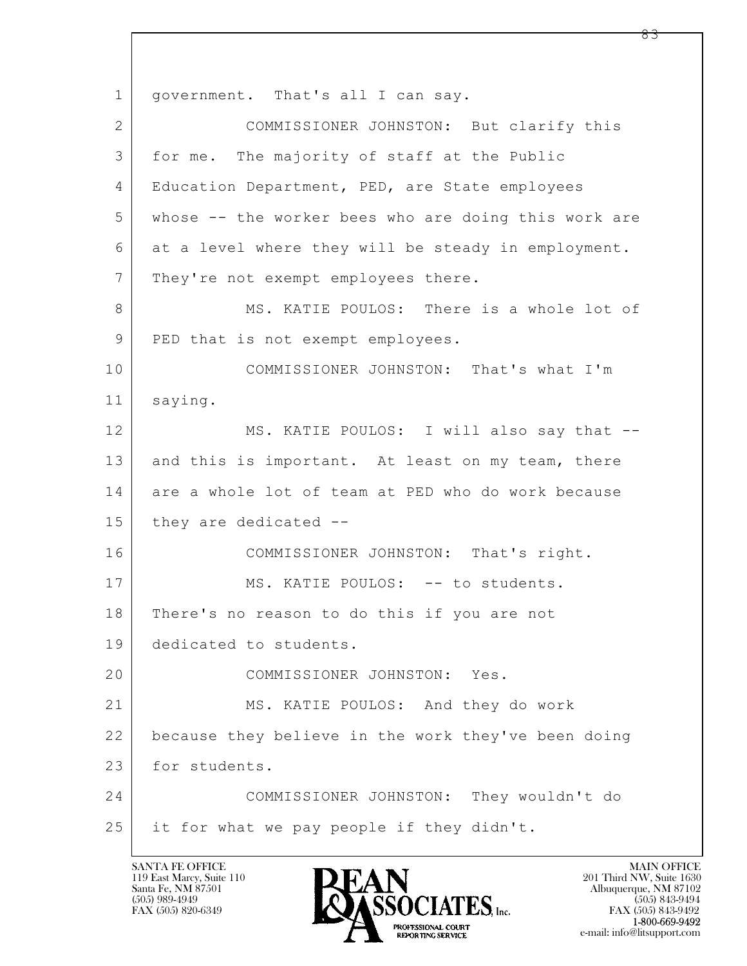$\mathbf{L}$  1 | government. That's all I can say. 2 COMMISSIONER JOHNSTON: But clarify this 3 for me. The majority of staff at the Public 4 Education Department, PED, are State employees 5 whose -- the worker bees who are doing this work are 6 at a level where they will be steady in employment. 7 They're not exempt employees there. 8 MS. KATIE POULOS: There is a whole lot of 9 | PED that is not exempt employees. 10 COMMISSIONER JOHNSTON: That's what I'm 11 saying. 12 MS. KATIE POULOS: I will also say that --13 and this is important. At least on my team, there 14 are a whole lot of team at PED who do work because 15 they are dedicated --16 COMMISSIONER JOHNSTON: That's right. 17 | MS. KATIE POULOS: -- to students. 18 There's no reason to do this if you are not 19 dedicated to students. 20 COMMISSIONER JOHNSTON: Yes. 21 MS. KATIE POULOS: And they do work 22 because they believe in the work they've been doing 23 for students. 24 COMMISSIONER JOHNSTON: They wouldn't do 25 it for what we pay people if they didn't.

119 East Marcy, Suite 110<br>Santa Fe, NM 87501

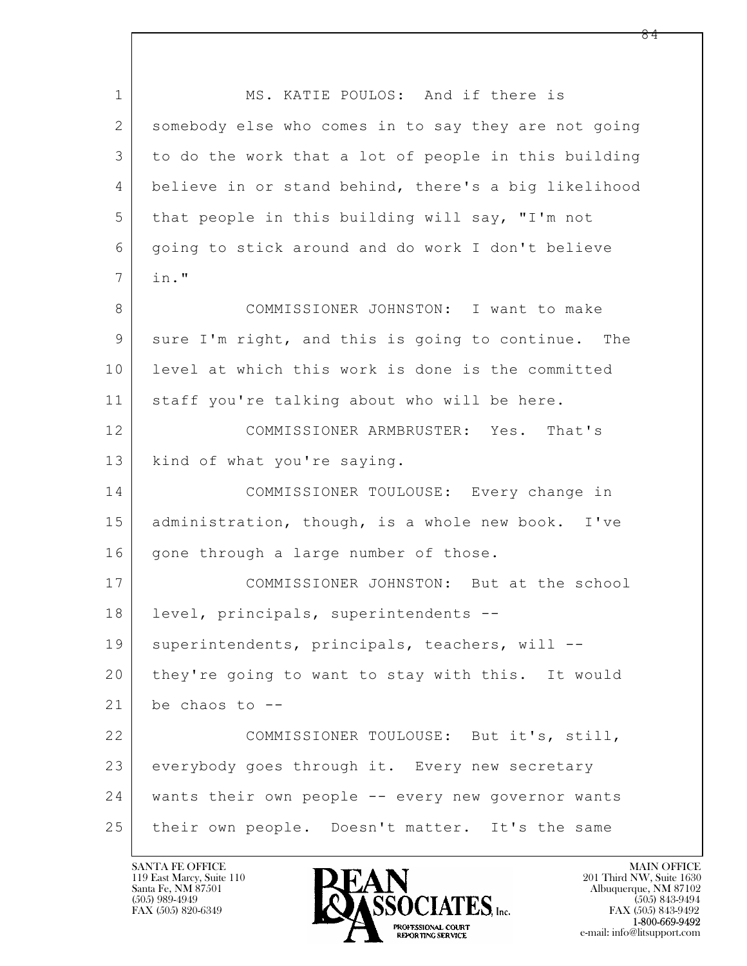$\mathbf{L}$  1 MS. KATIE POULOS: And if there is 2 somebody else who comes in to say they are not going 3 to do the work that a lot of people in this building 4 believe in or stand behind, there's a big likelihood 5 that people in this building will say, "I'm not 6 going to stick around and do work I don't believe 7 in." 8 COMMISSIONER JOHNSTON: I want to make 9 sure I'm right, and this is going to continue. The 10 level at which this work is done is the committed 11 staff you're talking about who will be here. 12 COMMISSIONER ARMBRUSTER: Yes. That's 13 | kind of what you're saying. 14 COMMISSIONER TOULOUSE: Every change in 15 | administration, though, is a whole new book. I've 16 gone through a large number of those. 17 COMMISSIONER JOHNSTON: But at the school 18 level, principals, superintendents -- 19 | superintendents, principals, teachers, will --20 they're going to want to stay with this. It would  $21$  be chaos to  $-$ -22 COMMISSIONER TOULOUSE: But it's, still, 23 everybody goes through it. Every new secretary 24 wants their own people -- every new governor wants 25 their own people. Doesn't matter. It's the same

119 East Marcy, Suite 110<br>Santa Fe, NM 87501



 $FAX (505) 843-9492$ <br>1-800-669-9492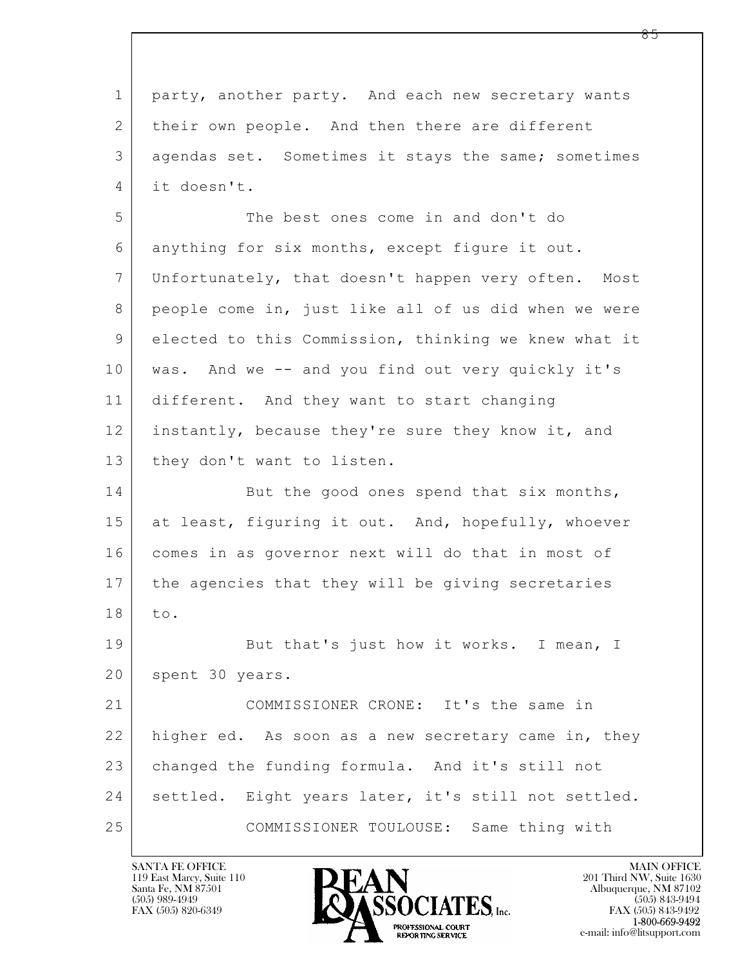$\mathbf{L}$  1 party, another party. And each new secretary wants 2 | their own people. And then there are different 3 agendas set. Sometimes it stays the same; sometimes 4 it doesn't. 5 The best ones come in and don't do 6 anything for six months, except figure it out. 7 Unfortunately, that doesn't happen very often. Most 8 people come in, just like all of us did when we were 9 elected to this Commission, thinking we knew what it 10 was. And we -- and you find out very quickly it's 11 different. And they want to start changing 12 instantly, because they're sure they know it, and 13 | they don't want to listen. 14 But the good ones spend that six months, 15 at least, figuring it out. And, hopefully, whoever 16 comes in as governor next will do that in most of 17 the agencies that they will be giving secretaries 18 to. 19 But that's just how it works. I mean, I 20 | spent 30 years. 21 COMMISSIONER CRONE: It's the same in 22 higher ed. As soon as a new secretary came in, they 23 changed the funding formula. And it's still not 24 | settled. Eight years later, it's still not settled. 25 COMMISSIONER TOULOUSE: Same thing with

119 East Marcy, Suite 110<br>Santa Fe, NM 87501

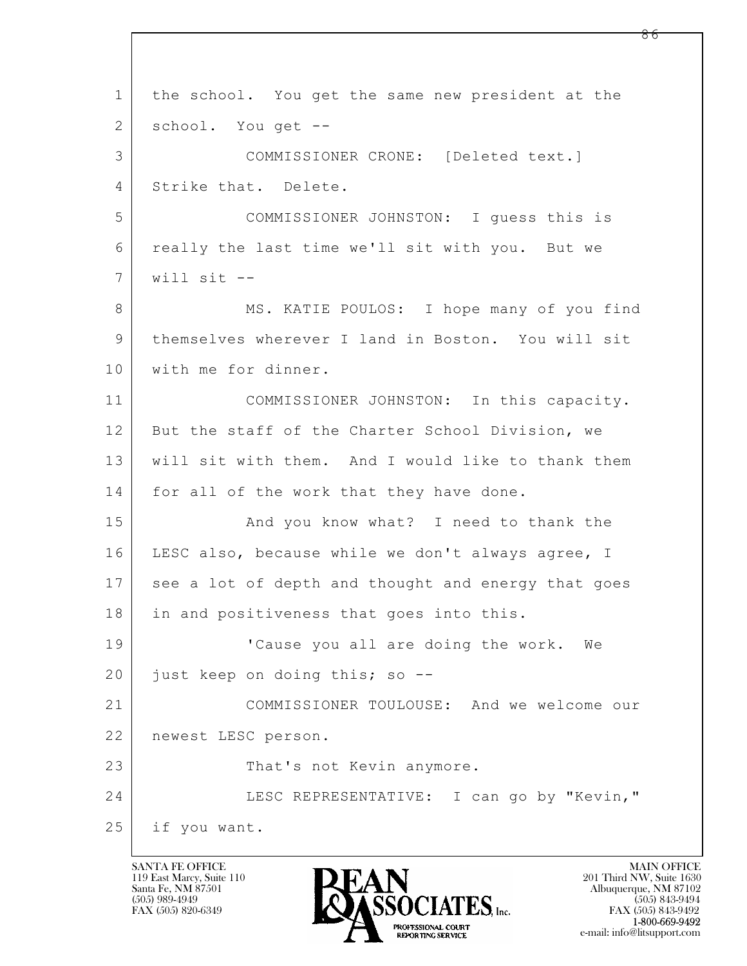$\mathbf{L}$  1 the school. You get the same new president at the 2 | school. You get --3 COMMISSIONER CRONE: [Deleted text.] 4 Strike that. Delete. 5 COMMISSIONER JOHNSTON: I guess this is 6 really the last time we'll sit with you. But we 7 will sit -- 8 MS. KATIE POULOS: I hope many of you find 9 themselves wherever I land in Boston. You will sit 10 | with me for dinner. 11 COMMISSIONER JOHNSTON: In this capacity. 12 But the staff of the Charter School Division, we 13 will sit with them. And I would like to thank them 14 for all of the work that they have done. 15 | And you know what? I need to thank the 16 | LESC also, because while we don't always agree, I 17 see a lot of depth and thought and energy that goes 18 | in and positiveness that goes into this. 19 | Cause you all are doing the work. We 20 just keep on doing this; so --21 COMMISSIONER TOULOUSE: And we welcome our 22 newest LESC person. 23 That's not Kevin anymore. 24 LESC REPRESENTATIVE: I can go by "Kevin," 25 if you want.

119 East Marcy, Suite 110<br>Santa Fe, NM 87501

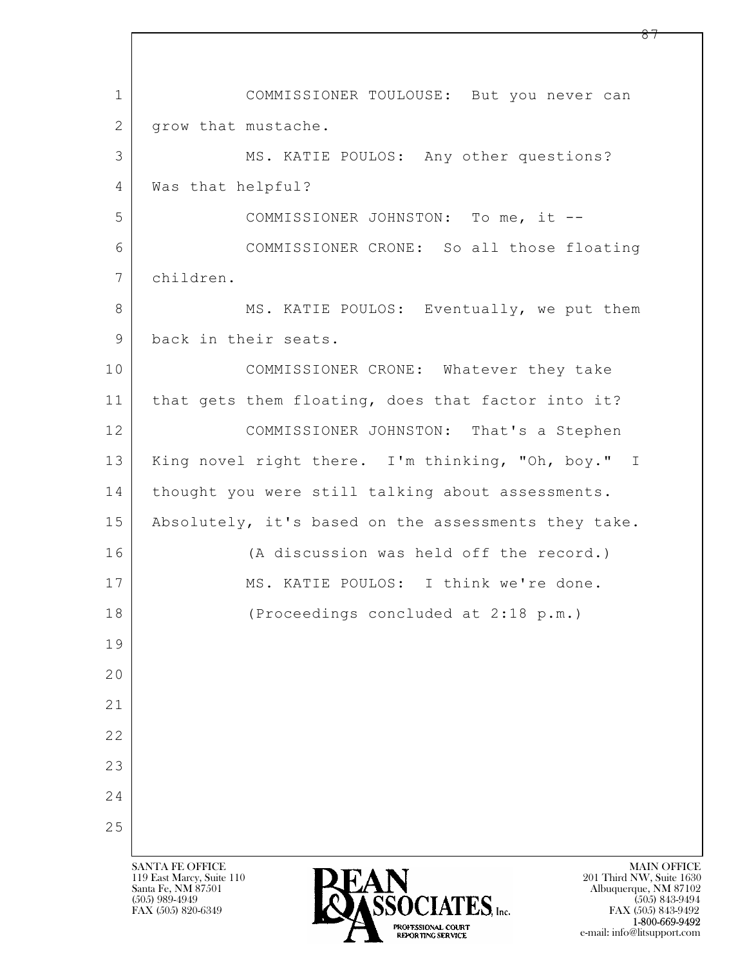$\mathbf{L}$  SANTA FE OFFICE MAIN OFFICE MAIN OFFICE MAIN OFFICE MAIN OFFICE 119 East Marcy, Suite 110<br>Santa Fe, NM 87501 Santa Fe, NM 87501 Albuquerque, NM 87102  $\sum_{\text{FAX (505) 889-4949}} \sum_{\text{FAX (505) 843-9492}} \sum_{\text{FAX (505) 843-9492}} \sum_{\text{FAX (505) 843-9492}}$ 1 COMMISSIONER TOULOUSE: But you never can 2 | grow that mustache. 3 MS. KATIE POULOS: Any other questions? 4 Was that helpful? 5 COMMISSIONER JOHNSTON: To me, it -- 6 COMMISSIONER CRONE: So all those floating 7 children. 8 MS. KATIE POULOS: Eventually, we put them 9 back in their seats. 10 COMMISSIONER CRONE: Whatever they take 11 that gets them floating, does that factor into it? 12 COMMISSIONER JOHNSTON: That's a Stephen 13 | King novel right there. I'm thinking, "Oh, boy." I 14 | thought you were still talking about assessments. 15 | Absolutely, it's based on the assessments they take. 16 (A discussion was held off the record.) 17 MS. KATIE POULOS: I think we're done. 18 (Proceedings concluded at 2:18 p.m.) 19 20 21 22 23 24 25

FAX (505) 843-9492 1-800-669-9492 e-mail: info@litsupport.com